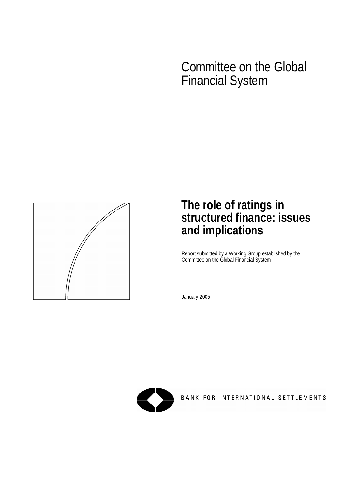# Committee on the Global Financial System



# **The role of ratings in structured finance: issues and implications**

Report submitted by a Working Group established by the Committee on the Global Financial System

January 2005



BANK FOR INTERNATIONAL SETTLEMENTS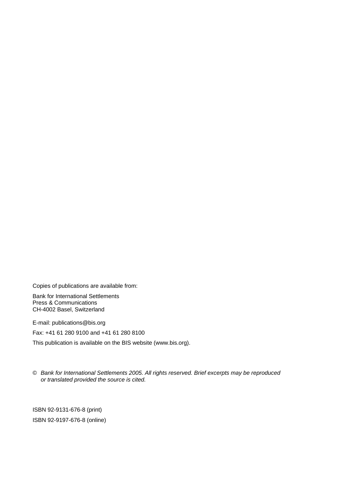Copies of publications are available from:

Bank for International Settlements Press & Communications CH-4002 Basel, Switzerland

E-mail: [publications@bis.org](mailto:publications@bis.org) 

Fax: +41 61 280 9100 and +41 61 280 8100

This publication is available on the BIS website ([www.bis.org\)](http://www.bis.org/).

© *Bank for International Settlements 2005. All rights reserved. Brief excerpts may be reproduced or translated provided the source is cited.* 

ISBN 92-9131-676-8 (print) ISBN 92-9197-676-8 (online)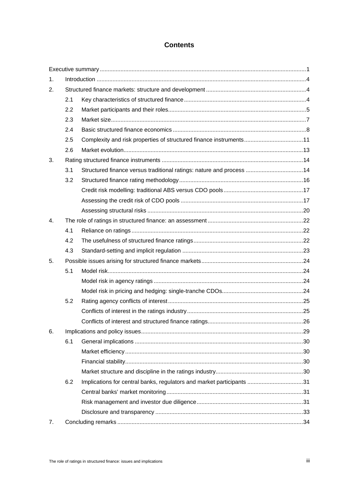# **Contents**

| 1. |     |                                                                       |  |  |  |
|----|-----|-----------------------------------------------------------------------|--|--|--|
| 2. |     |                                                                       |  |  |  |
|    | 2.1 |                                                                       |  |  |  |
|    | 2.2 |                                                                       |  |  |  |
|    | 2.3 |                                                                       |  |  |  |
|    | 2.4 |                                                                       |  |  |  |
|    | 2.5 | Complexity and risk properties of structured finance instruments11    |  |  |  |
|    | 2.6 |                                                                       |  |  |  |
| 3. |     |                                                                       |  |  |  |
|    | 3.1 | Structured finance versus traditional ratings: nature and process  14 |  |  |  |
|    | 3.2 |                                                                       |  |  |  |
|    |     |                                                                       |  |  |  |
|    |     |                                                                       |  |  |  |
|    |     |                                                                       |  |  |  |
| 4. |     |                                                                       |  |  |  |
|    | 4.1 |                                                                       |  |  |  |
|    | 4.2 |                                                                       |  |  |  |
|    | 4.3 |                                                                       |  |  |  |
| 5. |     |                                                                       |  |  |  |
|    | 5.1 |                                                                       |  |  |  |
|    |     |                                                                       |  |  |  |
|    |     |                                                                       |  |  |  |
|    | 5.2 |                                                                       |  |  |  |
|    |     |                                                                       |  |  |  |
|    |     |                                                                       |  |  |  |
| 6. |     |                                                                       |  |  |  |
|    | 6.1 |                                                                       |  |  |  |
|    |     |                                                                       |  |  |  |
|    |     |                                                                       |  |  |  |
|    |     |                                                                       |  |  |  |
|    | 6.2 | Implications for central banks, regulators and market participants 31 |  |  |  |
|    |     |                                                                       |  |  |  |
|    |     |                                                                       |  |  |  |
|    |     |                                                                       |  |  |  |
| 7. |     |                                                                       |  |  |  |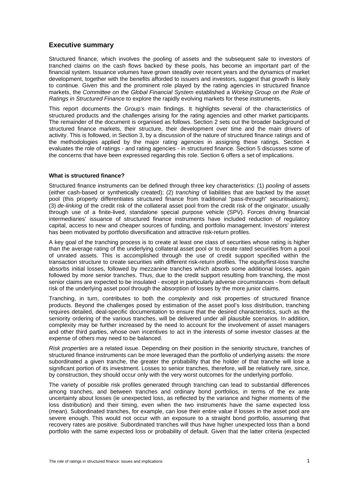# **Executive summary**

Structured finance, which involves the pooling of assets and the subsequent sale to investors of tranched claims on the cash flows backed by these pools, has become an important part of the financial system. Issuance volumes have grown steadily over recent years and the dynamics of market development, together with the benefits afforded to issuers and investors, suggest that growth is likely to continue. Given this and the prominent role played by the rating agencies in structured finance markets, the *Committee on the Global Financial System* established a *Working Group on the Role of Ratings in Structured Finance* to explore the rapidly evolving markets for these instruments.

This report documents the Group's main findings. It highlights several of the characteristics of structured products and the challenges arising for the rating agencies and other market participants. The remainder of the document is organised as follows. Section 2 sets out the broader background of structured finance markets, their structure, their development over time and the main drivers of activity. This is followed, in Section 3, by a discussion of the nature of structured finance ratings and of the methodologies applied by the major rating agencies in assigning these ratings. Section 4 evaluates the role of ratings - and rating agencies - in structured finance. Section 5 discusses some of the concerns that have been expressed regarding this role. Section 6 offers a set of implications.

#### **What is structured finance?**

Structured finance instruments can be defined through three key characteristics: (1) *pooling* of assets (either cash-based or synthetically created); (2) *tranching* of liabilities that are backed by the asset pool (this property differentiates structured finance from traditional "pass-through" securitisations); (3) *de-linking* of the credit risk of the collateral asset pool from the credit risk of the originator, usually through use of a finite-lived, standalone special purpose vehicle (SPV). Forces driving financial intermediaries' issuance of structured finance instruments have included reduction of regulatory capital, access to new and cheaper sources of funding, and portfolio management. Investors' interest has been motivated by portfolio diversification and attractive risk-return profiles.

A key goal of the tranching process is to create at least one class of securities whose rating is higher than the average rating of the underlying collateral asset pool or to create rated securities from a pool of unrated assets. This is accomplished through the use of credit support specified within the transaction structure to create securities with different risk-return profiles. The equity/first-loss tranche absorbs initial losses, followed by mezzanine tranches which absorb some additional losses, again followed by more senior tranches. Thus, due to the credit support resulting from tranching, the most senior claims are expected to be insulated - except in particularly adverse circumstances - from default risk of the underlying asset pool through the absorption of losses by the more junior claims.

Tranching, in turn, contributes to both the *complexity* and risk properties of structured finance products. Beyond the challenges posed by estimation of the asset pool's loss distribution, tranching requires detailed, deal-specific documentation to ensure that the desired characteristics, such as the seniority ordering of the various tranches, will be delivered under all plausible scenarios. In addition, complexity may be further increased by the need to account for the involvement of asset managers and other third parties, whose own incentives to act in the interests of some investor classes at the expense of others may need to be balanced.

*Risk properties* are a related issue. Depending on their position in the seniority structure, tranches of structured finance instruments can be more leveraged than the portfolio of underlying assets: the more subordinated a given tranche, the greater the probability that the holder of that tranche will lose a significant portion of its investment. Losses to senior tranches, therefore, will be relatively rare, since, by construction, they should occur only with the very worst outcomes for the underlying portfolio.

The variety of possible risk profiles generated through tranching can lead to substantial differences among tranches, and between tranches and ordinary bond portfolios, in terms of the ex ante uncertainty about losses (ie unexpected loss, as reflected by the variance and higher moments of the loss distribution) and their timing, even when the two instruments have the same expected loss (mean). Subordinated tranches, for example, can lose their entire value if losses in the asset pool are severe enough. This would not occur with an exposure to a straight bond portfolio, assuming that recovery rates are positive. Subordinated tranches will thus have higher unexpected loss than a bond portfolio with the same expected loss or probability of default. Given that the latter criteria (expected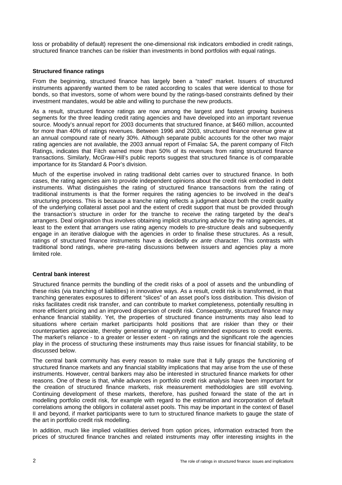loss or probability of default) represent the one-dimensional risk indicators embodied in credit ratings, structured finance tranches can be riskier than investments in bond portfolios with equal ratings.

## **Structured finance ratings**

From the beginning, structured finance has largely been a "rated" market. Issuers of structured instruments apparently wanted them to be rated according to scales that were identical to those for bonds, so that investors, some of whom were bound by the ratings-based constraints defined by their investment mandates, would be able and willing to purchase the new products.

As a result, structured finance ratings are now among the largest and fastest growing business segments for the three leading credit rating agencies and have developed into an important revenue source. Moody's annual report for 2003 documents that structured finance, at \$460 million, accounted for more than 40% of ratings revenues. Between 1996 and 2003, structured finance revenue grew at an annual compound rate of nearly 30%. Although separate public accounts for the other two major rating agencies are not available, the 2003 annual report of Fimalac SA, the parent company of Fitch Ratings, indicates that Fitch earned more than 50% of its revenues from rating structured finance transactions. Similarly, McGraw-Hill's public reports suggest that structured finance is of comparable importance for its Standard & Poor's division.

Much of the expertise involved in rating traditional debt carries over to structured finance. In both cases, the rating agencies aim to provide independent opinions about the credit risk embodied in debt instruments. What distinguishes the rating of structured finance transactions from the rating of traditional instruments is that the former requires the rating agencies to be involved in the deal's structuring process. This is because a tranche rating reflects a judgment about both the credit quality of the underlying collateral asset pool and the extent of credit support that must be provided through the transaction's structure in order for the tranche to receive the rating targeted by the deal's arrangers. Deal origination thus involves obtaining implicit structuring advice by the rating agencies, at least to the extent that arrangers use rating agency models to pre-structure deals and subsequently engage in an iterative dialogue with the agencies in order to finalise these structures. As a result, ratings of structured finance instruments have a decidedly *ex ante* character. This contrasts with traditional bond ratings, where pre-rating discussions between issuers and agencies play a more limited role.

# **Central bank interest**

Structured finance permits the bundling of the credit risks of a pool of assets and the unbundling of these risks (via tranching of liabilities) in innovative ways. As a result, credit risk is transformed, in that tranching generates exposures to different "slices" of an asset pool's loss distribution. This division of risks facilitates credit risk transfer, and can contribute to market completeness, potentially resulting in more efficient pricing and an improved dispersion of credit risk. Consequently, structured finance may enhance financial stability. Yet, the properties of structured finance instruments may also lead to situations where certain market participants hold positions that are riskier than they or their counterparties appreciate, thereby generating or magnifying unintended exposures to credit events. The market's reliance - to a greater or lesser extent - on ratings and the significant role the agencies play in the process of structuring these instruments may thus raise issues for financial stability, to be discussed below.

The central bank community has every reason to make sure that it fully grasps the functioning of structured finance markets and any financial stability implications that may arise from the use of these instruments. However, central bankers may also be interested in structured finance markets for other reasons. One of these is that, while advances in portfolio credit risk analysis have been important for the creation of structured finance markets, risk measurement methodologies are still evolving. Continuing development of these markets, therefore, has pushed forward the state of the art in modelling portfolio credit risk, for example with regard to the estimation and incorporation of default correlations among the obligors in collateral asset pools. This may be important in the context of Basel II and beyond, if market participants were to turn to structured finance markets to gauge the state of the art in portfolio credit risk modelling.

In addition, much like implied volatilities derived from option prices, information extracted from the prices of structured finance tranches and related instruments may offer interesting insights in the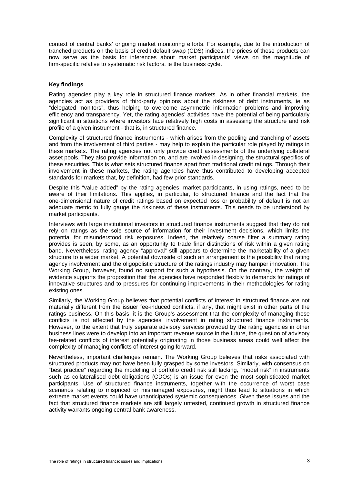context of central banks' ongoing market monitoring efforts. For example, due to the introduction of tranched products on the basis of credit default swap (CDS) indices, the prices of these products can now serve as the basis for inferences about market participants' views on the magnitude of firm-specific relative to systematic risk factors, ie the business cycle.

## **Key findings**

Rating agencies play a key role in structured finance markets. As in other financial markets, the agencies act as providers of third-party opinions about the riskiness of debt instruments, ie as "delegated monitors", thus helping to overcome asymmetric information problems and improving efficiency and transparency. Yet, the rating agencies' activities have the potential of being particularly significant in situations where investors face relatively high costs in assessing the structure and risk profile of a given instrument - that is, in structured finance.

Complexity of structured finance instruments - which arises from the pooling and tranching of assets and from the involvement of third parties - may help to explain the particular role played by ratings in these markets. The rating agencies not only provide credit assessments of the underlying collateral asset pools. They also provide information on, and are involved in designing, the structural specifics of these securities. This is what sets structured finance apart from traditional credit ratings. Through their involvement in these markets, the rating agencies have thus contributed to developing accepted standards for markets that, by definition, had few prior standards.

Despite this "value added" by the rating agencies, market participants, in using ratings, need to be aware of their limitations. This applies, in particular, to structured finance and the fact that the one-dimensional nature of credit ratings based on expected loss or probability of default is not an adequate metric to fully gauge the riskiness of these instruments. This needs to be understood by market participants.

Interviews with large institutional investors in structured finance instruments suggest that they do not rely on ratings as the sole source of information for their investment decisions, which limits the potential for misunderstood risk exposures. Indeed, the relatively coarse filter a summary rating provides is seen, by some, as an opportunity to trade finer distinctions of risk within a given rating band. Nevertheless, rating agency "approval" still appears to determine the marketability of a given structure to a wider market. A potential downside of such an arrangement is the possibility that rating agency involvement and the oligopolistic structure of the ratings industry may hamper innovation. The Working Group, however, found no support for such a hypothesis. On the contrary, the weight of evidence supports the proposition that the agencies have responded flexibly to demands for ratings of innovative structures and to pressures for continuing improvements in their methodologies for rating existing ones.

Similarly, the Working Group believes that potential conflicts of interest in structured finance are not materially different from the issuer fee-induced conflicts, if any, that might exist in other parts of the ratings business. On this basis, it is the Group's assessment that the complexity of managing these conflicts is not affected by the agencies' involvement in rating structured finance instruments. However, to the extent that truly separate advisory services provided by the rating agencies in other business lines were to develop into an important revenue source in the future, the question of advisory fee-related conflicts of interest potentially originating in those business areas could well affect the complexity of managing conflicts of interest going forward.

Nevertheless, important challenges remain. The Working Group believes that risks associated with structured products may not have been fully grasped by some investors. Similarly, with consensus on "best practice" regarding the modelling of portfolio credit risk still lacking, "model risk" in instruments such as collateralised debt obligations (CDOs) is an issue for even the most sophisticated market participants. Use of structured finance instruments, together with the occurrence of worst case scenarios relating to mispriced or mismanaged exposures, might thus lead to situations in which extreme market events could have unanticipated systemic consequences. Given these issues and the fact that structured finance markets are still largely untested, continued growth in structured finance activity warrants ongoing central bank awareness.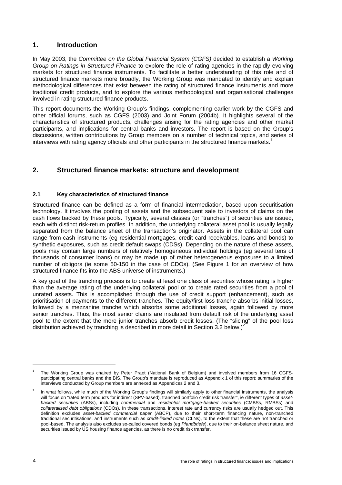# **1. Introduction**

In May 2003, the *Committee on the Global Financial System (CGFS)* decided to establish a *Working Group on Ratings in Structured Finance* to explore the role of rating agencies in the rapidly evolving markets for structured finance instruments. To facilitate a better understanding of this role and of structured finance markets more broadly, the Working Group was mandated to identify and explain methodological differences that exist between the rating of structured finance instruments and more traditional credit products, and to explore the various methodological and organisational challenges involved in rating structured finance products.

This report documents the Working Group's findings, complementing earlier work by the CGFS and other official forums, such as CGFS (2003) and Joint Forum (2004b). It highlights several of the characteristics of structured products, challenges arising for the rating agencies and other market participants, and implications for central banks and investors. The report is based on the Group's discussions, written contributions by Group members on a number of technical topics, and series of interviews with rating agency officials and other participants in the structured finance markets.<sup>1</sup>

# **2. Structured finance markets: structure and development**

# **2.1 Key characteristics of structured finance**

Structured finance can be defined as a form of financial intermediation, based upon securitisation technology. It involves the pooling of assets and the subsequent sale to investors of claims on the cash flows backed by these pools. Typically, several classes (or "tranches") of securities are issued, each with distinct risk-return profiles. In addition, the underlying collateral asset pool is usually legally separated from the balance sheet of the transaction's originator. Assets in the collateral pool can range from cash instruments (eg residential mortgages, credit card receivables, loans and bonds) to synthetic exposures, such as credit default swaps (CDSs). Depending on the nature of these assets, pools may contain large numbers of relatively homogeneous individual holdings (eg several tens of thousands of consumer loans) or may be made up of rather heterogeneous exposures to a limited number of obligors (ie some 50-150 in the case of CDOs). (See Figure 1 for an overview of how structured finance fits into the ABS universe of instruments.)

A key goal of the tranching process is to create at least one class of securities whose rating is higher than the average rating of the underlying collateral pool or to create rated securities from a pool of unrated assets. This is accomplished through the use of credit support (enhancement), such as prioritisation of payments to the different tranches. The equity/first-loss tranche absorbs initial losses, followed by a mezzanine tranche which absorbs some additional losses, again followed by more senior tranches. Thus, the most senior claims are insulated from default risk of the underlying asset pool to the extent that the more junior tranches absorb credit losses. (The "slicing" of the pool loss distribution achieved by tranching is described in more detail in Section 3.2 below.)<sup>2</sup>

<sup>1</sup> The Working Group was chaired by Peter Praet (National Bank of Belgium) and involved members from 16 CGFSparticipating central banks and the BIS. The Group's mandate is reproduced as Appendix 1 of this report; summaries of the interviews conducted by Group members are annexed as Appendices 2 and 3.

<sup>2</sup> In what follows, while much of the Working Group's findings will similarly apply to other financial instruments, the analysis will focus on "rated term products for indirect (SPV-based), tranched portfolio credit risk transfer", ie different types of *assetbacked securities* (ABSs), including *commercial* and *residential mortgage-backed securities* (CMBSs, RMBSs) and *collateralised debt obligations* (CDOs). In these transactions, interest rate and currency risks are usually hedged out. This definition excludes *asset-backed commercial paper* (ABCP), due to their short-term financing nature, non-tranched traditional securitisations, and instruments such as *credit-linked notes* (CLNs), to the extent that these are not tranched or pool-based. The analysis also excludes so-called covered bonds (eg *Pfandbriefe*), due to their on-balance sheet nature, and securities issued by US housing finance agencies, as there is no credit risk transfer.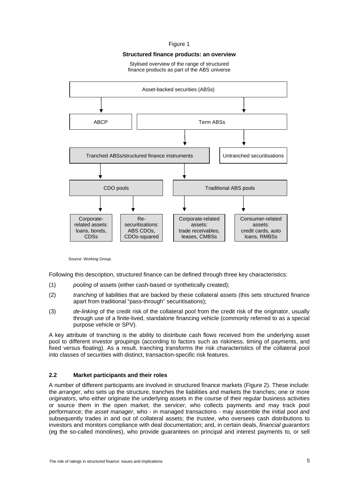#### Figure 1

### **Structured finance products: an overview**

#### Stylised overview of the range of structured finance products as part of the ABS universe



Source: Working Group.

Following this description, structured finance can be defined through three key characteristics:

- (1) *pooling* of assets (either cash-based or synthetically created);
- (2) *tranching* of liabilities that are backed by these collateral assets (this sets structured finance apart from traditional "pass-through" securitisations);
- (3) *de-linking* of the credit risk of the collateral pool from the credit risk of the originator, usually through use of a finite-lived, standalone financing vehicle (commonly referred to as a special purpose vehicle or SPV).

A key attribute of tranching is the ability to distribute cash flows received from the underlying asset pool to different investor groupings (according to factors such as riskiness, timing of payments, and fixed versus floating). As a result, tranching transforms the risk characteristics of the collateral pool into classes of securities with distinct, transaction-specific risk features.

# **2.2 Market participants and their roles**

A number of different participants are involved in structured finance markets (Figure 2). These include: the *arranger*, who sets up the structure, tranches the liabilities and markets the tranches; one or more *originators*, who either originate the underlying assets in the course of their regular business activities or source them in the open market; the *servicer*, who collects payments and may track pool performance; the *asset manager*, who - in managed transactions - may assemble the initial pool and subsequently trades in and out of collateral assets; the *trustee*, who oversees cash distributions to investors and monitors compliance with deal documentation; and, in certain deals, *financial guarantors* (eg the so-called monolines), who provide guarantees on principal and interest payments to, or sell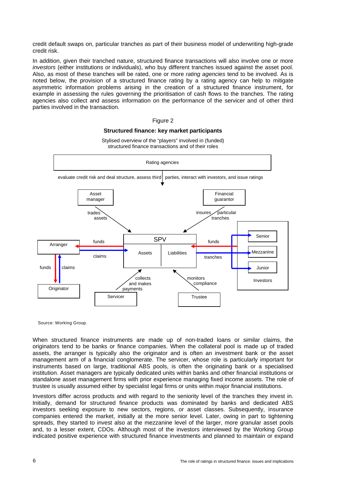credit default swaps on, particular tranches as part of their business model of underwriting high-grade credit risk.

In addition, given their tranched nature, structured finance transactions will also involve one or more *investors* (either institutions or individuals), who buy different tranches issued against the asset pool. Also, as most of these tranches will be rated, one or more *rating agencies* tend to be involved. As is noted below, the provision of a structured finance rating by a rating agency can help to mitigate asymmetric information problems arising in the creation of a structured finance instrument, for example in assessing the rules governing the prioritisation of cash flows to the tranches. The rating agencies also collect and assess information on the performance of the servicer and of other third parties involved in the transaction.



Stylised overview of the "players" involved in (funded)

Figure 2 **Structured finance: key market participants** 

Source: Working Group.

When structured finance instruments are made up of non-traded loans or similar claims, the originators tend to be banks or finance companies. When the collateral pool is made up of traded assets, the arranger is typically also the originator and is often an investment bank or the asset management arm of a financial conglomerate. The servicer, whose role is particularly important for instruments based on large, traditional ABS pools, is often the originating bank or a specialised institution. Asset managers are typically dedicated units within banks and other financial institutions or standalone asset management firms with prior experience managing fixed income assets. The role of trustee is usually assumed either by specialist legal firms or units within major financial institutions.

Investors differ across products and with regard to the seniority level of the tranches they invest in. Initially, demand for structured finance products was dominated by banks and dedicated ABS investors seeking exposure to new sectors, regions, or asset classes. Subsequently, insurance companies entered the market, initially at the more senior level. Later, owing in part to tightening spreads, they started to invest also at the mezzanine level of the larger, more granular asset pools and, to a lesser extent, CDOs. Although most of the investors interviewed by the Working Group indicated positive experience with structured finance investments and planned to maintain or expand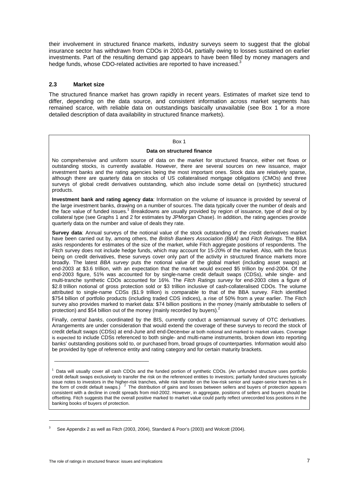their involvement in structured finance markets, industry surveys seem to suggest that the global insurance sector has withdrawn from CDOs in 2003-04, partially owing to losses sustained on earlier investments. Part of the resulting demand gap appears to have been filled by money managers and hedge funds, whose CDO-related activities are reported to have increased.<sup>3</sup>

# **2.3 Market size**

The structured finance market has grown rapidly in recent years. Estimates of market size tend to differ, depending on the data source, and consistent information across market segments has remained scarce, with reliable data on outstandings basically unavailable (see Box 1 for a more detailed description of data availability in structured finance markets).

### Box 1

#### **Data on structured finance**

No comprehensive and uniform source of data on the market for structured finance, either net flows or outstanding stocks, is currently available. However, there are several sources on new issuance, major investment banks and the rating agencies being the most important ones. Stock data are relatively sparse, although there are quarterly data on stocks of US collateralised mortgage obligations (CMOs) and three surveys of global credit derivatives outstanding, which also include some detail on (synthetic) structured products.

**Investment bank and rating agency data**: Information on the volume of issuance is provided by several of the large investment banks, drawing on a number of sources. The data typically cover the number of deals and the face value of funded issues.<sup>1</sup> Breakdowns are usually provided by region of issuance, type of deal or by collateral type (see Graphs 1 and 2 for estimates by JPMorgan Chase). In addition, the rating agencies provide quarterly data on the number and value of deals they rate.

**Survey data**: Annual surveys of the notional value of the stock outstanding of the credit derivatives market have been carried out by, among others, the *British Bankers Association (BBA)* and *Fitch Ratings*. The BBA asks respondents for estimates of the size of the market, while Fitch aggregate positions of respondents. The Fitch survey does not include hedge funds, which may account for 15-20% of the market. Also, with the focus being on credit derivatives, these surveys cover only part of the activity in structured finance markets more broadly. The latest *BBA survey* puts the notional value of the global market (including asset swaps) at end-2003 at \$3.6 trillion, with an expectation that the market would exceed \$5 trillion by end-2004. Of the end-2003 figure, 51% was accounted for by single-name credit default swaps (CDSs), while single- and multi-tranche synthetic CDOs accounted for 16%. The *Fitch Ratings survey* for end-2003 cites a figure of \$2.8 trillion notional of gross protection sold or \$3 trillion inclusive of cash-collateralised CDOs. The volume attributed to single-name CDSs (\$1.9 trillion) is comparable to that of the BBA survey. Fitch identified \$754 billion of portfolio products (including traded CDS indices), a rise of 50% from a year earlier. The Fitch survey also provides marked to market data: \$74 billion positions in the money (mainly attributable to sellers of protection) and \$54 billion out of the money (mainly recorded by buyers).<sup>2</sup>

Finally, *central banks*, coordinated by the BIS, currently conduct a semiannual survey of OTC derivatives. Arrangements are under consideration that would extend the coverage of these surveys to record the stock of credit default swaps (CDSs) at end-June and end-December at both notional and marked to market values. Coverage is expected to include CDSs referenced to both single- and multi-name instruments, broken down into reporting banks' outstanding positions sold to, or purchased from, broad groups of counterparties. Information would also be provided by type of reference entity and rating category and for certain maturity brackets.

\_\_\_\_\_\_\_\_\_\_\_\_\_\_\_\_\_\_\_\_\_\_\_\_\_\_\_\_\_\_\_\_\_

 $\overline{a}$ 

<sup>1</sup> Data will usually cover all cash CDOs and the funded portion of synthetic CDOs. (An unfunded structure uses portfolio credit default swaps exclusively to transfer the risk on the referenced entities to investors; partially funded structures typically issue notes to investors in the higher-risk tranches, while risk transfer on the low-risk senior and super-senior tranches is in the form of credit default swaps.)  $2 \text{ The distribution of gains and losses between sellers and buyers of protection appears}$ consistent with a decline in credit spreads from mid-2002. However, in aggregate, positions of sellers and buyers should be offsetting. Fitch suggests that the overall positive marked to market value could partly reflect unrecorded loss positions in the banking books of buyers of protection.

<sup>3</sup> See Appendix 2 as well as Fitch (2003, 2004), Standard & Poor's (2003) and Wolcott (2004).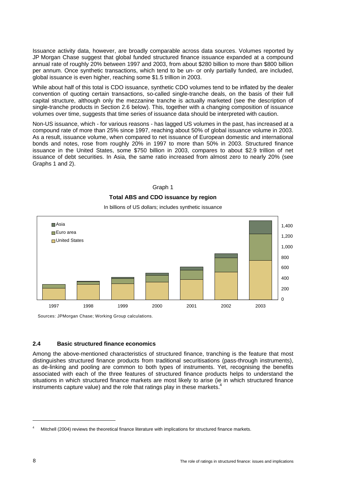Issuance activity data, however, are broadly comparable across data sources. Volumes reported by JP Morgan Chase suggest that global funded structured finance issuance expanded at a compound annual rate of roughly 20% between 1997 and 2003, from about \$280 billion to more than \$800 billion per annum. Once synthetic transactions, which tend to be un- or only partially funded, are included, global issuance is even higher, reaching some \$1.5 trillion in 2003.

While about half of this total is CDO issuance, synthetic CDO volumes tend to be inflated by the dealer convention of quoting certain transactions, so-called single-tranche deals, on the basis of their full capital structure, although only the mezzanine tranche is actually marketed (see the description of single-tranche products in Section 2.6 below). This, together with a changing composition of issuance volumes over time, suggests that time series of issuance data should be interpreted with caution.

Non-US issuance, which - for various reasons - has lagged US volumes in the past, has increased at a compound rate of more than 25% since 1997, reaching about 50% of global issuance volume in 2003. As a result, issuance volume, when compared to net issuance of European domestic and international bonds and notes, rose from roughly 20% in 1997 to more than 50% in 2003. Structured finance issuance in the United States, some \$750 billion in 2003, compares to about \$2.9 trillion of net issuance of debt securities. In Asia, the same ratio increased from almost zero to nearly 20% (see Graphs 1 and 2).







Sources: JPMorgan Chase; Working Group calculations.

# **2.4 Basic structured finance economics**

Among the above-mentioned characteristics of structured finance, tranching is the feature that most distinguishes structured finance products from traditional securitisations (pass-through instruments), as de-linking and pooling are common to both types of instruments. Yet, recognising the benefits associated with each of the three features of structured finance products helps to understand the situations in which structured finance markets are most likely to arise (ie in which structured finance instruments capture value) and the role that ratings play in these markets.<sup>4</sup>

<sup>4</sup> Mitchell (2004) reviews the theoretical finance literature with implications for structured finance markets.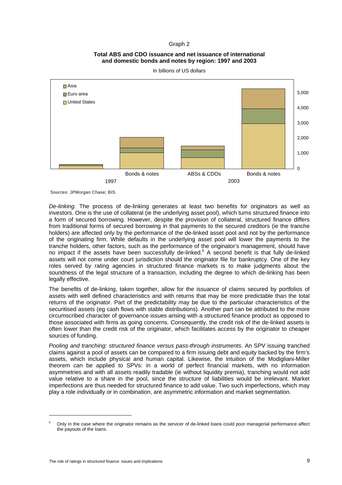### Graph 2

# **Total ABS and CDO issuance and net issuance of international and domestic bonds and notes by region: 1997 and 2003**



In billions of US dollars

Sources: JPMorgan Chase; BIS.

*De-linking*. The process of de-linking generates at least two benefits for originators as well as investors. One is the use of collateral (ie the underlying asset pool), which turns structured finance into a form of secured borrowing. However, despite the provision of collateral, structured finance differs from traditional forms of secured borrowing in that payments to the secured creditors (ie the tranche holders) are affected only by the performance of the de-linked asset pool and not by the performance of the originating firm. While defaults in the underlying asset pool will lower the payments to the tranche holders, other factors, such as the performance of the originator's management, should have no impact if the assets have been successfully de-linked.<sup>5</sup> A second benefit is that fully de-linked assets will not come under court jurisdiction should the originator file for bankruptcy. One of the key roles served by rating agencies in structured finance markets is to make judgments about the soundness of the legal structure of a transaction, including the degree to which de-linking has been legally effective.

The benefits of de-linking, taken together, allow for the issuance of claims secured by portfolios of assets with well defined characteristics and with returns that may be more predictable than the total returns of the originator. Part of the predictability may be due to the particular characteristics of the securitised assets (eg cash flows with stable distributions). Another part can be attributed to the more circumscribed character of governance issues arising with a structured finance product as opposed to those associated with firms as going concerns. Consequently, the credit risk of the de-linked assets is often lower than the credit risk of the originator, which facilitates access by the originator to cheaper sources of funding.

*Pooling and tranching: structured finance versus pass-through instruments.* An SPV issuing tranched claims against a pool of assets can be compared to a firm issuing debt and equity backed by the firm's assets, which include physical and human capital. Likewise, the intuition of the Modigliani-Miller theorem can be applied to SPVs: in a world of perfect financial markets, with no information asymmetries and with all assets readily tradable (ie without liquidity premia), tranching would not add value relative to a share in the pool, since the structure of liabilities would be irrelevant. Market imperfections are thus needed for structured finance to add value. Two such imperfections, which may play a role individually or in combination, are asymmetric information and market segmentation.

<sup>5</sup> Only in the case where the originator remains as the servicer of de-linked loans could poor managerial performance affect the payouts of the loans.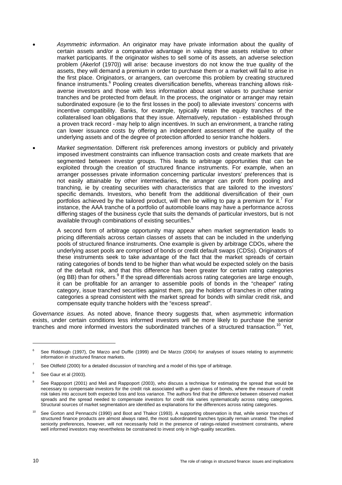- *Asymmetric information*. An originator may have private information about the quality of certain assets and/or a comparative advantage in valuing these assets relative to other market participants. If the originator wishes to sell some of its assets, an adverse selection problem (Akerlof (1970)) will arise: because investors do not know the true quality of the assets, they will demand a premium in order to purchase them or a market will fail to arise in the first place. Originators, or arrangers, can overcome this problem by creating structured finance instruments.<sup>6</sup> Pooling creates diversification benefits, whereas tranching allows riskaverse investors and those with less information about asset values to purchase senior tranches and be protected from default. In the process, the originator or arranger may retain subordinated exposure (ie to the first losses in the pool) to alleviate investors' concerns with incentive compatibility. Banks, for example, typically retain the equity tranches of the collateralised loan obligations that they issue. Alternatively, reputation - established through a proven track record - may help to align incentives. In such an environment, a tranche rating can lower issuance costs by offering an independent assessment of the quality of the underlying assets and of the degree of protection afforded to senior tranche holders.
	- *Market segmentation*. Different risk preferences among investors or publicly and privately imposed investment constraints can influence transaction costs and create markets that are segmented between investor groups. This leads to arbitrage opportunities that can be exploited through the creation of structured finance instruments. For example, when an arranger possesses private information concerning particular investors' preferences that is not easily attainable by other intermediaries, the arranger can profit from pooling and tranching, ie by creating securities with characteristics that are tailored to the investors' specific demands. Investors, who benefit from the additional diversification of their own portfolios achieved by the tailored product, will then be willing to pay a premium for it.<sup>7</sup> For instance, the AAA tranche of a portfolio of automobile loans may have a performance across differing stages of the business cycle that suits the demands of particular investors, but is not available through combinations of existing securities.<sup>8</sup>

A second form of arbitrage opportunity may appear when market segmentation leads to pricing differentials across certain classes of assets that can be included in the underlying pools of structured finance instruments. One example is given by arbitrage CDOs, where the underlying asset pools are comprised of bonds or credit default swaps (CDSs). Originators of these instruments seek to take advantage of the fact that the market spreads of certain rating categories of bonds tend to be higher than what would be expected solely on the basis of the default risk, and that this difference has been greater for certain rating categories (eg BB) than for others.<sup>9</sup> If the spread differentials across rating categories are large enough, it can be profitable for an arranger to assemble pools of bonds in the "cheaper" rating category, issue tranched securities against them, pay the holders of tranches in other rating categories a spread consistent with the market spread for bonds with similar credit risk, and compensate equity tranche holders with the "excess spread".

*Governance issues.* As noted above, finance theory suggests that, when asymmetric information exists, under certain conditions less informed investors will be more likely to purchase the senior tranches and more informed investors the subordinated tranches of a structured transaction.<sup>10</sup> Yet,

<sup>6</sup> See Riddough (1997), De Marzo and Duffie (1999) and De Marzo (2004) for analyses of issues relating to asymmetric information in structured finance markets.

<sup>7</sup> See Oldfield (2000) for a detailed discussion of tranching and a model of this type of arbitrage.

<sup>8</sup> See Gaur et al (2003).

<sup>9</sup> See Rappoport (2001) and Meli and Rappoport (2003), who discuss a technique for estimating the spread that would be necessary to compensate investors for the credit risk associated with a given class of bonds, where the measure of credit risk takes into account both expected loss and loss variance. The authors find that the difference between observed market spreads and the spread needed to compensate investors for credit risk varies systematically across rating categories. Structural sources of market segmentation are identified as explanations for the differences across rating categories.

<sup>10</sup> See Gorton and Pennacchi (1990) and Boot and Thakor (1993). A supporting observation is that, while senior tranches of structured finance products are almost always rated, the most subordinated tranches typically remain unrated. The implied seniority preferences, however, will not necessarily hold in the presence of ratings-related investment constraints, where well informed investors may nevertheless be constrained to invest only in high-quality securities.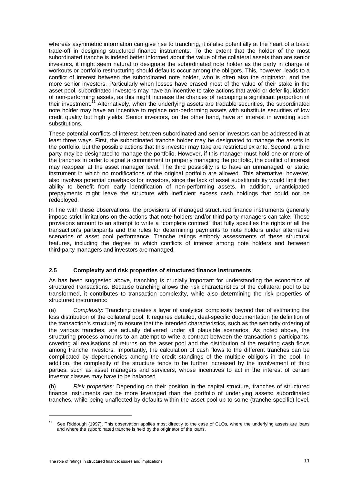whereas asymmetric information can give rise to tranching, it is also potentially at the heart of a basic trade-off in designing structured finance instruments. To the extent that the holder of the most subordinated tranche is indeed better informed about the value of the collateral assets than are senior investors, it might seem natural to designate the subordinated note holder as the party in charge of workouts or portfolio restructuring should defaults occur among the obligors. This, however, leads to a conflict of interest between the subordinated note holder, who is often also the originator, and the more senior investors. Particularly when losses have erased most of the value of their stake in the asset pool, subordinated investors may have an incentive to take actions that avoid or defer liquidation of non-performing assets, as this might increase the chances of recouping a significant proportion of their investment.<sup>11</sup> Alternatively, when the underlying assets are tradable securities, the subordinated note holder may have an incentive to replace non-performing assets with substitute securities of low credit quality but high yields. Senior investors, on the other hand, have an interest in avoiding such substitutions.

These potential conflicts of interest between subordinated and senior investors can be addressed in at least three ways. First, the subordinated tranche holder may be designated to manage the assets in the portfolio, but the possible actions that this investor may take are restricted ex ante. Second, a third party may be designated to manage the portfolio. However, if this manager must hold one or more of the tranches in order to signal a commitment to properly managing the portfolio, the conflict of interest may reappear at the asset manager level. The third possibility is to have an unmanaged, or static, instrument in which no modifications of the original portfolio are allowed. This alternative, however, also involves potential drawbacks for investors, since the lack of asset substitutability would limit their ability to benefit from early identification of non-performing assets. In addition, unanticipated prepayments might leave the structure with inefficient excess cash holdings that could not be redeployed.

In line with these observations, the provisions of managed structured finance instruments generally impose strict limitations on the actions that note holders and/or third-party managers can take. These provisions amount to an attempt to write a "complete contract" that fully specifies the rights of all the transaction's participants and the rules for determining payments to note holders under alternative scenarios of asset pool performance. Tranche ratings embody assessments of these structural features, including the degree to which conflicts of interest among note holders and between third-party managers and investors are managed.

# **2.5 Complexity and risk properties of structured finance instruments**

As has been suggested above, tranching is crucially important for understanding the economics of structured transactions. Because tranching allows the risk characteristics of the collateral pool to be transformed, it contributes to transaction complexity, while also determining the risk properties of structured instruments:

(a) *Complexity*: Tranching creates a layer of analytical complexity beyond that of estimating the loss distribution of the collateral pool. It requires detailed, deal-specific documentation (ie definition of the transaction's structure) to ensure that the intended characteristics, such as the seniority ordering of the various tranches, are actually delivered under all plausible scenarios. As noted above, the structuring process amounts to an attempt to write a contract between the transaction's participants, covering all realisations of returns on the asset pool and the distribution of the resulting cash flows among tranche investors. Importantly, the calculation of cash flows to the different tranches can be complicated by dependencies among the credit standings of the multiple obligors in the pool. In addition, the complexity of the structure tends to be further increased by the involvement of third parties, such as asset managers and servicers, whose incentives to act in the interest of certain investor classes may have to be balanced.

(b) *Risk properties*: Depending on their position in the capital structure, tranches of structured finance instruments can be more leveraged than the portfolio of underlying assets: subordinated tranches, while being unaffected by defaults within the asset pool up to some (tranche-specific) level,

<sup>&</sup>lt;sup>11</sup> See Riddough (1997). This observation applies most directly to the case of CLOs, where the underlying assets are loans and where the subordinated tranche is held by the originator of the loans.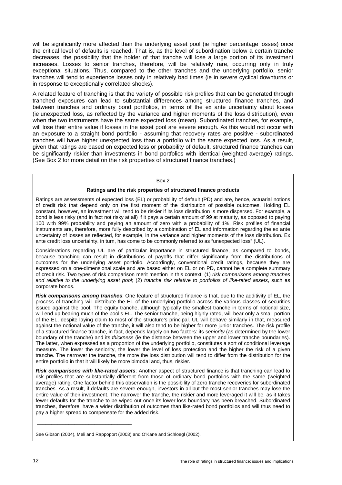will be significantly more affected than the underlying asset pool (ie higher percentage losses) once the critical level of defaults is reached. That is, as the level of subordination below a certain tranche decreases, the possibility that the holder of that tranche will lose a large portion of its investment increases. Losses to senior tranches, therefore, will be relatively rare, occurring only in truly exceptional situations. Thus, compared to the other tranches and the underlying portfolio, senior tranches will tend to experience losses only in relatively bad times (ie in severe cyclical downturns or in response to exceptionally correlated shocks).

A related feature of tranching is that the variety of possible risk profiles that can be generated through tranched exposures can lead to substantial differences among structured finance tranches, and between tranches and ordinary bond portfolios, in terms of the ex ante uncertainty about losses (ie unexpected loss, as reflected by the variance and higher moments of the loss distribution), even when the two instruments have the same expected loss (mean). Subordinated tranches, for example, will lose their entire value if losses in the asset pool are severe enough. As this would not occur with an exposure to a straight bond portfolio - assuming that recovery rates are positive - subordinated tranches will have higher unexpected loss than a portfolio with the same expected loss. As a result, given that ratings are based on expected loss or probability of default, structured finance tranches can be significantly riskier than investments in bond portfolios with identical (weighted average) ratings. (See Box 2 for more detail on the risk properties of structured finance tranches.)

#### Box 2

#### **Ratings and the risk properties of structured finance products**

Ratings are assessments of expected loss (EL) or probability of default (PD) and are, hence, actuarial notions of credit risk that depend only on the first moment of the distribution of possible outcomes. Holding EL constant, however, an investment will tend to be riskier if its loss distribution is more dispersed. For example, a bond is less risky (and in fact not risky at all) if it pays a certain amount of 99 at maturity, as opposed to paying 100 with 99% probability and paying an amount of zero with a probability of 1%. Risk profiles of financial instruments are, therefore, more fully described by a combination of EL and information regarding the ex ante uncertainty of losses as reflected, for example, in the variance and higher moments of the loss distribution. Ex ante credit loss uncertainty, in turn, has come to be commonly referred to as "unexpected loss" (UL).

Considerations regarding UL are of particular importance in structured finance, as compared to bonds, because tranching can result in distributions of payoffs that differ significantly from the distributions of outcomes for the underlying asset portfolio. Accordingly, conventional credit ratings, because they are expressed on a one-dimensional scale and are based either on EL or on PD, cannot be a complete summary of credit risk. Two types of risk comparison merit mention in this context: (1) *risk comparisons among tranches and relative to the underlying asset pool*; (2) *tranche risk relative to portfolios of like-rated assets*, such as corporate bonds.

*Risk comparisons among tranches*: One feature of structured finance is that, due to the additivity of EL, the process of tranching will distribute the EL of the underlying portfolio across the various classes of securities issued against the pool. The equity tranche, although typically the smallest tranche in terms of notional size, will end up bearing much of the pool's EL. The senior tranche, being highly rated, will bear only a small portion of the EL, despite laying claim to most of the structure's principal. UL will behave similarly in that, measured against the notional value of the tranche, it will also tend to be higher for more junior tranches. The risk profile of a structured finance tranche, in fact, depends largely on two factors: its *seniority* (as determined by the lower boundary of the tranche) and its *thickness* (ie the distance between the upper and lower tranche boundaries). The latter, when expressed as a proportion of the underlying portfolio, constitutes a sort of conditional leverage measure. The lower the seniority, the lower the level of loss protection and the higher the risk of a given tranche. The narrower the tranche, the more the loss distribution will tend to differ from the distribution for the entire portfolio in that it will likely be more bimodal and, thus, riskier.

*Risk comparisons with like-rated assets*: Another aspect of structured finance is that tranching can lead to risk profiles that are substantially different from those of ordinary bond portfolios with the same (weighted average) rating. One factor behind this observation is the possibility of zero tranche recoveries for subordinated tranches. As a result, if defaults are severe enough, investors in all but the most senior tranches may lose the entire value of their investment. The narrower the tranche, the riskier and more leveraged it will be, as it takes fewer defaults for the tranche to be wiped out once its lower loss boundary has been breached. Subordinated tranches, therefore, have a wider distribution of outcomes than like-rated bond portfolios and will thus need to pay a higher spread to compensate for the added risk.

See Gibson (2004), Meli and Rappoport (2003) and O'Kane and Schloegl (2002).

\_\_\_\_\_\_\_\_\_\_\_\_\_\_\_\_\_\_\_\_\_\_\_\_\_\_\_\_\_\_\_\_\_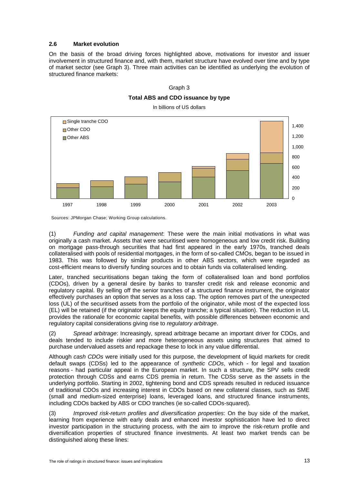## **2.6 Market evolution**

On the basis of the broad driving forces highlighted above, motivations for investor and issuer involvement in structured finance and, with them, market structure have evolved over time and by type of market sector (see Graph 3). Three main activities can be identified as underlying the evolution of structured finance markets:

#### Graph 3

#### **Total ABS and CDO issuance by type**



In billions of US dollars

Sources: JPMorgan Chase; Working Group calculations.

(1) *Funding and capital management*: These were the main initial motivations in what was originally a cash market. Assets that were securitised were homogeneous and low credit risk. Building on mortgage pass-through securities that had first appeared in the early 1970s, tranched deals collateralised with pools of residential mortgages, in the form of so-called CMOs, began to be issued in 1983. This was followed by similar products in other ABS sectors, which were regarded as cost-efficient means to diversify funding sources and to obtain funds via collateralised lending.

Later, tranched securitisations began taking the form of collateralised loan and bond portfolios (CDOs), driven by a general desire by banks to transfer credit risk and release economic and regulatory capital. By selling off the senior tranches of a structured finance instrument, the originator effectively purchases an option that serves as a loss cap. The option removes part of the unexpected loss (UL) of the securitised assets from the portfolio of the originator, while most of the expected loss (EL) will be retained (if the originator keeps the equity tranche; a typical situation). The reduction in UL provides the rationale for economic capital benefits, with possible differences between economic and regulatory capital considerations giving rise to *regulatory arbitrage*.

(2) *Spread arbitrage*: Increasingly, spread arbitrage became an important driver for CDOs, and deals tended to include riskier and more heterogeneous assets using structures that aimed to purchase undervalued assets and repackage these to lock in any value differential.

Although *cash CDOs* were initially used for this purpose, the development of liquid markets for credit default swaps (CDSs) led to the appearance of *synthetic CDOs*, which - for legal and taxation reasons - had particular appeal in the European market. In such a structure, the SPV sells credit protection through CDSs and earns CDS premia in return. The CDSs serve as the assets in the underlying portfolio. Starting in 2002, tightening bond and CDS spreads resulted in reduced issuance of traditional CDOs and increasing interest in CDOs based on new collateral classes, such as SME (small and medium-sized enterprise) loans, leveraged loans, and structured finance instruments, including CDOs backed by ABS or CDO tranches (ie so-called CDOs-squared).

(3) *Improved risk-return profiles and diversification properties*: On the buy side of the market, learning from experience with early deals and enhanced investor sophistication have led to direct investor participation in the structuring process, with the aim to improve the risk-return profile and diversification properties of structured finance investments. At least two market trends can be distinguished along these lines: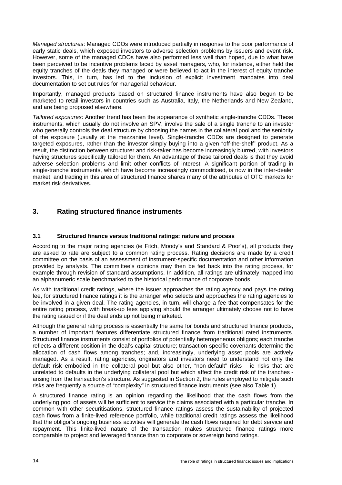*Managed structures*: Managed CDOs were introduced partially in response to the poor performance of early static deals, which exposed investors to adverse selection problems by issuers and event risk. However, some of the managed CDOs have also performed less well than hoped, due to what have been perceived to be incentive problems faced by asset managers, who, for instance, either held the equity tranches of the deals they managed or were believed to act in the interest of equity tranche investors. This, in turn, has led to the inclusion of explicit investment mandates into deal documentation to set out rules for managerial behaviour.

Importantly, managed products based on structured finance instruments have also begun to be marketed to retail investors in countries such as Australia, Italy, the Netherlands and New Zealand, and are being proposed elsewhere.

*Tailored exposures*: Another trend has been the appearance of synthetic single-tranche CDOs. These instruments, which usually do not involve an SPV, involve the sale of a single tranche to an investor who generally controls the deal structure by choosing the names in the collateral pool and the seniority of the exposure (usually at the mezzanine level). Single-tranche CDOs are designed to generate targeted exposures, rather than the investor simply buying into a given "off-the-shelf" product. As a result, the distinction between structurer and risk-taker has become increasingly blurred, with investors having structures specifically tailored for them. An advantage of these tailored deals is that they avoid adverse selection problems and limit other conflicts of interest. A significant portion of trading in single-tranche instruments, which have become increasingly commoditised, is now in the inter-dealer market, and trading in this area of structured finance shares many of the attributes of OTC markets for market risk derivatives.

# **3. Rating structured finance instruments**

# **3.1 Structured finance versus traditional ratings: nature and process**

According to the major rating agencies (ie Fitch, Moody's and Standard & Poor's), all products they are asked to rate are subject to a common rating process. Rating decisions are made by a credit committee on the basis of an assessment of instrument-specific documentation and other information provided by analysts. The committee's opinions may then be fed back into the rating process, for example through revision of standard assumptions. In addition, all ratings are ultimately mapped into an alphanumeric scale benchmarked to the historical performance of corporate bonds.

As with traditional credit ratings, where the issuer approaches the rating agency and pays the rating fee, for structured finance ratings it is the arranger who selects and approaches the rating agencies to be involved in a given deal. The rating agencies, in turn, will charge a fee that compensates for the entire rating process, with break-up fees applying should the arranger ultimately choose not to have the rating issued or if the deal ends up not being marketed.

Although the general rating process is essentially the same for bonds and structured finance products, a number of important features differentiate structured finance from traditional rated instruments. Structured finance instruments consist of portfolios of potentially heterogeneous obligors; each tranche reflects a different position in the deal's capital structure; transaction-specific covenants determine the allocation of cash flows among tranches; and, increasingly, underlying asset pools are actively managed. As a result, rating agencies, originators and investors need to understand not only the default risk embodied in the collateral pool but also other, "non-default" risks - ie risks that are unrelated to defaults in the underlying collateral pool but which affect the credit risk of the tranches arising from the transaction's structure. As suggested in Section 2, the rules employed to mitigate such risks are frequently a source of "complexity" in structured finance instruments (see also Table 1).

A structured finance rating is an opinion regarding the likelihood that the cash flows from the underlying pool of assets will be sufficient to service the claims associated with a particular tranche. In common with other securitisations, structured finance ratings assess the sustainability of projected cash flows from a finite-lived reference portfolio, while traditional credit ratings assess the likelihood that the obligor's ongoing business activities will generate the cash flows required for debt service and repayment. This finite-lived nature of the transaction makes structured finance ratings more comparable to project and leveraged finance than to corporate or sovereign bond ratings.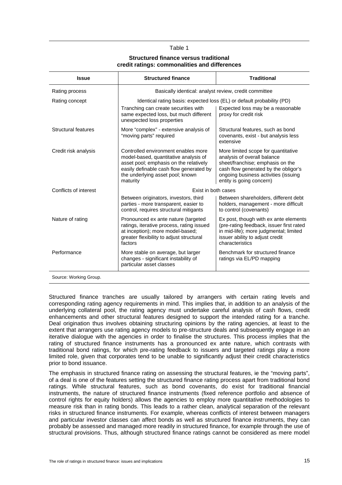#### Table 1

#### **Structured finance versus traditional credit ratings: commonalities and differences**

| <b>Issue</b>               | <b>Structured finance</b>                                                                                                                                                                                         | <b>Traditional</b>                                                                                                                                                                                                 |  |  |  |
|----------------------------|-------------------------------------------------------------------------------------------------------------------------------------------------------------------------------------------------------------------|--------------------------------------------------------------------------------------------------------------------------------------------------------------------------------------------------------------------|--|--|--|
| Rating process             | Basically identical: analyst review, credit committee                                                                                                                                                             |                                                                                                                                                                                                                    |  |  |  |
| Rating concept             | Identical rating basis: expected loss (EL) or default probability (PD)                                                                                                                                            |                                                                                                                                                                                                                    |  |  |  |
|                            | Tranching can create securities with<br>same expected loss, but much different<br>unexpected loss properties                                                                                                      | Expected loss may be a reasonable<br>proxy for credit risk                                                                                                                                                         |  |  |  |
| <b>Structural features</b> | More "complex" - extensive analysis of<br>"moving parts" required                                                                                                                                                 | Structural features, such as bond<br>covenants, exist - but analysis less<br>extensive                                                                                                                             |  |  |  |
| Credit risk analysis       | Controlled environment enables more<br>model-based, quantitative analysis of<br>asset pool; emphasis on the relatively<br>easily definable cash flow generated by<br>the underlying asset pool; known<br>maturity | More limited scope for quantitative<br>analysis of overall balance<br>sheet/franchise; emphasis on the<br>cash flow generated by the obligor's<br>ongoing business activities (issuing<br>entity is going concern) |  |  |  |
| Conflicts of interest      | Exist in both cases                                                                                                                                                                                               |                                                                                                                                                                                                                    |  |  |  |
|                            | Between originators, investors, third<br>parties - more transparent, easier to<br>control, requires structural mitigants                                                                                          | Between shareholders, different debt<br>holders, management - more difficult<br>to control (covenants)                                                                                                             |  |  |  |
| Nature of rating           | Pronounced ex ante nature (targeted<br>ratings, iterative process, rating issued<br>at inception); more model-based;<br>greater flexibility to adjust structural<br>factors                                       | Ex post, though with ex ante elements<br>(pre-rating feedback, issuer first rated<br>in mid-life); more judgmental; limited<br>issuer ability to adjust credit<br>characteristics                                  |  |  |  |
| Performance                | More stable on average, but larger<br>changes - significant instability of<br>particular asset classes                                                                                                            | Benchmark for structured finance<br>ratings via EL/PD mapping                                                                                                                                                      |  |  |  |
| Source: Working Group.     |                                                                                                                                                                                                                   |                                                                                                                                                                                                                    |  |  |  |

Structured finance tranches are usually tailored by arrangers with certain rating levels and corresponding rating agency requirements in mind. This implies that, in addition to an analysis of the underlying collateral pool, the rating agency must undertake careful analysis of cash flows, credit enhancements and other structural features designed to support the intended rating for a tranche. Deal origination thus involves obtaining structuring opinions by the rating agencies, at least to the extent that arrangers use rating agency models to pre-structure deals and subsequently engage in an iterative dialogue with the agencies in order to finalise the structures. This process implies that the rating of structured finance instruments has a pronounced ex ante nature, which contrasts with traditional bond ratings, for which pre-rating feedback to issuers and targeted ratings play a more limited role, given that corporates tend to be unable to significantly adjust their credit characteristics prior to bond issuance.

The emphasis in structured finance rating on assessing the structural features, ie the "moving parts", of a deal is one of the features setting the structured finance rating process apart from traditional bond ratings. While structural features, such as bond covenants, do exist for traditional financial instruments, the nature of structured finance instruments (fixed reference portfolio and absence of control rights for equity holders) allows the agencies to employ more quantitative methodologies to measure risk than in rating bonds. This leads to a rather clean, analytical separation of the relevant risks in structured finance instruments. For example, whereas conflicts of interest between managers and particular investor classes can affect bonds as well as structured finance instruments, they can probably be assessed and managed more readily in structured finance, for example through the use of structural provisions. Thus, although structured finance ratings cannot be considered as mere model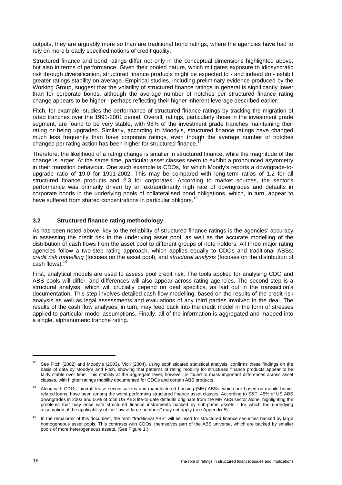outputs, they are arguably more so than are traditional bond ratings, where the agencies have had to rely on more broadly specified notions of credit quality.

Structured finance and bond ratings differ not only in the conceptual dimensions highlighted above, but also in terms of performance. Given their pooled nature, which mitigates exposure to idiosyncratic risk through diversification, structured finance products might be expected to - and indeed do - exhibit greater ratings stability on average. Empirical studies, including preliminary evidence produced by the Working Group, suggest that the volatility of structured finance ratings in general is significantly lower than for corporate bonds, although the average number of notches per structured finance rating change appears to be higher - perhaps reflecting their higher inherent leverage described earlier.

Fitch, for example, studies the performance of structured finance ratings by tracking the migration of rated tranches over the 1991-2001 period. Overall, ratings, particularly those in the investment grade segment, are found to be very stable, with 98% of the investment grade tranches maintaining their rating or being upgraded. Similarly, according to Moody's, structured finance ratings have changed much less frequently than have corporate ratings, even though the average number of notches changed per rating action has been higher for structured finance.

Therefore, the likelihood of a rating change is smaller in structured finance, while the magnitude of the change is larger. At the same time, particular asset classes seem to exhibit a pronounced asymmetry in their transition behaviour. One such example is CDOs, for which Moody's reports a downgrade-toupgrade ratio of 19.0 for 1991-2002. This may be compared with long-term ratios of 1.2 for all structured finance products and 2.3 for corporates. According to market sources, the sector's performance was primarily driven by an extraordinarily high rate of downgrades and defaults in corporate bonds in the underlying pools of collateralised bond obligations, which, in turn, appear to have suffered from shared concentrations in particular obligors.<sup>13</sup>

# **3.2 Structured finance rating methodology**

As has been noted above, key to the reliability of structured finance ratings is the agencies' accuracy in assessing the credit risk in the underlying asset pool, as well as the accurate modelling of the distribution of cash flows from the asset pool to different groups of note holders. All three major rating agencies follow a two-step rating approach, which applies equally to CDOs and traditional ABSs: *credit risk modelling* (focuses on the asset pool), and *structural analysis* (focuses on the distribution of cash flows). $14$ 

First, analytical models are used to assess pool credit risk. The tools applied for analysing CDO and ABS pools will differ, and differences will also appear across rating agencies. The second step is a structural analysis, which will crucially depend on deal specifics, as laid out in the transaction's documentation. This step involves detailed cash flow modelling, based on the results of the credit risk analysis as well as legal assessments and evaluations of any third parties involved in the deal. The results of the cash flow analyses, in turn, may feed back into the credit model in the form of stresses applied to particular model assumptions. Finally, all of the information is aggregated and mapped into a single, alphanumeric tranche rating.

See Fitch (2002) and Moody's (2003). Violi (2004), using sophisticated statistical analysis, confirms these findings on the basis of data by Moody's and Fitch, showing that patterns of rating mobility for structured finance products appear to be fairly stable over time. This stability at the aggregate level, however, is found to mask important differences across asset classes, with higher ratings mobility documented for CDOs and certain ABS products.

 $13$  Along with CDOs, aircraft lease securitisations and manufactured housing (MH) ABSs, which are based on mobile homerelated loans, have been among the worst performing structured finance asset classes. According to S&P, 45% of US ABS downgrades in 2003 and 56% of total US ABS life-to-date defaults originate from the MH ABS sector alone, highlighting the problems that may arise with structured finance instruments backed by sub-prime assets - for which the underlying assumption of the applicability of the "law of large numbers" may not apply (see Appendix 5).

In the remainder of this document, the term "traditional ABS" will be used for structured finance securities backed by large homogeneous asset pools. This contrasts with CDOs, themselves part of the ABS universe, which are backed by smaller pools of more heterogeneous assets. (See Figure 1.)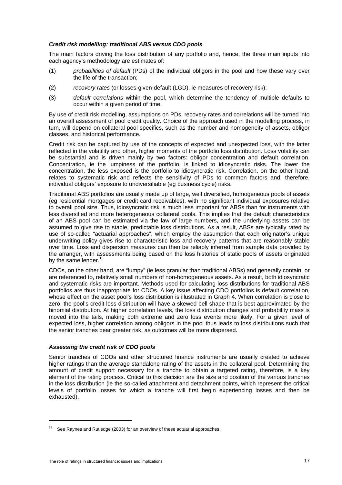## *Credit risk modelling: traditional ABS versus CDO pools*

The main factors driving the loss distribution of any portfolio and, hence, the three main inputs into each agency's methodology are estimates of:

- (1) *probabilities of default* (PDs) of the individual obligors in the pool and how these vary over the life of the transaction;
- (2) *recovery rates* (or losses-given-default (LGD), ie measures of recovery risk);
- (3) *default correlations* within the pool, which determine the tendency of multiple defaults to occur within a given period of time.

By use of credit risk modelling, assumptions on PDs, recovery rates and correlations will be turned into an overall assessment of pool credit quality. Choice of the approach used in the modelling process, in turn, will depend on collateral pool specifics, such as the number and homogeneity of assets, obligor classes, and historical performance.

Credit risk can be captured by use of the concepts of expected and unexpected loss, with the latter reflected in the volatility and other, higher moments of the portfolio loss distribution. Loss volatility can be substantial and is driven mainly by two factors: obligor concentration and default correlation. Concentration, ie the lumpiness of the portfolio, is linked to idiosyncratic risks. The lower the concentration, the less exposed is the portfolio to idiosyncratic risk. Correlation, on the other hand, relates to systematic risk and reflects the sensitivity of PDs to common factors and, therefore, individual obligors' exposure to undiversifiable (eg business cycle) risks.

Traditional ABS portfolios are usually made up of large, well diversified, homogeneous pools of assets (eg residential mortgages or credit card receivables), with no significant individual exposures relative to overall pool size. Thus, idiosyncratic risk is much less important for ABSs than for instruments with less diversified and more heterogeneous collateral pools. This implies that the default characteristics of an ABS pool can be estimated via the law of large numbers, and the underlying assets can be assumed to give rise to stable, predictable loss distributions. As a result, ABSs are typically rated by use of so-called "actuarial approaches", which employ the assumption that each originator's unique underwriting policy gives rise to characteristic loss and recovery patterns that are reasonably stable over time. Loss and dispersion measures can then be reliably inferred from sample data provided by the arranger, with assessments being based on the loss histories of static pools of assets originated by the same lender.<sup>15</sup>

CDOs, on the other hand, are "lumpy" (ie less granular than traditional ABSs) and generally contain, or are referenced to, relatively small numbers of non-homogeneous assets. As a result, both idiosyncratic and systematic risks are important. Methods used for calculating loss distributions for traditional ABS portfolios are thus inappropriate for CDOs. A key issue affecting CDO portfolios is default correlation, whose effect on the asset pool's loss distribution is illustrated in Graph 4. When correlation is close to zero, the pool's credit loss distribution will have a skewed bell shape that is best approximated by the binomial distribution. At higher correlation levels, the loss distribution changes and probability mass is moved into the tails, making both extreme and zero loss events more likely. For a given level of expected loss, higher correlation among obligors in the pool thus leads to loss distributions such that the senior tranches bear greater risk, as outcomes will be more dispersed.

# *Assessing the credit risk of CDO pools*

Senior tranches of CDOs and other structured finance instruments are usually created to achieve higher ratings than the average standalone rating of the assets in the collateral pool. Determining the amount of credit support necessary for a tranche to obtain a targeted rating, therefore, is a key element of the rating process. Critical to this decision are the size and position of the various tranches in the loss distribution (ie the so-called attachment and detachment points, which represent the critical levels of portfolio losses for which a tranche will first begin experiencing losses and then be exhausted).

 $\overline{a}$ 

See Raynes and Rutledge (2003) for an overview of these actuarial approaches.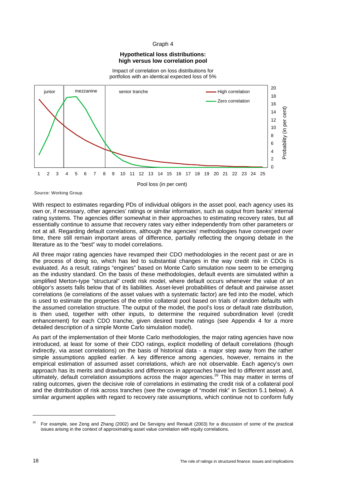## Graph 4

## **Hypothetical loss distributions: high versus low correlation pool**

Impact of correlation on loss distributions for portfolios with an identical expected loss of 5%



Source: Working Group.

With respect to estimates regarding PDs of individual obligors in the asset pool, each agency uses its own or, if necessary, other agencies' ratings or similar information, such as output from banks' internal rating systems. The agencies differ somewhat in their approaches to estimating recovery rates, but all essentially continue to assume that recovery rates vary either independently from other parameters or not at all. Regarding default correlations, although the agencies' methodologies have converged over time, there still remain important areas of difference, partially reflecting the ongoing debate in the literature as to the "best" way to model correlations.

All three major rating agencies have revamped their CDO methodologies in the recent past or are in the process of doing so, which has led to substantial changes in the way credit risk in CDOs is evaluated. As a result, ratings "engines" based on Monte Carlo simulation now seem to be emerging as the industry standard. On the basis of these methodologies, default events are simulated within a simplified Merton-type "structural" credit risk model, where default occurs whenever the value of an obligor's assets falls below that of its liabilities. Asset-level probabilities of default and pairwise asset correlations (ie correlations of the asset values with a systematic factor) are fed into the model, which is used to estimate the properties of the entire collateral pool based on trials of random defaults with the assumed correlation structure. The output of the model, the pool's loss or default rate distribution, is then used, together with other inputs, to determine the required subordination level (credit enhancement) for each CDO tranche, given desired tranche ratings (see Appendix 4 for a more detailed description of a simple Monte Carlo simulation model).

As part of the implementation of their Monte Carlo methodologies, the major rating agencies have now introduced, at least for some of their CDO ratings, explicit modelling of default correlations (though indirectly, via asset correlations) on the basis of historical data - a major step away from the rather simple assumptions applied earlier. A key difference among agencies, however, remains in the empirical estimation of assumed asset correlations, which are not observable. Each agency's own approach has its merits and drawbacks and differences in approaches have led to different asset and, ultimately, default correlation assumptions across the major agencies.<sup>16</sup> This may matter in terms of rating outcomes, given the decisive role of correlations in estimating the credit risk of a collateral pool and the distribution of risk across tranches (see the coverage of "model risk" in Section 5.1 below). A similar argument applies with regard to recovery rate assumptions, which continue not to conform fully

<sup>&</sup>lt;sup>16</sup> For example, see Zeng and Zhang (2002) and De Servigny and Renault (2003) for a discussion of some of the practical issues arising in the context of approximating asset value correlation with equity correlations.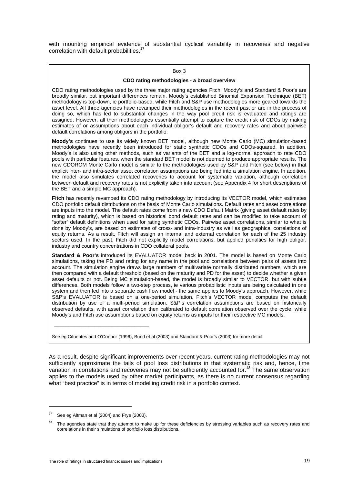with mounting empirical evidence of substantial cyclical variability in recoveries and negative correlation with default probabilities.<sup>17</sup>

#### Box 3

#### **CDO rating methodologies - a broad overview**

CDO rating methodologies used by the three major rating agencies Fitch, Moody's and Standard & Poor's are broadly similar, but important differences remain. Moody's established Binomial Expansion Technique (BET) methodology is top-down, ie portfolio-based, while Fitch and S&P use methodologies more geared towards the asset level. All three agencies have revamped their methodologies in the recent past or are in the process of doing so, which has led to substantial changes in the way pool credit risk is evaluated and ratings are assigned. However, all their methodologies essentially attempt to capture the credit risk of CDOs by making estimates of or assumptions about each individual obligor's default and recovery rates and about pairwise default correlations among obligors in the portfolio.

**Moody's** continues to use its widely known BET model, although new Monte Carlo (MC) simulation-based methodologies have recently been introduced for static synthetic CDOs and CDOs-squared. In addition, Moody's is also using other methods, such as variants of the BET and a log-normal approach to rate CDO pools with particular features, when the standard BET model is not deemed to produce appropriate results. The new CDOROM Monte Carlo model is similar to the methodologies used by S&P and Fitch (see below) in that explicit inter- and intra-sector asset correlation assumptions are being fed into a simulation engine. In addition, the model also simulates correlated recoveries to account for systematic variation, although correlation between default and recovery rates is not explicitly taken into account (see Appendix 4 for short descriptions of the BET and a simple MC approach).

Fitch has recently revamped its CDO rating methodology by introducing its VECTOR model, which estimates CDO portfolio default distributions on the basis of Monte Carlo simulations. Default rates and asset correlations are inputs into the model. The default rates come from a new CDO Default Matrix (giving asset default rates by rating and maturity), which is based on historical bond default rates and can be modified to take account of "softer" default definitions when used for rating synthetic CDOs. Pairwise asset correlations, similar to what is done by Moody's, are based on estimates of cross- and intra-industry as well as geographical correlations of equity returns. As a result, Fitch will assign an internal and external correlation for each of the 25 industry sectors used. In the past, Fitch did not explicitly model correlations, but applied penalties for high obligor, industry and country concentrations in CDO collateral pools.

**Standard & Poor's** introduced its EVALUATOR model back in 2001. The model is based on Monte Carlo simulations, taking the PD and rating for any name in the pool and correlations between pairs of assets into account. The simulation engine draws large numbers of multivariate normally distributed numbers, which are then compared with a default threshold (based on the maturity and PD for the asset) to decide whether a given asset defaults or not. Being MC simulation-based, the model is broadly similar to VECTOR, but with subtle differences. Both models follow a two-step process, ie various probabilistic inputs are being calculated in one system and then fed into a separate cash flow model - the same applies to Moody's approach. However, while S&P's EVALUATOR is based on a one-period simulation, Fitch's VECTOR model computes the default distribution by use of a multi-period simulation. S&P's correlation assumptions are based on historically observed defaults, with asset correlation then calibrated to default correlation observed over the cycle, while Moody's and Fitch use assumptions based on equity returns as inputs for their respective MC models.

See eg Cifuentes and O'Connor (1996), Bund et al (2003) and Standard & Poor's (2003) for more detail.

As a result, despite significant improvements over recent years, current rating methodologies may not sufficiently approximate the tails of pool loss distributions in that systematic risk and, hence, time variation in correlations and recoveries may not be sufficiently accounted for.<sup>18</sup> The same observation applies to the models used by other market participants, as there is no current consensus regarding what "best practice" is in terms of modelling credit risk in a portfolio context.

 $\overline{a}$ 

\_\_\_\_\_\_\_\_\_\_\_\_\_\_\_\_\_\_\_\_\_\_\_\_\_\_\_\_\_\_\_\_\_

See eg Altman et al (2004) and Frye (2003).

The agencies state that they attempt to make up for these deficiencies by stressing variables such as recovery rates and correlations in their simulations of portfolio loss distributions.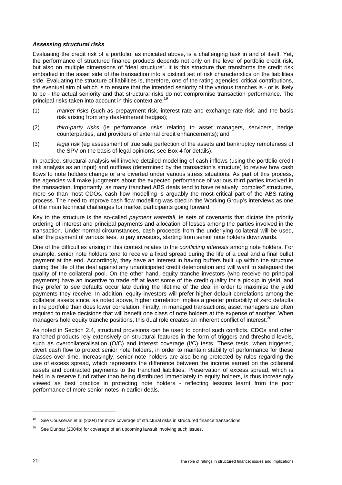## *Assessing structural risks*

Evaluating the credit risk of a portfolio, as indicated above, is a challenging task in and of itself. Yet, the performance of structured finance products depends not only on the level of portfolio credit risk, but also on multiple dimensions of "deal structure". It is this structure that transforms the credit risk embodied in the asset side of the transaction into a distinct set of risk characteristics on the liabilities side. Evaluating the structure of liabilities is, therefore, one of the rating agencies' critical contributions, the eventual aim of which is to ensure that the intended seniority of the various tranches is - or is likely to be - the actual seniority and that structural risks do not compromise transaction performance. The principal risks taken into account in this context are:<sup>1</sup>

- (1) *market risks* (such as prepayment risk, interest rate and exchange rate risk, and the basis risk arising from any deal-inherent hedges);
- (2) *third-party risks* (ie performance risks relating to asset managers, servicers, hedge counterparties, and providers of external credit enhancements); and
- (3) *legal risk* (eg assessment of true sale perfection of the assets and bankruptcy remoteness of the SPV on the basis of legal opinions; see Box 4 for details).

In practice, structural analysis will involve detailed modelling of cash inflows (using the portfolio credit risk analysis as an input) and outflows (determined by the transaction's structure) to review how cash flows to note holders change or are diverted under various stress situations. As part of this process, the agencies will make judgments about the expected performance of various third parties involved in the transaction. Importantly, as many tranched ABS deals tend to have relatively "complex" structures, more so than most CDOs, cash flow modelling is arguably the most critical part of the ABS rating process. The need to improve cash flow modelling was cited in the Working Group's interviews as one of the main technical challenges for market participants going forward.

Key to the structure is the so-called *payment waterfall*, ie sets of covenants that dictate the priority ordering of interest and principal payments and allocation of losses among the parties involved in the transaction. Under normal circumstances, cash proceeds from the underlying collateral will be used, after the payment of various fees, to pay investors, starting from senior note holders downwards.

One of the difficulties arising in this context relates to the *conflicting interests* among note holders. For example, senior note holders tend to receive a fixed spread during the life of a deal and a final bullet payment at the end. Accordingly, they have an interest in having buffers built up within the structure during the life of the deal against any unanticipated credit deterioration and will want to safeguard the quality of the collateral pool. On the other hand, equity tranche investors (who receive no principal payments) have an incentive to trade off at least some of the credit quality for a pickup in yield, and they prefer to see defaults occur late during the lifetime of the deal in order to maximise the yield payments they receive. In addition, equity investors will prefer higher default correlations among the collateral assets since, as noted above, higher correlation implies a greater probability of zero defaults in the portfolio than does lower correlation. Finally, in managed transactions, asset managers are often required to make decisions that will benefit one class of note holders at the expense of another. When managers hold equity tranche positions, this dual role creates an inherent conflict of interest.<sup>20</sup>

As noted in Section 2.4, structural provisions can be used to control such conflicts. CDOs and other tranched products rely extensively on structural features in the form of triggers and threshold levels, such as overcollateralisation (O/C) and interest coverage (I/C) tests. These tests, when triggered, divert cash flow to protect senior note holders, in order to maintain stability of performance for these classes over time. Increasingly, senior note holders are also being protected by rules regarding the use of excess spread, which represents the difference between the income earned on the collateral assets and contracted payments to the tranched liabilities. Preservation of excess spread, which is held in a reserve fund rather than being distributed immediately to equity holders, is thus increasingly viewed as best practice in protecting note holders - reflecting lessons learnt from the poor performance of more senior notes in earlier deals.

 $19$  See Cousseran et al (2004) for more coverage of structural risks in structured finance transactions.

 $20$  See Dunbar (2004b) for coverage of an upcoming lawsuit involving such issues.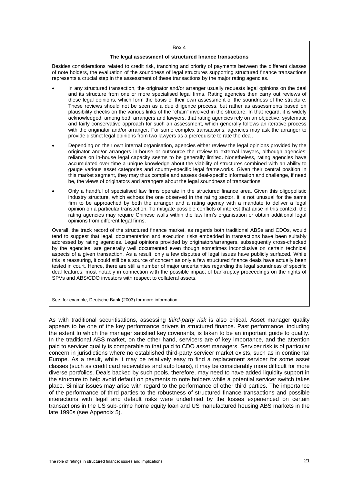#### Box 4

#### **The legal assessment of structured finance transactions**

Besides considerations related to credit risk, tranching and priority of payments between the different classes of note holders, the evaluation of the soundness of legal structures supporting structured finance transactions represents a crucial step in the assessment of these transactions by the major rating agencies.

- In any structured transaction, the originator and/or arranger usually requests legal opinions on the deal and its structure from one or more specialised legal firms. Rating agencies then carry out reviews of these legal opinions, which form the basis of their own assessment of the soundness of the structure. These reviews should not be seen as a due diligence process, but rather as assessments based on plausibility checks on the various links of the "chain" involved in the structure. In that regard, it is widely acknowledged, among both arrangers and lawyers, that rating agencies rely on an objective, systematic and fairly conservative approach for such an assessment, which generally follows an iterative process with the originator and/or arranger. For some complex transactions, agencies may ask the arranger to provide distinct legal opinions from two lawyers as a prerequisite to rate the deal.
- Depending on their own internal organisation, agencies either review the legal opinions provided by the originator and/or arrangers in-house or outsource the review to external lawyers, although agencies' reliance on in-house legal capacity seems to be generally limited. Nonetheless, rating agencies have accumulated over time a unique knowledge about the viability of structures combined with an ability to gauge various asset categories and country-specific legal frameworks. Given their central position in this market segment, they may thus compile and assess deal-specific information and challenge, if need be, the views of originators and arrangers about the legal soundness of transactions.
- Only a handful of specialised law firms operate in the structured finance area. Given this oligopolistic industry structure, which echoes the one observed in the rating sector, it is not unusual for the same firm to be approached by both the arranger and a rating agency with a mandate to deliver a legal opinion on a particular transaction. To mitigate possible conflicts of interest that arise in this context, the rating agencies may require Chinese walls within the law firm's organisation or obtain additional legal opinions from different legal firms.

Overall, the track record of the structured finance market, as regards both traditional ABSs and CDOs, would tend to suggest that legal, documentation and execution risks embedded in transactions have been suitably addressed by rating agencies. Legal opinions provided by originators/arrangers, subsequently cross-checked by the agencies, are generally well documented even though sometimes inconclusive on certain technical aspects of a given transaction. As a result, only a few disputes of legal issues have publicly surfaced. While this is reassuring, it could still be a source of concern as only a few structured finance deals have actually been tested in court. Hence, there are still a number of major uncertainties regarding the legal soundness of specific deal features, most notably in connection with the possible impact of bankruptcy proceedings on the rights of SPVs and ABS/CDO investors with respect to collateral assets.

See, for example, Deutsche Bank (2003) for more information.

\_\_\_\_\_\_\_\_\_\_\_\_\_\_\_\_\_\_\_\_\_\_\_\_\_\_\_\_\_\_\_\_\_

As with traditional securitisations, assessing *third-party risk* is also critical. Asset manager quality appears to be one of the key performance drivers in structured finance. Past performance, including the extent to which the manager satisfied key covenants, is taken to be an important guide to quality. In the traditional ABS market, on the other hand, servicers are of key importance, and the attention paid to servicer quality is comparable to that paid to CDO asset managers. Servicer risk is of particular concern in jurisdictions where no established third-party servicer market exists, such as in continental Europe. As a result, while it may be relatively easy to find a replacement servicer for some asset classes (such as credit card receivables and auto loans), it may be considerably more difficult for more diverse portfolios. Deals backed by such pools, therefore, may need to have added liquidity support in the structure to help avoid default on payments to note holders while a potential servicer switch takes place. Similar issues may arise with regard to the performance of other third parties. The importance of the performance of third parties to the robustness of structured finance transactions and possible interactions with legal and default risks were underlined by the losses experienced on certain transactions in the US sub-prime home equity loan and US manufactured housing ABS markets in the late 1990s (see Appendix 5).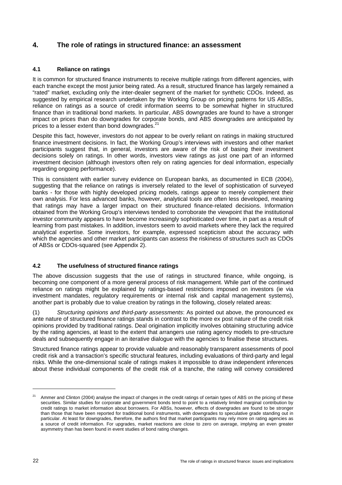# **4. The role of ratings in structured finance: an assessment**

# **4.1 Reliance on ratings**

It is common for structured finance instruments to receive multiple ratings from different agencies, with each tranche except the most junior being rated. As a result, structured finance has largely remained a "rated" market, excluding only the inter-dealer segment of the market for synthetic CDOs. Indeed, as suggested by empirical research undertaken by the Working Group on pricing patterns for US ABSs, reliance on ratings as a source of credit information seems to be somewhat higher in structured finance than in traditional bond markets. In particular, ABS downgrades are found to have a stronger impact on prices than do downgrades for corporate bonds, and ABS downgrades are anticipated by prices to a lesser extent than bond downgrades.<sup>21</sup>

Despite this fact, however, investors do not appear to be overly reliant on ratings in making structured finance investment decisions. In fact, the Working Group's interviews with investors and other market participants suggest that, in general, investors are aware of the risk of basing their investment decisions solely on ratings. In other words, investors view ratings as just one part of an informed investment decision (although investors often rely on rating agencies for deal information, especially regarding ongoing performance).

This is consistent with earlier survey evidence on European banks, as documented in ECB (2004), suggesting that the reliance on ratings is inversely related to the level of sophistication of surveyed banks - for those with highly developed pricing models, ratings appear to merely complement their own analysis. For less advanced banks, however, analytical tools are often less developed, meaning that ratings may have a larger impact on their structured finance-related decisions. Information obtained from the Working Group's interviews tended to corroborate the viewpoint that the institutional investor community appears to have become increasingly sophisticated over time, in part as a result of learning from past mistakes. In addition, investors seem to avoid markets where they lack the required analytical expertise. Some investors, for example, expressed scepticism about the accuracy with which the agencies and other market participants can assess the riskiness of structures such as CDOs of ABSs or CDOs-squared (see Appendix 2).

# **4.2 The usefulness of structured finance ratings**

The above discussion suggests that the use of ratings in structured finance, while ongoing, is becoming one component of a more general process of risk management. While part of the continued reliance on ratings might be explained by ratings-based restrictions imposed on investors (ie via investment mandates, regulatory requirements or internal risk and capital management systems), another part is probably due to value creation by ratings in the following, closely related areas:

(1) *Structuring opinions and third-party assessments*: As pointed out above, the pronounced ex ante nature of structured finance ratings stands in contrast to the more ex post nature of the credit risk opinions provided by traditional ratings. Deal origination implicitly involves obtaining structuring advice by the rating agencies, at least to the extent that arrangers use rating agency models to pre-structure deals and subsequently engage in an iterative dialogue with the agencies to finalise these structures.

Structured finance ratings appear to provide valuable and reasonably transparent assessments of pool credit risk and a transaction's specific structural features, including evaluations of third-party and legal risks. While the one-dimensional scale of ratings makes it impossible to draw independent inferences about these individual components of the credit risk of a tranche, the rating will convey considered

<sup>&</sup>lt;sup>21</sup> Ammer and Clinton (2004) analyse the impact of changes in the credit ratings of certain types of ABS on the pricing of these securities. Similar studies for corporate and government bonds tend to point to a relatively limited marginal contribution by credit ratings to market information about borrowers. For ABSs, however, effects of downgrades are found to be stronger than those that have been reported for traditional bond instruments, with downgrades to speculative grade standing out in particular. At least for downgrades, therefore, the authors find that market participants may rely more on rating agencies as a source of credit information. For upgrades, market reactions are close to zero on average, implying an even greater asymmetry than has been found in event studies of bond rating changes.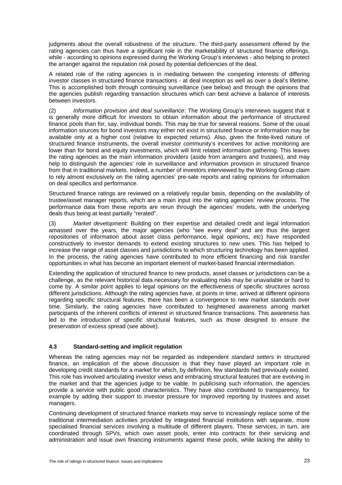judgments about the overall robustness of the structure. The third-party assessment offered by the rating agencies can thus have a significant role in the marketability of structured finance offerings, while - according to opinions expressed during the Working Group's interviews - also helping to protect the arranger against the reputation risk posed by potential deficiencies of the deal.

A related role of the rating agencies is in mediating between the competing interests of differing investor classes in structured finance transactions - at deal inception as well as over a deal's lifetime. This is accomplished both through continuing surveillance (see below) and through the opinions that the agencies publish regarding transaction structures which can best achieve a balance of interests between investors.

(2) *Information provision and deal surveillance*: The Working Group's interviews suggest that it is generally more difficult for investors to obtain information about the performance of structured finance pools than for, say, individual bonds. This may be true for several reasons. Some of the usual information sources for bond investors may either not exist in structured finance or information may be available only at a higher cost (relative to expected returns). Also, given the finite-lived nature of structured finance instruments, the overall investor community's incentives for active monitoring are lower than for bond and equity investments, which will limit related information gathering. This leaves the rating agencies as the main information providers (aside from arrangers and trustees), and may help to distinguish the agencies' role in surveillance and information provision in structured finance from that in traditional markets. Indeed, a number of investors interviewed by the Working Group claim to rely almost exclusively on the rating agencies' pre-sale reports and rating opinions for information on deal specifics and performance.

Structured finance ratings are reviewed on a relatively regular basis, depending on the availability of trustee/asset manager reports, which are a main input into the rating agencies' review process. The performance data from these reports are rerun through the agencies' models, with the underlying deals thus being at least partially "rerated".

(3) *Market development*: Building on their expertise and detailed credit and legal information amassed over the years, the major agencies (who "see every deal" and are thus the largest repositories of information about asset class performance, legal opinions, etc) have responded constructively to investor demands to extend existing structures to new uses. This has helped to increase the range of asset classes and jurisdictions to which structuring technology has been applied. In the process, the rating agencies have contributed to more efficient financing and risk transfer opportunities in what has become an important element of market-based financial intermediation.

Extending the application of structured finance to new products, asset classes or jurisdictions can be a challenge, as the relevant historical data necessary for evaluating risks may be unavailable or hard to come by. A similar point applies to legal opinions on the effectiveness of specific structures across different jurisdictions. Although the rating agencies have, at points in time, arrived at different opinions regarding specific structural features, there has been a convergence to new market standards over time. Similarly, the rating agencies have contributed to heightened awareness among market participants of the inherent conflicts of interest in structured finance transactions. This awareness has led to the introduction of specific structural features, such as those designed to ensure the preservation of excess spread (see above).

# **4.3 Standard-setting and implicit regulation**

Whereas the rating agencies may not be regarded as independent *standard setters* in structured finance, an implication of the above discussion is that they have played an important role in developing credit standards for a market for which, by definition, few standards had previously existed. This role has involved articulating investor views and embracing structural features that are evolving in the market and that the agencies judge to be viable. In publicising such information, the agencies provide a service with public good characteristics. They have also contributed to transparency, for example by adding their support to investor pressure for improved reporting by trustees and asset managers.

Continuing development of structured finance markets may serve to increasingly replace some of the traditional intermediation activities provided by integrated financial institutions with separate, more specialised financial services involving a multitude of different players. These services, in turn, are coordinated through SPVs, which own asset pools, enter into contracts for their servicing and administration and issue own financing instruments against these pools, while lacking the ability to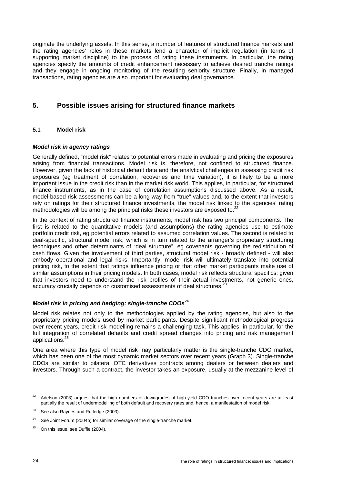originate the underlying assets. In this sense, a number of features of structured finance markets and the rating agencies' roles in these markets lend a character of implicit regulation (in terms of supporting market discipline) to the process of rating these instruments. In particular, the rating agencies specify the amounts of credit enhancement necessary to achieve desired tranche ratings and they engage in ongoing monitoring of the resulting seniority structure. Finally, in managed transactions, rating agencies are also important for evaluating deal governance.

# **5. Possible issues arising for structured finance markets**

# **5.1 Model risk**

## *Model risk in agency ratings*

Generally defined, "model risk" relates to potential errors made in evaluating and pricing the exposures arising from financial transactions. Model risk is, therefore, not confined to structured finance. However, given the lack of historical default data and the analytical challenges in assessing credit risk exposures (eg treatment of correlation, recoveries and time variation), it is likely to be a more important issue in the credit risk than in the market risk world. This applies, in particular, for structured finance instruments, as in the case of correlation assumptions discussed above. As a result, model-based risk assessments can be a long way from "true" values and, to the extent that investors rely on ratings for their structured finance investments, the model risk linked to the agencies' rating methodologies will be among the principal risks these investors are exposed to.<sup>22</sup>

In the context of rating structured finance instruments, model risk has two principal components. The first is related to the quantitative models (and assumptions) the rating agencies use to estimate portfolio credit risk, eg potential errors related to assumed correlation values. The second is related to deal-specific, structural model risk, which is in turn related to the arranger's proprietary structuring techniques and other determinants of "deal structure", eg covenants governing the redistribution of cash flows. Given the involvement of third parties, structural model risk - broadly defined - will also embody operational and legal risks. Importantly, model risk will ultimately translate into potential pricing risk, to the extent that ratings influence pricing or that other market participants make use of similar assumptions in their pricing models. In both cases, model risk reflects structural specifics: given that investors need to understand the risk profiles of their actual investments, not generic ones, accuracy crucially depends on customised assessments of deal structures.<sup>23</sup>

# *Model risk in pricing and hedging: single-tranche CDOs*<sup>24</sup>

Model risk relates not only to the methodologies applied by the rating agencies, but also to the proprietary pricing models used by market participants. Despite significant methodological progress over recent years, credit risk modelling remains a challenging task. This applies, in particular, for the full integration of correlated defaults and credit spread changes into pricing and risk management applications.25

One area where this type of model risk may particularly matter is the single-tranche CDO market, which has been one of the most dynamic market sectors over recent years (Graph 3). Single-tranche CDOs are similar to bilateral OTC derivatives contracts among dealers or between dealers and investors. Through such a contract, the investor takes an exposure, usually at the mezzanine level of

<sup>&</sup>lt;sup>22</sup> Adelson (2003) argues that the high numbers of downgrades of high-yield CDO tranches over recent years are at least partially the result of undermodelling of both default and recovery rates and, hence, a manifestation of model risk.

See also Raynes and Rutledge (2003).

<sup>&</sup>lt;sup>24</sup> See Joint Forum (2004b) for similar coverage of the single-tranche market.

 $25$  On this issue, see Duffie (2004).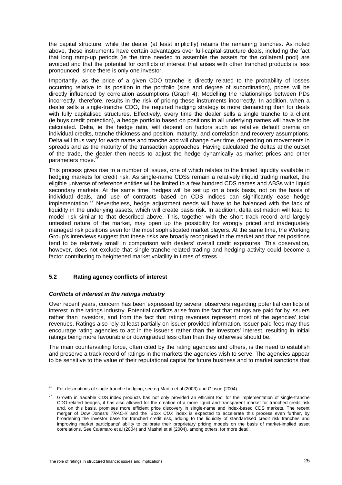the capital structure, while the dealer (at least implicitly) retains the remaining tranches. As noted above, these instruments have certain advantages over full-capital-structure deals, including the fact that long ramp-up periods (ie the time needed to assemble the assets for the collateral pool) are avoided and that the potential for conflicts of interest that arises with other tranched products is less pronounced, since there is only one investor.

Importantly, as the price of a given CDO tranche is directly related to the probability of losses occurring relative to its position in the portfolio (size and degree of subordination), prices will be directly influenced by correlation assumptions (Graph 4). Modelling the relationships between PDs incorrectly, therefore, results in the risk of pricing these instruments incorrectly. In addition, when a dealer sells a single-tranche CDO, the required hedging strategy is more demanding than for deals with fully capitalised structures. Effectively, every time the dealer sells a single tranche to a client (ie buys credit protection), a hedge portfolio based on positions in all underlying names will have to be calculated. Delta, ie the hedge ratio, will depend on factors such as relative default premia on individual credits, tranche thickness and position, maturity, and correlation and recovery assumptions. Delta will thus vary for each name and tranche and will change over time, depending on movements in spreads and as the maturity of the transaction approaches. Having calculated the deltas at the outset of the trade, the dealer then needs to adjust the hedge dynamically as market prices and other parameters move.<sup>26</sup>

This process gives rise to a number of issues, one of which relates to the limited liquidity available in hedging markets for credit risk. As single-name CDSs remain a relatively illiquid trading market, the eligible universe of reference entities will be limited to a few hundred CDS names and ABSs with liquid secondary markets. At the same time, hedges will be set up on a book basis, not on the basis of individual deals, and use of contracts based on CDS indices can significantly ease hedge implementation.<sup>27</sup> Nevertheless, hedge adjustment needs will have to be balanced with the lack of liquidity in the underlying assets, which will create basis risk. In addition, delta estimation will lead to model risk similar to that described above. This, together with the short track record and largely untested nature of the market, may open up the possibility for wrongly priced and inadequately managed risk positions even for the most sophisticated market players. At the same time, the Working Group's interviews suggest that these risks are broadly recognised in the market and that net positions tend to be relatively small in comparison with dealers' overall credit exposures. This observation, however, does not exclude that single-tranche-related trading and hedging activity could become a factor contributing to heightened market volatility in times of stress.

# **5.2 Rating agency conflicts of interest**

# *Conflicts of interest in the ratings industry*

Over recent years, concern has been expressed by several observers regarding potential conflicts of interest in the ratings industry. Potential conflicts arise from the fact that ratings are paid for by issuers rather than investors, and from the fact that rating revenues represent most of the agencies' total revenues. Ratings also rely at least partially on issuer-provided information. Issuer-paid fees may thus encourage rating agencies to act in the issuer's rather than the investors' interest, resulting in initial ratings being more favourable or downgraded less often than they otherwise should be.

The main countervailing force, often cited by the rating agencies and others, is the need to establish and preserve a track record of ratings in the markets the agencies wish to serve. The agencies appear to be sensitive to the value of their reputational capital for future business and to market sanctions that

<sup>26</sup> For descriptions of single-tranche hedging, see eg Martin et al (2003) and Gibson (2004).

<sup>27</sup> Growth in tradable CDS index products has not only provided an efficient tool for the implementation of single-tranche CDO-related hedges, it has also allowed for the creation of a more liquid and transparent market for tranched credit risk and, on this basis, promises more efficient price discovery in single-name and index-based CDS markets. The recent merger of Dow Jones's *TRAC-X* and the iBoxx *CDX* index is expected to accelerate this process even further, by broadening the investor base for tranched credit risk, adding to the liquidity of standardised credit risk tranches and improving market participants' ability to calibrate their proprietary pricing models on the basis of market-implied asset correlations. See Calamaro et al (2004) and Mashal et al (2004), among others, for more detail.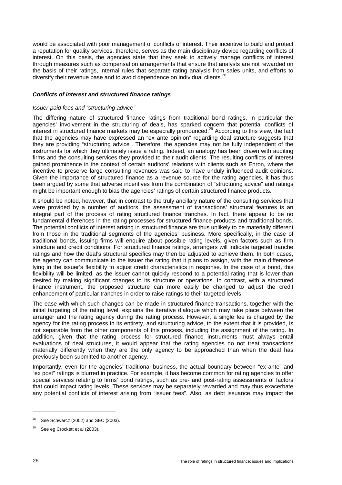would be associated with poor management of conflicts of interest. Their incentive to build and protect a reputation for quality services, therefore, serves as the main disciplinary device regarding conflicts of interest. On this basis, the agencies state that they seek to actively manage conflicts of interest through measures such as compensation arrangements that ensure that analysts are not rewarded on the basis of their ratings, internal rules that separate rating analysis from sales units, and efforts to diversify their revenue base and to avoid dependence on individual clients.<sup>28</sup>

## *Conflicts of interest and structured finance ratings*

#### *Issuer-paid fees and "structuring advice"*

The differing nature of structured finance ratings from traditional bond ratings, in particular the agencies' involvement in the structuring of deals, has sparked concern that potential conflicts of interest in structured finance markets may be especially pronounced.29 According to this view, the fact that the agencies may have expressed an "ex ante opinion" regarding deal structure suggests that they are providing "structuring advice". Therefore, the agencies may not be fully independent of the instruments for which they ultimately issue a rating. Indeed, an analogy has been drawn with auditing firms and the consulting services they provided to their audit clients. The resulting conflicts of interest gained prominence in the context of certain auditors' relations with clients such as Enron, where the incentive to preserve large consulting revenues was said to have unduly influenced audit opinions. Given the importance of structured finance as a revenue source for the rating agencies, it has thus been argued by some that adverse incentives from the combination of "structuring advice" and ratings might be important enough to bias the agencies' ratings of certain structured finance products.

It should be noted, however, that in contrast to the truly ancillary nature of the consulting services that were provided by a number of auditors, the assessment of transactions' structural features is an integral part of the process of rating structured finance tranches. In fact, there appear to be no fundamental differences in the rating processes for structured finance products and traditional bonds. The potential conflicts of interest arising in structured finance are thus unlikely to be materially different from those in the traditional segments of the agencies' business. More specifically, in the case of traditional bonds, issuing firms will enquire about possible rating levels, given factors such as firm structure and credit conditions. For structured finance ratings, arrangers will indicate targeted tranche ratings and how the deal's structural specifics may then be adjusted to achieve them. In both cases, the agency can communicate to the issuer the rating that it plans to assign, with the main difference lying in the issuer's flexibility to adjust credit characteristics in response. In the case of a bond, this flexibility will be limited, as the issuer cannot quickly respond to a potential rating that is lower than desired by making significant changes to its structure or operations. In contrast, with a structured finance instrument, the proposed structure can more easily be changed to adjust the credit enhancement of particular tranches in order to raise ratings to their targeted levels.

The ease with which such changes can be made in structured finance transactions, together with the initial targeting of the rating level, explains the iterative dialogue which may take place between the arranger and the rating agency during the rating process. However, a single fee is charged by the agency for the rating process in its entirety, and structuring advice, to the extent that it is provided, is not separable from the other components of this process, including the assignment of the rating. In addition, given that the rating process for structured finance instruments must always entail evaluations of deal structures, it would appear that the rating agencies do not treat transactions materially differently when they are the only agency to be approached than when the deal has previously been submitted to another agency.

Importantly, even for the agencies' traditional business, the actual boundary between "ex ante" and "ex post" ratings is blurred in practice. For example, it has become common for rating agencies to offer special services relating to firms' bond ratings, such as pre- and post-rating assessments of factors that could impact rating levels. These services may be separately rewarded and may thus exacerbate any potential conflicts of interest arising from "issuer fees". Also, as debt issuance may impact the

 $28$  See Schwarcz (2002) and SEC (2003).

 $29$  See eg Crockett et al (2003).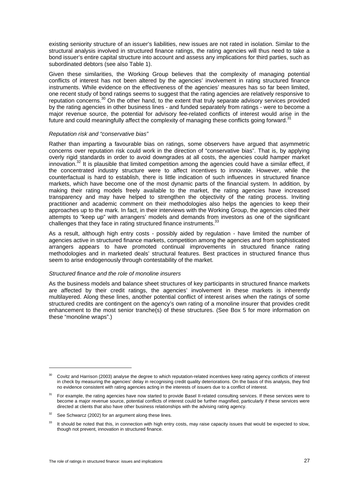existing seniority structure of an issuer's liabilities, new issues are not rated in isolation. Similar to the structural analysis involved in structured finance ratings, the rating agencies will thus need to take a bond issuer's entire capital structure into account and assess any implications for third parties, such as subordinated debtors (see also Table 1).

Given these similarities, the Working Group believes that the complexity of managing potential conflicts of interest has not been altered by the agencies' involvement in rating structured finance instruments. While evidence on the effectiveness of the agencies' measures has so far been limited, one recent study of bond ratings seems to suggest that the rating agencies are relatively responsive to reputation concerns.30 On the other hand, to the extent that truly separate advisory services provided by the rating agencies in other business lines - and funded separately from ratings - were to become a major revenue source, the potential for advisory fee-related conflicts of interest would arise in the future and could meaningfully affect the complexity of managing these conflicts going forward.<sup>3</sup>

#### *Reputation risk and "conservative bias"*

Rather than imparting a favourable bias on ratings, some observers have argued that asymmetric concerns over reputation risk could work in the direction of "conservative bias". That is, by applying overly rigid standards in order to avoid downgrades at all costs, the agencies could hamper market innovation.<sup>32</sup> It is plausible that limited competition among the agencies could have a similar effect, if the concentrated industry structure were to affect incentives to innovate. However, while the counterfactual is hard to establish, there is little indication of such influences in structured finance markets, which have become one of the most dynamic parts of the financial system. In addition, by making their rating models freely available to the market, the rating agencies have increased transparency and may have helped to strengthen the objectivity of the rating process. Inviting practitioner and academic comment on their methodologies also helps the agencies to keep their approaches up to the mark. In fact, in their interviews with the Working Group, the agencies cited their attempts to "keep up" with arrangers' models and demands from investors as one of the significant challenges that they face in rating structured finance instruments.<sup>3</sup>

As a result, although high entry costs - possibly aided by regulation - have limited the number of agencies active in structured finance markets, competition among the agencies and from sophisticated arrangers appears to have promoted continual improvements in structured finance rating methodologies and in marketed deals' structural features. Best practices in structured finance thus seem to arise endogenously through contestability of the market.

#### *Structured finance and the role of monoline insurers*

As the business models and balance sheet structures of key participants in structured finance markets are affected by their credit ratings, the agencies' involvement in these markets is inherently multilayered. Along these lines, another potential conflict of interest arises when the ratings of some structured credits are contingent on the agency's own rating of a monoline insurer that provides credit enhancement to the most senior tranche(s) of these structures. (See Box 5 for more information on these "monoline wraps".)

<sup>&</sup>lt;sup>30</sup> Covitz and Harrison (2003) analyse the degree to which reputation-related incentives keep rating agency conflicts of interest in check by measuring the agencies' delay in recognising credit quality deteriorations. On the basis of this analysis, they find no evidence consistent with rating agencies acting in the interests of issuers due to a conflict of interest.

<sup>31</sup> For example, the rating agencies have now started to provide Basel II-related consulting services. If these services were to become a major revenue source, potential conflicts of interest could be further magnified, particularly if these services were directed at clients that also have other business relationships with the advising rating agency.

 $32$  See Schwarcz (2002) for an argument along these lines.

<sup>&</sup>lt;sup>33</sup> It should be noted that this, in connection with high entry costs, may raise capacity issues that would be expected to slow. though not prevent, innovation in structured finance.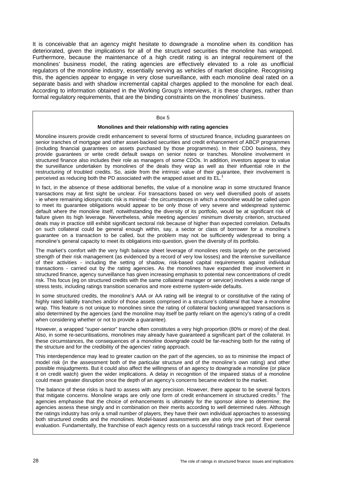It is conceivable that an agency might hesitate to downgrade a monoline when its condition has deteriorated, given the implications for all of the structured securities the monoline has wrapped. Furthermore, because the maintenance of a high credit rating is an integral requirement of the monolines' business model, the rating agencies are effectively elevated to a role as unofficial regulators of the monoline industry, essentially serving as vehicles of market discipline. Recognising this, the agencies appear to engage in very close surveillance, with each monoline deal rated on a separate basis and with shadow incremental capital charges applied to the monoline for each deal. According to information obtained in the Working Group's interviews, it is these charges, rather than formal regulatory requirements, that are the binding constraints on the monolines' business.

#### Box 5

#### **Monolines and their relationship with rating agencies**

Monoline insurers provide credit enhancement to several forms of structured finance, including guarantees on senior tranches of mortgage and other asset-backed securities and credit enhancement of ABCP programmes (including financial guarantees on assets purchased by those programmes). In their CDO business, they provide guarantees or write credit default swaps on senior notes or tranches. Monoline involvement in structured finance also includes their role as managers of some CDOs. In addition, investors appear to value the surveillance undertaken by monolines of the deals they wrap as well as their influential role in the restructuring of troubled credits. So, aside from the intrinsic value of their guarantee, their involvement is perceived as reducing both the PD associated with the wrapped asset and its EL.

In fact, in the absence of these additional benefits, the value of a monoline wrap in some structured finance transactions may at first sight be unclear. For transactions based on very well diversified pools of assets - ie where remaining idiosyncratic risk is minimal - the circumstances in which a monoline would be called upon to meet its guarantee obligations would appear to be only those of very severe and widespread systemic default where the monoline itself, notwithstanding the diversity of its portfolio, would be at significant risk of failure given its high leverage. Nevertheless, while meeting agencies' minimum diversity criterion, structured deals may in practice still exhibit significant sectoral risk because of higher than expected correlation. Defaults on such collateral could be general enough within, say, a sector or class of borrower for a monoline's guarantee on a transaction to be called, but the problem may not be sufficiently widespread to bring a monoline's general capacity to meet its obligations into question, given the diversity of its portfolio.

The market's comfort with the very high balance sheet leverage of monolines rests largely on the perceived strength of their risk management (as evidenced by a record of very low losses) and the intensive surveillance of their activities - including the setting of shadow, risk-based capital requirements against individual transactions - carried out by the rating agencies. As the monolines have expanded their involvement in structured finance, agency surveillance has given increasing emphasis to potential new concentrations of credit risk. This focus (eg on structured credits with the same collateral manager or servicer) involves a wide range of stress tests, including ratings transition scenarios and more extreme system-wide defaults.

In some structured credits, the monoline's AAA or AA rating will be integral to or constitutive of the rating of highly rated liability tranches and/or of those assets comprised in a structure's collateral that have a monoline wrap. This feature is not unique to monolines since the rating of collateral backing unwrapped transactions is also determined by the agencies (and the monoline may itself be partly reliant on the agency's rating of a credit when considering whether or not to provide a guarantee).

However, a wrapped "super-senior" tranche often constitutes a very high proportion (80% or more) of the deal. Also, in some re-securitisations, monolines may already have guaranteed a significant part of the collateral. In these circumstances, the consequences of a monoline downgrade could be far-reaching both for the rating of the structure and for the credibility of the agencies' rating approach.

This interdependence may lead to greater caution on the part of the agencies, so as to minimise the impact of model risk (in the assessment both of the particular structure and of the monoline's own rating) and other possible misjudgments. But it could also affect the willingness of an agency to downgrade a monoline (or place it on credit watch) given the wider implications. A delay in recognition of the impaired status of a monoline could mean greater disruption once the depth of an agency's concerns became evident to the market.

The balance of these risks is hard to assess with any precision. However, there appear to be several factors that mitigate concerns. Monoline wraps are only one form of credit enhancement in structured credits.<sup>2</sup> The agencies emphasise that the choice of enhancements is ultimately for the sponsor alone to determine; the agencies assess these singly and in combination on their merits according to well determined rules. Although the ratings industry has only a small number of players, they have their own individual approaches to assessing both structured credits and the monolines. Model-based assessments are also only one part of their overall evaluation. Fundamentally, the franchise of each agency rests on a successful ratings track record. Experience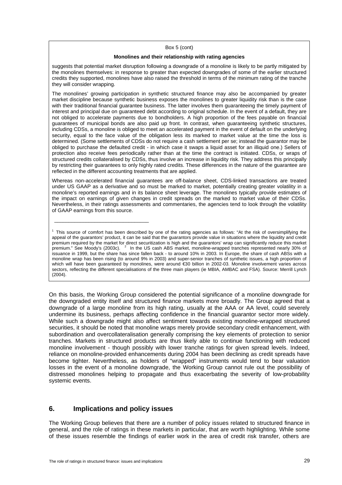#### Box 5 (cont)

#### **Monolines and their relationship with rating agencies**

suggests that potential market disruption following a downgrade of a monoline is likely to be partly mitigated by the monolines themselves: in response to greater than expected downgrades of some of the earlier structured credits they supported, monolines have also raised the threshold in terms of the minimum rating of the tranche they will consider wrapping.

The monolines' growing participation in synthetic structured finance may also be accompanied by greater market discipline because synthetic business exposes the monolines to greater liquidity risk than is the case with their traditional financial guarantee business. The latter involves them guaranteeing the timely payment of interest and principal due on guaranteed debt according to original schedule. In the event of a default, they are not obliged to accelerate payments due to bondholders. A high proportion of the fees payable on financial guarantees of municipal bonds are also paid up front. In contrast, when guaranteeing synthetic structures, including CDSs, a monoline is obliged to meet an accelerated payment in the event of default on the underlying security, equal to the face value of the obligation less its marked to market value at the time the loss is determined. (Some settlements of CDSs do not require a cash settlement per se; instead the guarantor may be obliged to purchase the defaulted credit - in which case it swaps a liquid asset for an illiquid one.) Sellers of protection also receive fees periodically rather than at the time the contract is initiated. CDSs, or wraps of structured credits collateralised by CDSs, thus involve an increase in liquidity risk. They address this principally by restricting their guarantees to only highly rated credits. These differences in the nature of the guarantee are reflected in the different accounting treatments that are applied.

Whereas non-accelerated financial guarantees are off-balance sheet, CDS-linked transactions are treated under US GAAP as a derivative and so must be marked to market, potentially creating greater volatility in a monoline's reported earnings and in its balance sheet leverage. The monolines typically provide estimates of the impact on earnings of given changes in credit spreads on the marked to market value of their CDSs. Nevertheless, in their ratings assessments and commentaries, the agencies tend to look through the volatility of GAAP earnings from this source.

<sup>1</sup> This source of comfort has been described by one of the rating agencies as follows: "At the risk of oversimplifying the appeal of the guarantors' product, it can be said that the guarantors provide value in situations where the liquidity and credit premium required by the market for direct securitization is high and the guarantors' wrap can significantly reduce this market<br>premium." See Moody's (2003c). <sup>2</sup> In the US cash ABS market, monoline-wrapped tranches represe issuance in 1999, but the share has since fallen back - to around 10% in 2003. In Europe, the share of cash ABSs with a monoline wrap has been rising (to around 9% in 2003) and super-senior tranches of synthetic issues, a high proportion of which will have been guaranteed by monolines, were around €30 billion in 2002-03. Monoline involvement varies across sectors, reflecting the different specialisations of the three main players (ie MBIA, AMBAC and FSA). Source: Merrill Lynch (2004).

On this basis, the Working Group considered the potential significance of a monoline downgrade for the downgraded entity itself and structured finance markets more broadly. The Group agreed that a downgrade of a large monoline from its high rating, usually at the AAA or AA level, could severely undermine its business, perhaps affecting confidence in the financial guarantor sector more widely. While such a downgrade might also affect sentiment towards existing monoline-wrapped structured securities, it should be noted that monoline wraps merely provide secondary credit enhancement, with subordination and overcollateralisation generally comprising the key elements of protection to senior tranches. Markets in structured products are thus likely able to continue functioning with reduced monoline involvement - though possibly with lower tranche ratings for given spread levels. Indeed, reliance on monoline-provided enhancements during 2004 has been declining as credit spreads have become tighter. Nevertheless, as holders of "wrapped" instruments would tend to bear valuation losses in the event of a monoline downgrade, the Working Group cannot rule out the possibility of distressed monolines helping to propagate and thus exacerbating the severity of low-probability systemic events.

# **6. Implications and policy issues**

\_\_\_\_\_\_\_\_\_\_\_\_\_\_\_\_\_\_\_\_\_\_\_\_\_\_\_\_\_\_\_\_\_

The Working Group believes that there are a number of policy issues related to structured finance in general, and the role of ratings in these markets in particular, that are worth highlighting. While some of these issues resemble the findings of earlier work in the area of credit risk transfer, others are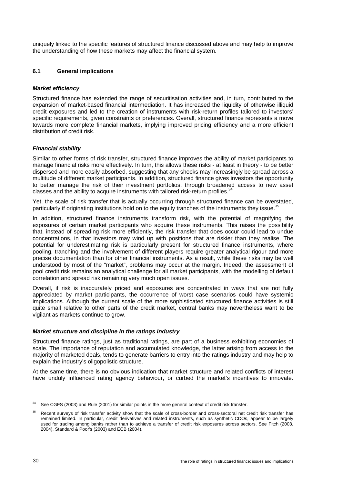uniquely linked to the specific features of structured finance discussed above and may help to improve the understanding of how these markets may affect the financial system.

# **6.1 General implications**

# *Market efficiency*

Structured finance has extended the range of securitisation activities and, in turn, contributed to the expansion of market-based financial intermediation. It has increased the liquidity of otherwise illiquid credit exposures and led to the creation of instruments with risk-return profiles tailored to investors' specific requirements, given constraints or preferences. Overall, structured finance represents a move towards more complete financial markets, implying improved pricing efficiency and a more efficient distribution of credit risk.

# *Financial stability*

Similar to other forms of risk transfer, structured finance improves the ability of market participants to manage financial risks more effectively. In turn, this allows these risks - at least in theory - to be better dispersed and more easily absorbed, suggesting that any shocks may increasingly be spread across a multitude of different market participants. In addition, structured finance gives investors the opportunity to better manage the risk of their investment portfolios, through broadened access to new asset classes and the ability to acquire instruments with tailored risk-return profiles.<sup>34</sup>

Yet, the scale of risk transfer that is actually occurring through structured finance can be overstated, particularly if originating institutions hold on to the equity tranches of the instruments they issue.<sup>3</sup>

In addition, structured finance instruments transform risk, with the potential of magnifying the exposures of certain market participants who acquire these instruments. This raises the possibility that, instead of spreading risk more efficiently, the risk transfer that does occur could lead to undue concentrations, in that investors may wind up with positions that are riskier than they realise. The potential for underestimating risk is particularly present for structured finance instruments, where pooling, tranching and the involvement of different players require greater analytical rigour and more precise documentation than for other financial instruments. As a result, while these risks may be well understood by most of the "market", problems may occur at the margin. Indeed, the assessment of pool credit risk remains an analytical challenge for all market participants, with the modelling of default correlation and spread risk remaining very much open issues.

Overall, if risk is inaccurately priced and exposures are concentrated in ways that are not fully appreciated by market participants, the occurrence of worst case scenarios could have systemic implications. Although the current scale of the more sophisticated structured finance activities is still quite small relative to other parts of the credit market, central banks may nevertheless want to be vigilant as markets continue to grow.

# *Market structure and discipline in the ratings industry*

Structured finance ratings, just as traditional ratings, are part of a business exhibiting economies of scale. The importance of reputation and accumulated knowledge, the latter arising from access to the majority of marketed deals, tends to generate barriers to entry into the ratings industry and may help to explain the industry's oligopolistic structure.

At the same time, there is no obvious indication that market structure and related conflicts of interest have unduly influenced rating agency behaviour, or curbed the market's incentives to innovate.

<sup>&</sup>lt;sup>34</sup> See CGFS (2003) and Rule (2001) for similar points in the more general context of credit risk transfer.

<sup>&</sup>lt;sup>35</sup> Recent surveys of risk transfer activity show that the scale of cross-border and cross-sectoral net credit risk transfer has remained limited. In particular, credit derivatives and related instruments, such as synthetic CDOs, appear to be largely used for trading among banks rather than to achieve a transfer of credit risk exposures across sectors. See Fitch (2003, 2004), Standard & Poor's (2003) and ECB (2004).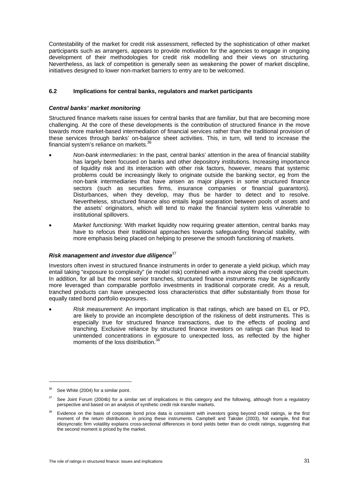Contestability of the market for credit risk assessment, reflected by the sophistication of other market participants such as arrangers, appears to provide motivation for the agencies to engage in ongoing development of their methodologies for credit risk modelling and their views on structuring. Nevertheless, as lack of competition is generally seen as weakening the power of market discipline, initiatives designed to lower non-market barriers to entry are to be welcomed.

# **6.2 Implications for central banks, regulators and market participants**

### *Central banks' market monitoring*

Structured finance markets raise issues for central banks that are familiar, but that are becoming more challenging. At the core of these developments is the contribution of structured finance in the move towards more market-based intermediation of financial services rather than the traditional provision of these services through banks' on-balance sheet activities. This, in turn, will tend to increase the financial system's reliance on markets.36

- *Non-bank intermediaries*: In the past, central banks' attention in the area of financial stability has largely been focused on banks and other depository institutions. Increasing importance of liquidity risk and its interaction with other risk factors, however, means that systemic problems could be increasingly likely to originate outside the banking sector, eg from the non-bank intermediaries that have arisen as major players in some structured finance sectors (such as securities firms, insurance companies or financial guarantors). Disturbances, when they develop, may thus be harder to detect and to resolve. Nevertheless, structured finance also entails legal separation between pools of assets and the assets' originators, which will tend to make the financial system less vulnerable to institutional spillovers.
- *Market functioning*: With market liquidity now requiring greater attention, central banks may have to refocus their traditional approaches towards safeguarding financial stability, with more emphasis being placed on helping to preserve the smooth functioning of markets.

### *Risk management and investor due diligence*<sup>37</sup>

Investors often invest in structured finance instruments in order to generate a yield pickup, which may entail taking "exposure to complexity" (ie model risk) combined with a move along the credit spectrum. In addition, for all but the most senior tranches, structured finance instruments may be significantly more leveraged than comparable portfolio investments in traditional corporate credit. As a result, tranched products can have unexpected loss characteristics that differ substantially from those for equally rated bond portfolio exposures.

• *Risk measurement*: An important implication is that ratings, which are based on EL or PD, are likely to provide an incomplete description of the riskiness of debt instruments. This is especially true for structured finance transactions, due to the effects of pooling and tranching. Exclusive reliance by structured finance investors on ratings can thus lead to unintended concentrations in exposure to unexpected loss, as reflected by the higher moments of the loss distribution.

 $36$  See White (2004) for a similar point.

See Joint Forum (2004b) for a similar set of implications in this category and the following, although from a regulatory perspective and based on an analysis of synthetic credit risk transfer markets.

Evidence on the basis of corporate bond price data is consistent with investors going beyond credit ratings, ie the first moment of the return distribution, in pricing these instruments. Campbell and Taksler (2003), for example, find that idiosyncratic firm volatility explains cross-sectional differences in bond yields better than do credit ratings, suggesting that the second moment is priced by the market.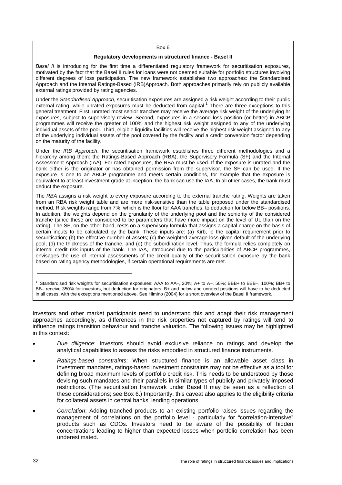#### Box 6

#### **Regulatory developments in structured finance - Basel II**

*Basel II* is introducing for the first time a differentiated regulatory framework for securitisation exposures, motivated by the fact that the Basel II rules for loans were not deemed suitable for portfolio structures involving different degrees of loss participation. The new framework establishes two approaches: the Standardised Approach and the Internal Ratings-Based (IRB)Approach. Both approaches primarily rely on publicly available external ratings provided by rating agencies.

Under the *Standardised Approach*, securitisation exposures are assigned a risk weight according to their public external rating, while unrated exposures must be deducted from capital.<sup>1</sup> There are three exceptions to this general treatment. First, unrated most senior tranches may receive the average risk weight of the underlying hr exposures, subject to supervisory review. Second, exposures in a second loss position (or better) in ABCP programmes will receive the greater of 100% and the highest risk weight assigned to any of the underlying individual assets of the pool. Third, eligible liquidity facilities will receive the highest risk weight assigned to any of the underlying individual assets of the pool covered by the facility and a credit conversion factor depending on the maturity of the facility.

Under the *IRB Approach*, the securitisation framework establishes three different methodologies and a hierarchy among them: the Ratings-Based Approach (RBA), the Supervisory Formula (SF) and the Internal Assessment Approach (IAA). For rated exposures, the RBA must be used. If the exposure is unrated and the bank either is the originator or has obtained permission from the supervisor, the SF can be used. If the exposure is one to an ABCP programme and meets certain conditions, for example that the exposure is equivalent to at least investment grade at inception, the bank can use the IAA. In all other cases, the bank must deduct the exposure.

The *RBA* assigns a risk weight to every exposure according to the external tranche rating. Weights are taken from an RBA risk weight table and are more risk-sensitive than the table proposed under the standardised method. Risk weights range from 7%, which is the floor for AAA tranches, to deduction for below BB– positions. In addition, the weights depend on the granularity of the underlying pool and the seniority of the considered tranche (since these are considered to be parameters that have more impact on the level of UL than on the rating). The SF, on the other hand, rests on a supervisory formula that assigns a capital charge on the basis of certain inputs to be calculated by the bank. These inputs are: (a) Kirb, ie the capital requirement prior to securitisation; (b) the effective number of assets; (c) the weighted average loss-given-default of the underlying pool, (d) the thickness of the tranche, and (e) the subordination level. Thus, the formula relies completely on internal credit risk inputs of the bank. The IAA, introduced due to the particularities of ABCP programmes, envisages the use of internal assessments of the credit quality of the securitisation exposure by the bank based on rating agency methodologies, if certain operational requirements are met.

1 Standardised risk weights for securitisation exposures: AAA to AA–, 20%; A+ to A–, 50%; BBB+ to BBB–, 100%; BB+ to BB– receive 350% for investors, but deduction for originators; B+ and below and unrated positions will have to be deducted in all cases, with the exceptions mentioned above. See Himino (2004) for a short overview of the Basel II framework.

\_\_\_\_\_\_\_\_\_\_\_\_\_\_\_\_\_\_\_\_\_\_\_\_\_\_\_\_\_\_\_\_\_

Investors and other market participants need to understand this and adapt their risk management approaches accordingly, as differences in the risk properties not captured by ratings will tend to influence ratings transition behaviour and tranche valuation. The following issues may be highlighted in this context:

- *Due diligence*: Investors should avoid exclusive reliance on ratings and develop the analytical capabilities to assess the risks embodied in structured finance instruments.
- *Ratings-based constraints*: When structured finance is an allowable asset class in investment mandates, ratings-based investment constraints may not be effective as a tool for defining broad maximum levels of portfolio credit risk. This needs to be understood by those devising such mandates and their parallels in similar types of publicly and privately imposed restrictions. (The securitisation framework under Basel II may be seen as a reflection of these considerations; see Box 6.) Importantly, this caveat also applies to the eligibility criteria for collateral assets in central banks' lending operations.
- *Correlation*: Adding tranched products to an existing portfolio raises issues regarding the management of correlations on the portfolio level - particularly for "correlation-intensive" products such as CDOs. Investors need to be aware of the possibility of hidden concentrations leading to higher than expected losses when portfolio correlation has been underestimated.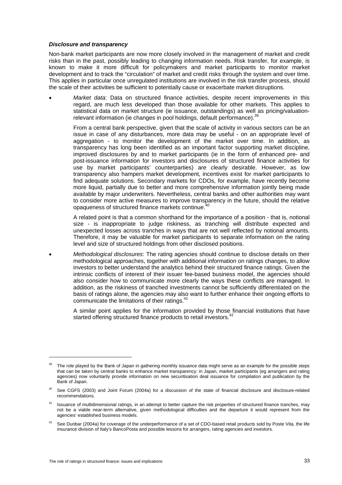#### *Disclosure and transparency*

Non-bank market participants are now more closely involved in the management of market and credit risks than in the past, possibly leading to changing information needs. Risk transfer, for example, is known to make it more difficult for policymakers and market participants to monitor market development and to track the "circulation" of market and credit risks through the system and over time. This applies in particular once unregulated institutions are involved in the risk transfer process, should the scale of their activities be sufficient to potentially cause or exacerbate market disruptions.

• *Market data*: Data on structured finance activities, despite recent improvements in this regard, are much less developed than those available for other markets. This applies to statistical data on market structure (ie issuance, outstandings) as well as pricing/valuationrelevant information (ie changes in pool holdings, default performance).<sup>3</sup>

From a central bank perspective, given that the scale of activity in various sectors can be an issue in case of any disturbances, more data may be useful - on an appropriate level of aggregation - to monitor the development of the market over time. In addition, as transparency has long been identified as an important factor supporting market discipline, improved disclosures by and to market participants (ie in the form of enhanced pre- and post-issuance information for investors and disclosures of structured finance activities for use by market participants' counterparties) are clearly desirable. However, as low transparency also hampers market development, incentives exist for market participants to find adequate solutions. Secondary markets for CDOs, for example, have recently become more liquid, partially due to better and more comprehensive information jointly being made available by major underwriters. Nevertheless, central banks and other authorities may want to consider more active measures to improve transparency in the future, should the relative opaqueness of structured finance markets continue.

A related point is that a common shorthand for the importance of a position - that is, notional size - is inappropriate to judge riskiness, as tranching will distribute expected and unexpected losses across tranches in ways that are not well reflected by notional amounts. Therefore, it may be valuable for market participants to separate information on the rating level and size of structured holdings from other disclosed positions.

• *Methodological disclosures*: The rating agencies should continue to disclose details on their methodological approaches, together with additional information on ratings changes, to allow investors to better understand the analytics behind their structured finance ratings. Given the intrinsic conflicts of interest of their issuer fee-based business model, the agencies should also consider how to communicate more clearly the ways these conflicts are managed. In addition, as the riskiness of tranched investments cannot be sufficiently differentiated on the basis of ratings alone, the agencies may also want to further enhance their ongoing efforts to communicate the limitations of their ratings.<sup>41</sup>

A similar point applies for the information provided by those financial institutions that have started offering structured finance products to retail investors.<sup>42</sup>

<sup>&</sup>lt;sup>39</sup> The role played by the Bank of Japan in gathering monthly issuance data might serve as an example for the possible steps that can be taken by central banks to enhance market transparency: in Japan, market participants (eg arrangers and rating agencies) now voluntarily provide information on new securitisation deal issuance for compilation and publication by the Bank of Japan.

<sup>&</sup>lt;sup>40</sup> See CGFS (2003) and Joint Forum (2004a) for a discussion of the state of financial disclosure and disclosure-related recommendations.

Issuance of multidimensional ratings, in an attempt to better capture the risk properties of structured finance tranches, may not be a viable near-term alternative, given methodological difficulties and the departure it would represent from the agencies' established business models.

See Dunbar (2004a) for coverage of the underperformance of a set of CDO-based retail products sold by Poste Vita, the life insurance division of Italy's BancoPosta and possible lessons for arrangers, rating agencies and investors.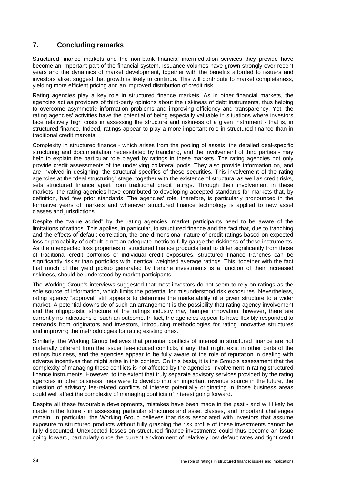# **7. Concluding remarks**

Structured finance markets and the non-bank financial intermediation services they provide have become an important part of the financial system. Issuance volumes have grown strongly over recent years and the dynamics of market development, together with the benefits afforded to issuers and investors alike, suggest that growth is likely to continue. This will contribute to market completeness, yielding more efficient pricing and an improved distribution of credit risk.

Rating agencies play a key role in structured finance markets. As in other financial markets, the agencies act as providers of third-party opinions about the riskiness of debt instruments, thus helping to overcome asymmetric information problems and improving efficiency and transparency. Yet, the rating agencies' activities have the potential of being especially valuable in situations where investors face relatively high costs in assessing the structure and riskiness of a given instrument - that is, in structured finance. Indeed, ratings appear to play a more important role in structured finance than in traditional credit markets.

Complexity in structured finance - which arises from the pooling of assets, the detailed deal-specific structuring and documentation necessitated by tranching, and the involvement of third parties - may help to explain the particular role played by ratings in these markets. The rating agencies not only provide credit assessments of the underlying collateral pools. They also provide information on, and are involved in designing, the structural specifics of these securities. This involvement of the rating agencies at the "deal structuring" stage, together with the existence of structural as well as credit risks, sets structured finance apart from traditional credit ratings. Through their involvement in these markets, the rating agencies have contributed to developing accepted standards for markets that, by definition, had few prior standards. The agencies' role, therefore, is particularly pronounced in the formative years of markets and whenever structured finance technology is applied to new asset classes and jurisdictions.

Despite the "value added" by the rating agencies, market participants need to be aware of the limitations of ratings. This applies, in particular, to structured finance and the fact that, due to tranching and the effects of default correlation, the one-dimensional nature of credit ratings based on expected loss or probability of default is not an adequate metric to fully gauge the riskiness of these instruments. As the unexpected loss properties of structured finance products tend to differ significantly from those of traditional credit portfolios or individual credit exposures, structured finance tranches can be significantly riskier than portfolios with identical weighted average ratings. This, together with the fact that much of the yield pickup generated by tranche investments is a function of their increased riskiness, should be understood by market participants.

The Working Group's interviews suggested that most investors do not seem to rely on ratings as the sole source of information, which limits the potential for misunderstood risk exposures. Nevertheless, rating agency "approval" still appears to determine the marketability of a given structure to a wider market. A potential downside of such an arrangement is the possibility that rating agency involvement and the oligopolistic structure of the ratings industry may hamper innovation; however, there are currently no indications of such an outcome. In fact, the agencies appear to have flexibly responded to demands from originators and investors, introducing methodologies for rating innovative structures and improving the methodologies for rating existing ones.

Similarly, the Working Group believes that potential conflicts of interest in structured finance are not materially different from the issuer fee-induced conflicts, if any, that might exist in other parts of the ratings business, and the agencies appear to be fully aware of the role of reputation in dealing with adverse incentives that might arise in this context. On this basis, it is the Group's assessment that the complexity of managing these conflicts is not affected by the agencies' involvement in rating structured finance instruments. However, to the extent that truly separate advisory services provided by the rating agencies in other business lines were to develop into an important revenue source in the future, the question of advisory fee-related conflicts of interest potentially originating in those business areas could well affect the complexity of managing conflicts of interest going forward.

Despite all these favourable developments, mistakes have been made in the past - and will likely be made in the future - in assessing particular structures and asset classes, and important challenges remain. In particular, the Working Group believes that risks associated with investors that assume exposure to structured products without fully grasping the risk profile of these investments cannot be fully discounted. Unexpected losses on structured finance investments could thus become an issue going forward, particularly once the current environment of relatively low default rates and tight credit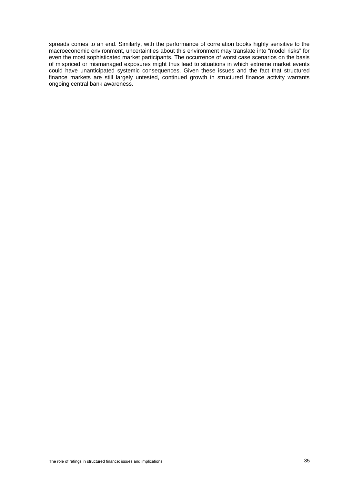spreads comes to an end. Similarly, with the performance of correlation books highly sensitive to the macroeconomic environment, uncertainties about this environment may translate into "model risks" for even the most sophisticated market participants. The occurrence of worst case scenarios on the basis of mispriced or mismanaged exposures might thus lead to situations in which extreme market events could have unanticipated systemic consequences. Given these issues and the fact that structured finance markets are still largely untested, continued growth in structured finance activity warrants ongoing central bank awareness.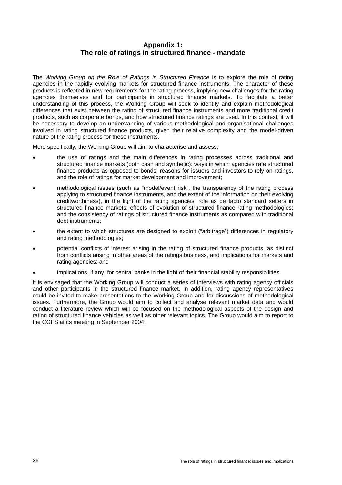# **Appendix 1: The role of ratings in structured finance - mandate**

The *Working Group on the Role of Ratings in Structured Finance* is to explore the role of rating agencies in the rapidly evolving markets for structured finance instruments. The character of these products is reflected in new requirements for the rating process, implying new challenges for the rating agencies themselves and for participants in structured finance markets. To facilitate a better understanding of this process, the Working Group will seek to identify and explain methodological differences that exist between the rating of structured finance instruments and more traditional credit products, such as corporate bonds, and how structured finance ratings are used. In this context, it will be necessary to develop an understanding of various methodological and organisational challenges involved in rating structured finance products, given their relative complexity and the model-driven nature of the rating process for these instruments.

More specifically, the Working Group will aim to characterise and assess:

- the use of ratings and the main differences in rating processes across traditional and structured finance markets (both cash and synthetic): ways in which agencies rate structured finance products as opposed to bonds, reasons for issuers and investors to rely on ratings, and the role of ratings for market development and improvement;
- methodological issues (such as "model/event risk", the transparency of the rating process applying to structured finance instruments, and the extent of the information on their evolving creditworthiness), in the light of the rating agencies' role as de facto standard setters in structured finance markets; effects of evolution of structured finance rating methodologies; and the consistency of ratings of structured finance instruments as compared with traditional debt instruments;
- the extent to which structures are designed to exploit ("arbitrage") differences in regulatory and rating methodologies;
- potential conflicts of interest arising in the rating of structured finance products, as distinct from conflicts arising in other areas of the ratings business, and implications for markets and rating agencies; and
- implications, if any, for central banks in the light of their financial stability responsibilities.

It is envisaged that the Working Group will conduct a series of interviews with rating agency officials and other participants in the structured finance market. In addition, rating agency representatives could be invited to make presentations to the Working Group and for discussions of methodological issues. Furthermore, the Group would aim to collect and analyse relevant market data and would conduct a literature review which will be focused on the methodological aspects of the design and rating of structured finance vehicles as well as other relevant topics. The Group would aim to report to the CGFS at its meeting in September 2004.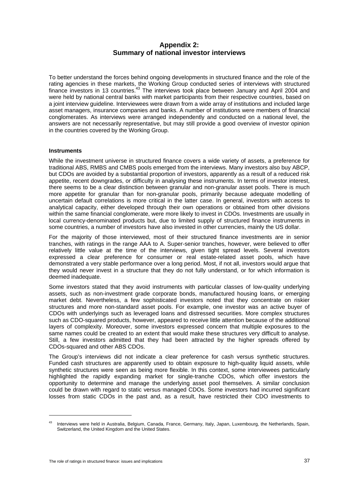# **Appendix 2: Summary of national investor interviews**

To better understand the forces behind ongoing developments in structured finance and the role of the rating agencies in these markets, the Working Group conducted series of interviews with structured finance investors in 13 countries.43 The interviews took place between January and April 2004 and were held by national central banks with market participants from their respective countries, based on a joint interview guideline. Interviewees were drawn from a wide array of institutions and included large asset managers, insurance companies and banks. A number of institutions were members of financial conglomerates. As interviews were arranged independently and conducted on a national level, the answers are not necessarily representative, but may still provide a good overview of investor opinion in the countries covered by the Working Group.

#### **Instruments**

While the investment universe in structured finance covers a wide variety of assets, a preference for traditional ABS, RMBS and CMBS pools emerged from the interviews. Many investors also buy ABCP, but CDOs are avoided by a substantial proportion of investors, apparently as a result of a reduced risk appetite, recent downgrades, or difficulty in analysing these instruments. In terms of investor interest, there seems to be a clear distinction between granular and non-granular asset pools. There is much more appetite for granular than for non-granular pools, primarily because adequate modelling of uncertain default correlations is more critical in the latter case. In general, investors with access to analytical capacity, either developed through their own operations or obtained from other divisions within the same financial conglomerate, were more likely to invest in CDOs. Investments are usually in local currency-denominated products but, due to limited supply of structured finance instruments in some countries, a number of investors have also invested in other currencies, mainly the US dollar.

For the majority of those interviewed, most of their structured finance investments are in senior tranches, with ratings in the range AAA to A. Super-senior tranches, however, were believed to offer relatively little value at the time of the interviews, given tight spread levels. Several investors expressed a clear preference for consumer or real estate-related asset pools, which have demonstrated a very stable performance over a long period. Most, if not all, investors would argue that they would never invest in a structure that they do not fully understand, or for which information is deemed inadequate.

Some investors stated that they avoid instruments with particular classes of low-quality underlying assets, such as non-investment grade corporate bonds, manufactured housing loans, or emerging market debt. Nevertheless, a few sophisticated investors noted that they concentrate on riskier structures and more non-standard asset pools. For example, one investor was an active buyer of CDOs with underlyings such as leveraged loans and distressed securities. More complex structures such as CDO-squared products, however, appeared to receive little attention because of the additional layers of complexity. Moreover, some investors expressed concern that multiple exposures to the same names could be created to an extent that would make these structures very difficult to analyse. Still, a few investors admitted that they had been attracted by the higher spreads offered by CDOs-squared and other ABS CDOs.

The Group's interviews did not indicate a clear preference for cash versus synthetic structures. Funded cash structures are apparently used to obtain exposure to high-quality liquid assets, while synthetic structures were seen as being more flexible. In this context, some interviewees particularly highlighted the rapidly expanding market for single-tranche CDOs, which offer investors the opportunity to determine and manage the underlying asset pool themselves. A similar conclusion could be drawn with regard to static versus managed CDOs. Some investors had incurred significant losses from static CDOs in the past and, as a result, have restricted their CDO investments to

<sup>43</sup> Interviews were held in Australia, Belgium, Canada, France, Germany, Italy, Japan, Luxembourg, the Netherlands, Spain, Switzerland, the United Kingdom and the United States.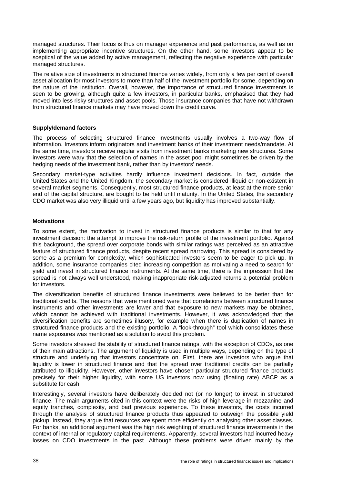managed structures. Their focus is thus on manager experience and past performance, as well as on implementing appropriate incentive structures. On the other hand, some investors appear to be sceptical of the value added by active management, reflecting the negative experience with particular managed structures.

The relative size of investments in structured finance varies widely, from only a few per cent of overall asset allocation for most investors to more than half of the investment portfolio for some, depending on the nature of the institution. Overall, however, the importance of structured finance investments is seen to be growing, although quite a few investors, in particular banks, emphasised that they had moved into less risky structures and asset pools. Those insurance companies that have not withdrawn from structured finance markets may have moved down the credit curve.

## **Supply/demand factors**

The process of selecting structured finance investments usually involves a two-way flow of information. Investors inform originators and investment banks of their investment needs/mandate. At the same time, investors receive regular visits from investment banks marketing new structures. Some investors were wary that the selection of names in the asset pool might sometimes be driven by the hedging needs of the investment bank, rather than by investors' needs.

Secondary market-type activities hardly influence investment decisions. In fact, outside the United States and the United Kingdom, the secondary market is considered illiquid or non-existent in several market segments. Consequently, most structured finance products, at least at the more senior end of the capital structure, are bought to be held until maturity. In the United States, the secondary CDO market was also very illiquid until a few years ago, but liquidity has improved substantially.

## **Motivations**

To some extent, the motivation to invest in structured finance products is similar to that for any investment decision: the attempt to improve the risk-return profile of the investment portfolio. Against this background, the spread over corporate bonds with similar ratings was perceived as an attractive feature of structured finance products, despite recent spread narrowing. This spread is considered by some as a premium for complexity, which sophisticated investors seem to be eager to pick up. In addition, some insurance companies cited increasing competition as motivating a need to search for yield and invest in structured finance instruments. At the same time, there is the impression that the spread is not always well understood, making inappropriate risk-adjusted returns a potential problem for investors.

The diversification benefits of structured finance investments were believed to be better than for traditional credits. The reasons that were mentioned were that correlations between structured finance instruments and other investments are lower and that exposure to new markets may be obtained, which cannot be achieved with traditional investments. However, it was acknowledged that the diversification benefits are sometimes illusory, for example when there is duplication of names in structured finance products and the existing portfolio. A "look-through" tool which consolidates these name exposures was mentioned as a solution to avoid this problem.

Some investors stressed the stability of structured finance ratings, with the exception of CDOs, as one of their main attractions. The argument of liquidity is used in multiple ways, depending on the type of structure and underlying that investors concentrate on. First, there are investors who argue that liquidity is lower in structured finance and that the spread over traditional credits can be partially attributed to illiquidity. However, other investors have chosen particular structured finance products precisely for their higher liquidity, with some US investors now using (floating rate) ABCP as a substitute for cash.

Interestingly, several investors have deliberately decided not (or no longer) to invest in structured finance. The main arguments cited in this context were the risks of high leverage in mezzanine and equity tranches, complexity, and bad previous experience. To these investors, the costs incurred through the analysis of structured finance products thus appeared to outweigh the possible yield pickup. Instead, they argue that resources are spent more efficiently on analysing other asset classes. For banks, an additional argument was the high risk weighting of structured finance investments in the context of internal or regulatory capital requirements. Apparently, several investors had incurred heavy losses on CDO investments in the past. Although these problems were driven mainly by the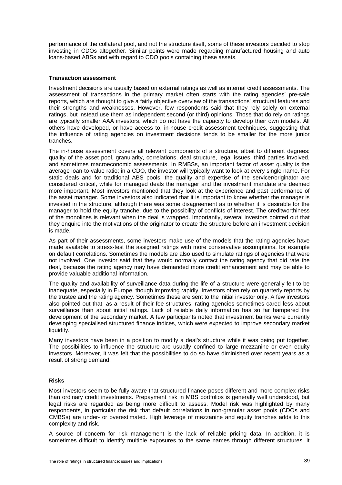performance of the collateral pool, and not the structure itself, some of these investors decided to stop investing in CDOs altogether. Similar points were made regarding manufactured housing and auto loans-based ABSs and with regard to CDO pools containing these assets.

## **Transaction assessment**

Investment decisions are usually based on external ratings as well as internal credit assessments. The assessment of transactions in the primary market often starts with the rating agencies' pre-sale reports, which are thought to give a fairly objective overview of the transactions' structural features and their strengths and weaknesses. However, few respondents said that they rely solely on external ratings, but instead use them as independent second (or third) opinions. Those that do rely on ratings are typically smaller AAA investors, which do not have the capacity to develop their own models. All others have developed, or have access to, in-house credit assessment techniques, suggesting that the influence of rating agencies on investment decisions tends to be smaller for the more junior tranches.

The in-house assessment covers all relevant components of a structure, albeit to different degrees: quality of the asset pool, granularity, correlations, deal structure, legal issues, third parties involved, and sometimes macroeconomic assessments. In RMBSs, an important factor of asset quality is the average loan-to-value ratio; in a CDO, the investor will typically want to look at every single name. For static deals and for traditional ABS pools, the quality and expertise of the servicer/originator are considered critical, while for managed deals the manager and the investment mandate are deemed more important. Most investors mentioned that they look at the experience and past performance of the asset manager. Some investors also indicated that it is important to know whether the manager is invested in the structure, although there was some disagreement as to whether it is desirable for the manager to hold the equity tranche, due to the possibility of conflicts of interest. The creditworthiness of the monolines is relevant when the deal is wrapped. Importantly, several investors pointed out that they enquire into the motivations of the originator to create the structure before an investment decision is made.

As part of their assessments, some investors make use of the models that the rating agencies have made available to stress-test the assigned ratings with more conservative assumptions, for example on default correlations. Sometimes the models are also used to simulate ratings of agencies that were not involved. One investor said that they would normally contact the rating agency that did rate the deal, because the rating agency may have demanded more credit enhancement and may be able to provide valuable additional information.

The quality and availability of surveillance data during the life of a structure were generally felt to be inadequate, especially in Europe, though improving rapidly. Investors often rely on quarterly reports by the trustee and the rating agency. Sometimes these are sent to the initial investor only. A few investors also pointed out that, as a result of their fee structures, rating agencies sometimes cared less about surveillance than about initial ratings. Lack of reliable daily information has so far hampered the development of the secondary market. A few participants noted that investment banks were currently developing specialised structured finance indices, which were expected to improve secondary market liquidity.

Many investors have been in a position to modify a deal's structure while it was being put together. The possibilities to influence the structure are usually confined to large mezzanine or even equity investors. Moreover, it was felt that the possibilities to do so have diminished over recent years as a result of strong demand.

#### **Risks**

Most investors seem to be fully aware that structured finance poses different and more complex risks than ordinary credit investments. Prepayment risk in MBS portfolios is generally well understood, but legal risks are regarded as being more difficult to assess. Model risk was highlighted by many respondents, in particular the risk that default correlations in non-granular asset pools (CDOs and CMBSs) are under- or overestimated. High leverage of mezzanine and equity tranches adds to this complexity and risk.

A source of concern for risk management is the lack of reliable pricing data. In addition, it is sometimes difficult to identify multiple exposures to the same names through different structures. It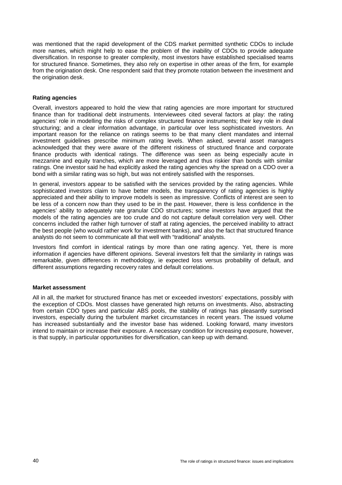was mentioned that the rapid development of the CDS market permitted synthetic CDOs to include more names, which might help to ease the problem of the inability of CDOs to provide adequate diversification. In response to greater complexity, most investors have established specialised teams for structured finance. Sometimes, they also rely on expertise in other areas of the firm, for example from the origination desk. One respondent said that they promote rotation between the investment and the origination desk.

# **Rating agencies**

Overall, investors appeared to hold the view that rating agencies are more important for structured finance than for traditional debt instruments. Interviewees cited several factors at play: the rating agencies' role in modelling the risks of complex structured finance instruments; their key role in deal structuring; and a clear information advantage, in particular over less sophisticated investors. An important reason for the reliance on ratings seems to be that many client mandates and internal investment guidelines prescribe minimum rating levels. When asked, several asset managers acknowledged that they were aware of the different riskiness of structured finance and corporate finance products with identical ratings. The difference was seen as being especially acute in mezzanine and equity tranches, which are more leveraged and thus riskier than bonds with similar ratings. One investor said he had explicitly asked the rating agencies why the spread on a CDO over a bond with a similar rating was so high, but was not entirely satisfied with the responses.

In general, investors appear to be satisfied with the services provided by the rating agencies. While sophisticated investors claim to have better models, the transparency of rating agencies is highly appreciated and their ability to improve models is seen as impressive. Conflicts of interest are seen to be less of a concern now than they used to be in the past. However, there is less confidence in the agencies' ability to adequately rate granular CDO structures; some investors have argued that the models of the rating agencies are too crude and do not capture default correlation very well. Other concerns included the rather high turnover of staff at rating agencies, the perceived inability to attract the best people (who would rather work for investment banks), and also the fact that structured finance analysts do not seem to communicate all that well with "traditional" analysts.

Investors find comfort in identical ratings by more than one rating agency. Yet, there is more information if agencies have different opinions. Several investors felt that the similarity in ratings was remarkable, given differences in methodology, ie expected loss versus probability of default, and different assumptions regarding recovery rates and default correlations.

#### **Market assessment**

All in all, the market for structured finance has met or exceeded investors' expectations, possibly with the exception of CDOs. Most classes have generated high returns on investments. Also, abstracting from certain CDO types and particular ABS pools, the stability of ratings has pleasantly surprised investors, especially during the turbulent market circumstances in recent years. The issued volume has increased substantially and the investor base has widened. Looking forward, many investors intend to maintain or increase their exposure. A necessary condition for increasing exposure, however, is that supply, in particular opportunities for diversification, can keep up with demand.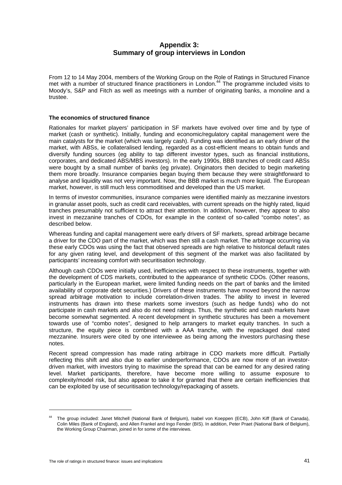# **Appendix 3: Summary of group interviews in London**

From 12 to 14 May 2004, members of the Working Group on the Role of Ratings in Structured Finance met with a number of structured finance practitioners in London.<sup>44</sup> The programme included visits to Moody's, S&P and Fitch as well as meetings with a number of originating banks, a monoline and a trustee.

### **The economics of structured finance**

Rationales for market players' participation in SF markets have evolved over time and by type of market (cash or synthetic). Initially, funding and economic/regulatory capital management were the main catalysts for the market (which was largely cash). Funding was identified as an early driver of the market, with ABSs, ie collateralised lending, regarded as a cost-efficient means to obtain funds and diversify funding sources (eg ability to tap different investor types, such as financial institutions, corporates, and dedicated ABS/MBS investors). In the early 1990s, BBB tranches of credit card ABSs were bought by a small number of banks (eg private). Originators then decided to begin marketing them more broadly. Insurance companies began buying them because they were straightforward to analyse and liquidity was not very important. Now, the BBB market is much more liquid. The European market, however, is still much less commoditised and developed than the US market.

In terms of investor communities, insurance companies were identified mainly as mezzanine investors in granular asset pools, such as credit card receivables, with current spreads on the highly rated, liquid tranches presumably not sufficient to attract their attention. In addition, however, they appear to also invest in mezzanine tranches of CDOs, for example in the context of so-called "combo notes", as described below.

Whereas funding and capital management were early drivers of SF markets, spread arbitrage became a driver for the CDO part of the market, which was then still a cash market. The arbitrage occurring via these early CDOs was using the fact that observed spreads are high relative to historical default rates for any given rating level, and development of this segment of the market was also facilitated by participants' increasing comfort with securitisation technology.

Although cash CDOs were initially used, inefficiencies with respect to these instruments, together with the development of CDS markets, contributed to the appearance of synthetic CDOs. (Other reasons, particularly in the European market, were limited funding needs on the part of banks and the limited availability of corporate debt securities.) Drivers of these instruments have moved beyond the narrow spread arbitrage motivation to include correlation-driven trades. The ability to invest in levered instruments has drawn into these markets some investors (such as hedge funds) who do not participate in cash markets and also do not need ratings. Thus, the synthetic and cash markets have become somewhat segmented. A recent development in synthetic structures has been a movement towards use of "combo notes", designed to help arrangers to market equity tranches. In such a structure, the equity piece is combined with a AAA tranche, with the repackaged deal rated mezzanine. Insurers were cited by one interviewee as being among the investors purchasing these notes.

Recent spread compression has made rating arbitrage in CDO markets more difficult. Partially reflecting this shift and also due to earlier underperformance, CDOs are now more of an investordriven market, with investors trying to maximise the spread that can be earned for any desired rating level. Market participants, therefore, have become more willing to assume exposure to complexity/model risk, but also appear to take it for granted that there are certain inefficiencies that can be exploited by use of securitisation technology/repackaging of assets.

 $\overline{a}$ 

<sup>44</sup> The group included: Janet Mitchell (National Bank of Belgium), Isabel von Koeppen (ECB), John Kiff (Bank of Canada), Colin Miles (Bank of England), and Allen Frankel and Ingo Fender (BIS). In addition, Peter Praet (National Bank of Belgium), the Working Group Chairman, joined in for some of the interviews.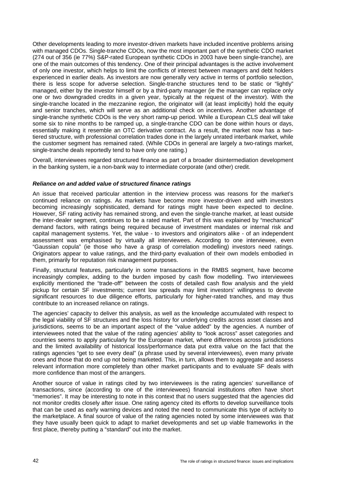Other developments leading to more investor-driven markets have included incentive problems arising with managed CDOs. Single-tranche CDOs, now the most important part of the synthetic CDO market (274 out of 356 (ie 77%) S&P-rated European synthetic CDOs in 2003 have been single-tranche), are one of the main outcomes of this tendency. One of their principal advantages is the active involvement of only one investor, which helps to limit the conflicts of interest between managers and debt holders experienced in earlier deals. As investors are now generally very active in terms of portfolio selection, there is less scope for adverse selection. Single-tranche structures tend to be static or "lightly" managed, either by the investor himself or by a third-party manager (ie the manager can replace only one or two downgraded credits in a given year, typically at the request of the investor). With the single-tranche located in the mezzanine region, the originator will (at least implicitly) hold the equity and senior tranches, which will serve as an additional check on incentives. Another advantage of single-tranche synthetic CDOs is the very short ramp-up period. While a European CLS deal will take some six to nine months to be ramped up, a single-tranche CDO can be done within hours or days, essentially making it resemble an OTC derivative contract. As a result, the market now has a twotiered structure, with professional correlation trades done in the largely unrated interbank market, while the customer segment has remained rated. (While CDOs in general are largely a two-ratings market, single-tranche deals reportedly tend to have only one rating.)

Overall, interviewees regarded structured finance as part of a broader disintermediation development in the banking system, ie a non-bank way to intermediate corporate (and other) credit.

## *Reliance on and added value of structured finance ratings*

An issue that received particular attention in the interview process was reasons for the market's continued reliance on ratings. As markets have become more investor-driven and with investors becoming increasingly sophisticated, demand for ratings might have been expected to decline. However, SF rating activity has remained strong, and even the single-tranche market, at least outside the inter-dealer segment, continues to be a rated market. Part of this was explained by "mechanical" demand factors, with ratings being required because of investment mandates or internal risk and capital management systems. Yet, the value - to investors and originators alike - of an independent assessment was emphasised by virtually all interviewees. According to one interviewee, even "Gaussian copula" (ie those who have a grasp of correlation modelling) investors need ratings. Originators appear to value ratings, and the third-party evaluation of their own models embodied in them, primarily for reputation risk management purposes.

Finally, structural features, particularly in some transactions in the RMBS segment, have become increasingly complex, adding to the burden imposed by cash flow modelling. Two interviewees explicitly mentioned the "trade-off" between the costs of detailed cash flow analysis and the yield pickup for certain SF investments; current low spreads may limit investors' willingness to devote significant resources to due diligence efforts, particularly for higher-rated tranches, and may thus contribute to an increased reliance on ratings.

The agencies' capacity to deliver this analysis, as well as the knowledge accumulated with respect to the legal viability of SF structures and the loss history for underlying credits across asset classes and jurisdictions, seems to be an important aspect of the "value added" by the agencies. A number of interviewees noted that the value of the rating agencies' ability to "look across" asset categories and countries seems to apply particularly for the European market, where differences across jurisdictions and the limited availability of historical loss/performance data put extra value on the fact that the ratings agencies "get to see every deal" (a phrase used by several interviewees), even many private ones and those that do end up not being marketed. This, in turn, allows them to aggregate and assess relevant information more completely than other market participants and to evaluate SF deals with more confidence than most of the arrangers.

Another source of value in ratings cited by two interviewees is the rating agencies' surveillance of transactions, since (according to one of the interviewees) financial institutions often have short "memories". It may be interesting to note in this context that no users suggested that the agencies did not monitor credits closely after issue. One rating agency cited its efforts to develop surveillance tools that can be used as early warning devices and noted the need to communicate this type of activity to the marketplace. A final source of value of the rating agencies noted by some interviewees was that they have usually been quick to adapt to market developments and set up viable frameworks in the first place, thereby putting a "standard" out into the market.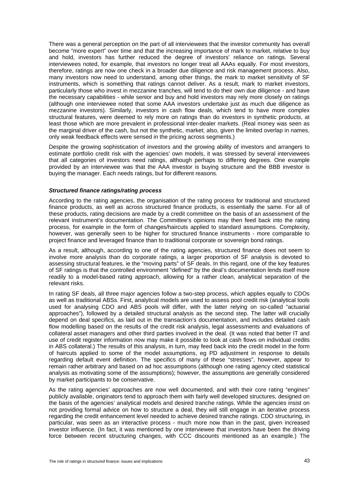There was a general perception on the part of all interviewees that the investor community has overall become "more expert" over time and that the increasing importance of mark to market, relative to buy and hold, investors has further reduced the degree of investors' reliance on ratings. Several interviewees noted, for example, that investors no longer treat all AAAs equally. For most investors, therefore, ratings are now one check in a broader due diligence and risk management process. Also, many investors now need to understand, among other things, the mark to market sensitivity of SF instruments, which is something that ratings cannot deliver. As a result, mark to market investors, particularly those who invest in mezzanine tranches, will tend to do their own due diligence - and have the necessary capabilities - while senior and buy and hold investors may rely more closely on ratings (although one interviewee noted that some AAA investors undertake just as much due diligence as mezzanine investors). Similarly, investors in cash flow deals, which tend to have more complex structural features, were deemed to rely more on ratings than do investors in synthetic products, at least those which are more prevalent in professional inter-dealer markets. (Real money was seen as the marginal driver of the cash, but not the synthetic, market; also, given the limited overlap in names, only weak feedback effects were sensed in the pricing across segments.)

Despite the growing sophistication of investors and the growing ability of investors and arrangers to estimate portfolio credit risk with the agencies' own models, it was stressed by several interviewees that all categories of investors need ratings, although perhaps to differing degrees. One example provided by an interviewee was that the AAA investor is buying structure and the BBB investor is buying the manager. Each needs ratings, but for different reasons.

#### *Structured finance ratings/rating process*

According to the rating agencies, the organisation of the rating process for traditional and structured finance products, as well as across structured finance products, is essentially the same. For all of these products, rating decisions are made by a credit committee on the basis of an assessment of the relevant instrument's documentation. The Committee's opinions may then feed back into the rating process, for example in the form of changes/haircuts applied to standard assumptions. Complexity, however, was generally seen to be higher for structured finance instruments - more comparable to project finance and leveraged finance than to traditional corporate or sovereign bond ratings.

As a result, although, according to one of the rating agencies, structured finance does not seem to involve more analysis than do corporate ratings, a larger proportion of SF analysis is devoted to assessing structural features, ie the "moving parts" of SF deals. In this regard, one of the key features of SF ratings is that the controlled environment "defined" by the deal's documentation lends itself more readily to a model-based rating approach, allowing for a rather clean, analytical separation of the relevant risks.

In rating SF deals, all three major agencies follow a two-step process, which applies equally to CDOs as well as traditional ABSs. First, analytical models are used to assess pool credit risk (analytical tools used for analysing CDO and ABS pools will differ, with the latter relying on so-called "actuarial approaches"), followed by a detailed structural analysis as the second step. The latter will crucially depend on deal specifics, as laid out in the transaction's documentation, and includes detailed cash flow modelling based on the results of the credit risk analysis, legal assessments and evaluations of collateral asset managers and other third parties involved in the deal. (It was noted that better IT and use of credit register information now may make it possible to look at cash flows on individual credits in ABS collateral.) The results of this analysis, in turn, may feed back into the credit model in the form of haircuts applied to some of the model assumptions, eg PD adjustment in response to details regarding default event definition. The specifics of many of these "stresses", however, appear to remain rather arbitrary and based on ad hoc assumptions (although one rating agency cited statistical analysis as motivating some of the assumptions); however, the assumptions are generally considered by market participants to be conservative.

As the rating agencies' approaches are now well documented, and with their core rating "engines" publicly available, originators tend to approach them with fairly well developed structures, designed on the basis of the agencies' analytical models and desired tranche ratings. While the agencies insist on not providing formal advice on how to structure a deal, they will still engage in an iterative process regarding the credit enhancement level needed to achieve desired tranche ratings. CDO structuring, in particular, was seen as an interactive process - much more now than in the past, given increased investor influence. (In fact, it was mentioned by one interviewee that investors have been the driving force between recent structuring changes, with CCC discounts mentioned as an example.) The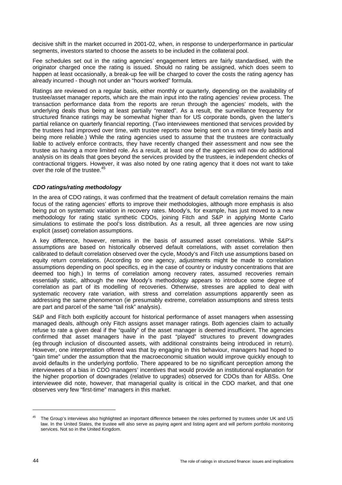decisive shift in the market occurred in 2001-02, when, in response to underperformance in particular segments, investors started to choose the assets to be included in the collateral pool.

Fee schedules set out in the rating agencies' engagement letters are fairly standardised, with the originator charged once the rating is issued. Should no rating be assigned, which does seem to happen at least occasionally, a break-up fee will be charged to cover the costs the rating agency has already incurred - though not under an "hours worked" formula.

Ratings are reviewed on a regular basis, either monthly or quarterly, depending on the availability of trustee/asset manager reports, which are the main input into the rating agencies' review process. The transaction performance data from the reports are rerun through the agencies' models, with the underlying deals thus being at least partially "rerated". As a result, the surveillance frequency for structured finance ratings may be somewhat higher than for US corporate bonds, given the latter's partial reliance on quarterly financial reporting. (Two interviewees mentioned that services provided by the trustees had improved over time, with trustee reports now being sent on a more timely basis and being more reliable.) While the rating agencies used to assume that the trustees are contractually liable to actively enforce contracts, they have recently changed their assessment and now see the trustee as having a more limited role. As a result, at least one of the agencies will now do additional analysis on its deals that goes beyond the services provided by the trustees, ie independent checks of contractional triggers. However, it was also noted by one rating agency that it does not want to take over the role of the trustee.<sup>4</sup>

## *CDO ratings/rating methodology*

In the area of CDO ratings, it was confirmed that the treatment of default correlation remains the main focus of the rating agencies' efforts to improve their methodologies, although more emphasis is also being put on systematic variation in recovery rates. Moody's, for example, has just moved to a new methodology for rating static synthetic CDOs, joining Fitch and S&P in applying Monte Carlo simulations to estimate the pool's loss distribution. As a result, all three agencies are now using explicit (asset) correlation assumptions.

A key difference, however, remains in the basis of assumed asset correlations. While S&P's assumptions are based on historically observed default correlations, with asset correlation then calibrated to default correlation observed over the cycle, Moody's and Fitch use assumptions based on equity return correlations. (According to one agency, adjustments might be made to correlation assumptions depending on pool specifics, eg in the case of country or industry concentrations that are deemed too high.) In terms of correlation among recovery rates, assumed recoveries remain essentially static, although the new Moody's methodology appears to introduce some degree of correlation as part of its modelling of recoveries. Otherwise, stresses are applied to deal with systematic recovery rate variation, with stress and correlation assumptions apparently seen as addressing the same phenomenon (ie presumably extreme, correlation assumptions and stress tests are part and parcel of the same "tail risk" analysis).

S&P and Fitch both explicitly account for historical performance of asset managers when assessing managed deals, although only Fitch assigns asset manager ratings. Both agencies claim to actually refuse to rate a given deal if the "quality" of the asset manager is deemed insufficient. The agencies confirmed that asset managers have in the past "played" structures to prevent downgrades (eg through inclusion of discounted assets, with additional constraints being introduced in return). However, one interpretation offered was that by engaging in this behaviour, managers had hoped to "gain time" under the assumption that the macroeconomic situation would improve quickly enough to avoid defaults in the underlying portfolio. There appeared to be no significant perception among the interviewees of a bias in CDO managers' incentives that would provide an institutional explanation for the higher proportion of downgrades (relative to upgrades) observed for CDOs than for ABSs. One interviewee did note, however, that managerial quality is critical in the CDO market, and that one observes very few "first-time" managers in this market.

<sup>&</sup>lt;sup>45</sup> The Group's interviews also highlighted an important difference between the roles performed by trustees under UK and US law. In the United States, the trustee will also serve as paying agent and listing agent and will perform portfolio monitoring services. Not so in the United Kingdom.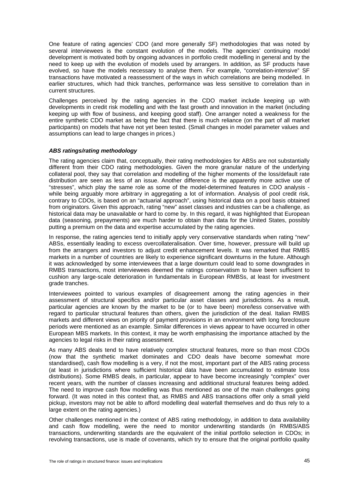One feature of rating agencies' CDO (and more generally SF) methodologies that was noted by several interviewees is the constant evolution of the models. The agencies' continuing model development is motivated both by ongoing advances in portfolio credit modelling in general and by the need to keep up with the evolution of models used by arrangers. In addition, as SF products have evolved, so have the models necessary to analyse them. For example, "correlation-intensive" SF transactions have motivated a reassessment of the ways in which correlations are being modelled. In earlier structures, which had thick tranches, performance was less sensitive to correlation than in current structures.

Challenges perceived by the rating agencies in the CDO market include keeping up with developments in credit risk modelling and with the fast growth and innovation in the market (including keeping up with flow of business, and keeping good staff). One arranger noted a weakness for the entire synthetic CDO market as being the fact that there is much reliance (on the part of all market participants) on models that have not yet been tested. (Small changes in model parameter values and assumptions can lead to large changes in prices.)

# *ABS ratings/rating methodology*

The rating agencies claim that, conceptually, their rating methodologies for ABSs are not substantially different from their CDO rating methodologies. Given the more granular nature of the underlying collateral pool, they say that correlation and modelling of the higher moments of the loss/default rate distribution are seen as less of an issue. Another difference is the apparently more active use of "stresses", which play the same role as some of the model-determined features in CDO analysis while being arguably more arbitrary in aggregating a lot of information. Analysis of pool credit risk, contrary to CDOs, is based on an "actuarial approach", using historical data on a pool basis obtained from originators. Given this approach, rating "new" asset classes and industries can be a challenge, as historical data may be unavailable or hard to come by. In this regard, it was highlighted that European data (seasoning, prepayments) are much harder to obtain than data for the United States, possibly putting a premium on the data and expertise accumulated by the rating agencies.

In response, the rating agencies tend to initially apply very conservative standards when rating "new" ABSs, essentially leading to excess overcollateralisation. Over time, however, pressure will build up from the arrangers and investors to adjust credit enhancement levels. It was remarked that RMBS markets in a number of countries are likely to experience significant downturns in the future. Although it was acknowledged by some interviewees that a large downturn could lead to some downgrades in RMBS transactions, most interviewees deemed the ratings conservatism to have been sufficient to cushion any large-scale deterioration in fundamentals in European RMBSs, at least for investment grade tranches.

Interviewees pointed to various examples of disagreement among the rating agencies in their assessment of structural specifics and/or particular asset classes and jurisdictions. As a result, particular agencies are known by the market to be (or to have been) more/less conservative with regard to particular structural features than others, given the jurisdiction of the deal. Italian RMBS markets and different views on priority of payment provisions in an environment with long foreclosure periods were mentioned as an example. Similar differences in views appear to have occurred in other European MBS markets. In this context, it may be worth emphasising the importance attached by the agencies to legal risks in their rating assessment.

As many ABS deals tend to have relatively complex structural features, more so than most CDOs (now that the synthetic market dominates and CDO deals have become somewhat more standardised), cash flow modelling is a very, if not the most, important part of the ABS rating process (at least in jurisdictions where sufficient historical data have been accumulated to estimate loss distributions). Some RMBS deals, in particular, appear to have become increasingly "complex" over recent years, with the number of classes increasing and additional structural features being added. The need to improve cash flow modelling was thus mentioned as one of the main challenges going forward. (It was noted in this context that, as RMBS and ABS transactions offer only a small yield pickup, investors may not be able to afford modelling deal waterfall themselves and do thus rely to a large extent on the rating agencies.)

Other challenges mentioned in the context of ABS rating methodology, in addition to data availability and cash flow modelling, were the need to monitor underwriting standards (in RMBS/ABS transactions, underwriting standards are the equivalent of the initial portfolio selection in CDOs; in revolving transactions, use is made of covenants, which try to ensure that the original portfolio quality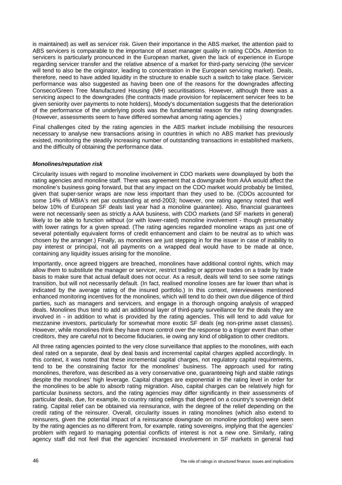is maintained) as well as servicer risk. Given their importance in the ABS market, the attention paid to ABS servicers is comparable to the importance of asset manager quality in rating CDOs. Attention to servicers is particularly pronounced in the European market, given the lack of experience in Europe regarding servicer transfer and the relative absence of a market for third-party servicing (the servicer will tend to also be the originator, leading to concentration in the European servicing market). Deals, therefore, need to have added liquidity in the structure to enable such a switch to take place. Servicer performance was also suggested as having been one of the reasons for the downgrades affecting Conseco/Green Tree Manufactured Housing (MH) securitisations. However, although there was a servicing aspect to the downgrades (the contracts made provision for replacement servicer fees to be given seniority over payments to note holders), Moody's documentation suggests that the deterioration of the performance of the underlying pools was the fundamental reason for the rating downgrades. (However, assessments seem to have differed somewhat among rating agencies.)

Final challenges cited by the rating agencies in the ABS market include mobilising the resources necessary to analyse new transactions arising in countries in which no ABS market has previously existed, monitoring the steadily increasing number of outstanding transactions in established markets, and the difficulty of obtaining the performance data.

## *Monolines/reputation risk*

Circularity issues with regard to monoline involvement in CDO markets were downplayed by both the rating agencies and monoline staff. There was agreement that a downgrade from AAA would affect the monoline's business going forward, but that any impact on the CDO market would probably be limited, given that super-senior wraps are now less important than they used to be. (CDOs accounted for some 14% of MBIA's net par outstanding at end-2003; however, one rating agency noted that well below 10% of European SF deals last year had a monoline guarantee). Also, financial guarantees were not necessarily seen as strictly a AAA business, with CDO markets (and SF markets in general) likely to be able to function without (or with lower-rated) monoline involvement - though presumably with lower ratings for a given spread. (The rating agencies regarded monoline wraps as just one of several potentially equivalent forms of credit enhancement and claim to be neutral as to which was chosen by the arranger.) Finally, as monolines are just stepping in for the issuer in case of inability to pay interest or principal, not all payments on a wrapped deal would have to be made at once, containing any liquidity issues arising for the monoline.

Importantly, once agreed triggers are breached, monolines have additional control rights, which may allow them to substitute the manager or servicer, restrict trading or approve trades on a trade by trade basis to make sure that actual default does not occur. As a result, deals will tend to see some ratings transition, but will not necessarily default. (In fact, realised monoline losses are far lower than what is indicated by the average rating of the insured portfolio.) In this context, interviewees mentioned enhanced monitoring incentives for the monolines, which will tend to do their own due diligence of third parties, such as managers and servicers, and engage in a thorough ongoing analysis of wrapped deals. Monolines thus tend to add an additional layer of third-party surveillance for the deals they are involved in - in addition to what is provided by the rating agencies. This will tend to add value for mezzanine investors, particularly for somewhat more exotic SF deals (eg non-prime asset classes). However, while monolines think they have more control over the response to a trigger event than other creditors, they are careful not to become fiduciaries, ie owing any kind of obligation to other creditors.

All three rating agencies pointed to the very close surveillance that applies to the monolines, with each deal rated on a separate, deal by deal basis and incremental capital charges applied accordingly. In this context, it was noted that these incremental capital charges, not regulatory capital requirements, tend to be the constraining factor for the monolines' business. The approach used for rating monolines, therefore, was described as a very conservative one, guaranteeing high and stable ratings despite the monolines' high leverage. Capital charges are exponential in the rating level in order for the monolines to be able to absorb rating migration. Also, capital charges can be relatively high for particular business sectors, and the rating agencies may differ significantly in their assessments of particular deals, due, for example, to country rating ceilings that depend on a country's sovereign debt rating. Capital relief can be obtained via reinsurance, with the degree of the relief depending on the credit rating of the reinsurer. Overall, circularity issues in rating monolines (which also extend to reinsurers, given the potential impact of a reinsurance downgrade on monoline portfolios) were seen by the rating agencies as no different from, for example, rating sovereigns, implying that the agencies' problem with regard to managing potential conflicts of interest is not a new one. Similarly, rating agency staff did not feel that the agencies' increased involvement in SF markets in general had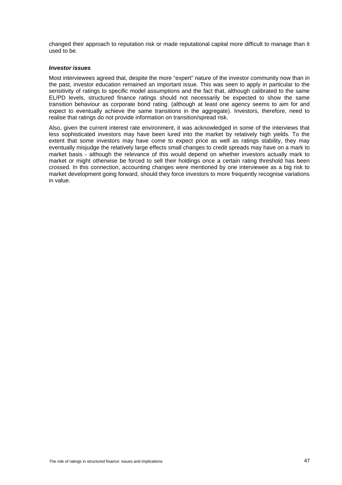changed their approach to reputation risk or made reputational capital more difficult to manage than it used to be.

#### *Investor issues*

Most interviewees agreed that, despite the more "expert" nature of the investor community now than in the past, investor education remained an important issue. This was seen to apply in particular to the sensitivity of ratings to specific model assumptions and the fact that, although calibrated to the same EL/PD levels, structured finance ratings should not necessarily be expected to show the same transition behaviour as corporate bond rating. (although at least one agency seems to aim for and expect to eventually achieve the same transitions in the aggregate). Investors, therefore, need to realise that ratings do not provide information on transition/spread risk.

Also, given the current interest rate environment, it was acknowledged in some of the interviews that less sophisticated investors may have been lured into the market by relatively high yields. To the extent that some investors may have come to expect price as well as ratings stability, they may eventually misjudge the relatively large effects small changes to credit spreads may have on a mark to market basis - although the relevance of this would depend on whether investors actually mark to market or might otherwise be forced to sell their holdings once a certain rating threshold has been crossed. In this connection, accounting changes were mentioned by one interviewee as a big risk to market development going forward, should they force investors to more frequently recognise variations in value.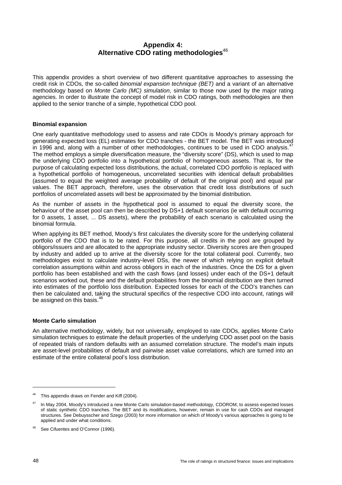# **Appendix 4: Alternative CDO rating methodologies**<sup>46</sup>

This appendix provides a short overview of two different quantitative approaches to assessing the credit risk in CDOs, the so-called *binomial expansion technique (BET)* and a variant of an alternative methodology based on *Monte Carlo (MC) simulation*, similar to those now used by the major rating agencies. In order to illustrate the concept of model risk in CDO ratings, both methodologies are then applied to the senior tranche of a simple, hypothetical CDO pool.

## **Binomial expansion**

One early quantitative methodology used to assess and rate CDOs is Moody's primary approach for generating expected loss (EL) estimates for CDO tranches - the BET model. The BET was introduced in 1996 and, along with a number of other methodologies, continues to be used in CDO analysis. $47$ The method employs a simple diversification measure, the "diversity score" (DS), which is used to map the underlying CDO portfolio into a hypothetical portfolio of homogeneous assets. That is, for the purpose of calculating expected loss distributions, the actual, correlated CDO portfolio is replaced with a hypothetical portfolio of homogeneous, uncorrelated securities with identical default probabilities (assumed to equal the weighted average probability of default of the original pool) and equal par values. The BET approach, therefore, uses the observation that credit loss distributions of such portfolios of uncorrelated assets will best be approximated by the binomial distribution.

As the number of assets in the hypothetical pool is assumed to equal the diversity score, the behaviour of the asset pool can then be described by DS+1 default scenarios (ie with default occurring for 0 assets, 1 asset, ... DS assets), where the probability of each scenario is calculated using the binomial formula.

When applying its BET method, Moody's first calculates the diversity score for the underlying collateral portfolio of the CDO that is to be rated. For this purpose, all credits in the pool are grouped by obligors/issuers and are allocated to the appropriate industry sector. Diversity scores are then grouped by industry and added up to arrive at the diversity score for the total collateral pool. Currently, two methodologies exist to calculate industry-level DSs, the newer of which relying on explicit default correlation assumptions within and across obligors in each of the industries. Once the DS for a given portfolio has been established and with the cash flows (and losses) under each of the DS+1 default scenarios worked out, these and the default probabilities from the binomial distribution are then turned into estimates of the portfolio loss distribution. Expected losses for each of the CDO's tranches can then be calculated and, taking the structural specifics of the respective CDO into account, ratings will be assigned on this basis.<sup>48</sup>

# **Monte Carlo simulation**

An alternative methodology, widely, but not universally, employed to rate CDOs, applies Monte Carlo simulation techniques to estimate the default properties of the underlying CDO asset pool on the basis of repeated trials of random defaults with an assumed correlation structure. The model's main inputs are asset-level probabilities of default and pairwise asset value correlations, which are turned into an estimate of the entire collateral pool's loss distribution.

<sup>&</sup>lt;sup>46</sup> This appendix draws on Fender and Kiff (2004).

In May 2004, Moody's introduced a new Monte Carlo simulation-based methodology, CDOROM, to assess expected losses of static synthetic CDO tranches. The BET and its modifications, however, remain in use for cash CDOs and managed structures. See Debuysscher and Szego (2003) for more information on which of Moody's various approaches is going to be applied and under what conditions.

<sup>48</sup> See Cifuentes and O'Connor (1996).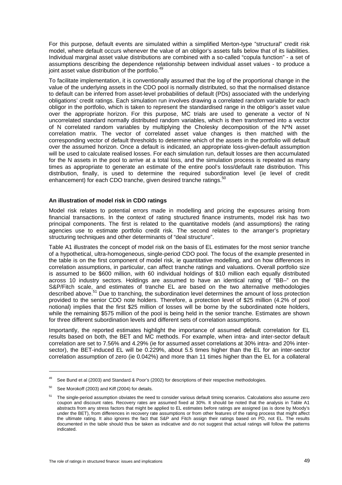For this purpose, default events are simulated within a simplified Merton-type "structural" credit risk model, where default occurs whenever the value of an obligor's assets falls below that of its liabilities. Individual marginal asset value distributions are combined with a so-called "copula function" - a set of assumptions describing the dependence relationship between individual asset values - to produce a joint asset value distribution of the portfolio.<sup>49</sup>

To facilitate implementation, it is conventionally assumed that the log of the proportional change in the value of the underlying assets in the CDO pool is normally distributed, so that the normalised distance to default can be inferred from asset-level probabilities of default (PDs) associated with the underlying obligations' credit ratings. Each simulation run involves drawing a correlated random variable for each obligor in the portfolio, which is taken to represent the standardised range in the obligor's asset value over the appropriate horizon. For this purpose, MC trials are used to generate a vector of N uncorrelated standard normally distributed random variables, which is then transformed into a vector of N correlated random variables by multiplying the Cholesky decomposition of the N\*N asset correlation matrix. The vector of correlated asset value changes is then matched with the corresponding vector of default thresholds to determine which of the assets in the portfolio will default over the assumed horizon. Once a default is indicated, an appropriate loss-given-default assumption will be used to calculate realised losses. For each simulation run, default losses are then accumulated for the N assets in the pool to arrive at a total loss, and the simulation process is repeated as many times as appropriate to generate an estimate of the entire pool's loss/default rate distribution. This distribution, finally, is used to determine the required subordination level (ie level of credit enhancement) for each CDO tranche, given desired tranche ratings.<sup>50</sup>

# **An illustration of model risk in CDO ratings**

Model risk relates to potential errors made in modelling and pricing the exposures arising from financial transactions. In the context of rating structured finance instruments, model risk has two principal components. The first is related to the quantitative models (and assumptions) the rating agencies use to estimate portfolio credit risk. The second relates to the arranger's proprietary structuring techniques and other determinants of "deal structure".

Table A1 illustrates the concept of model risk on the basis of EL estimates for the most senior tranche of a hypothetical, ultra-homogeneous, single-period CDO pool. The focus of the example presented in the table is on the first component of model risk, ie quantitative modelling, and on how differences in correlation assumptions, in particular, can affect tranche ratings and valuations. Overall portfolio size is assumed to be \$600 million, with 60 individual holdings of \$10 million each equally distributed across 10 industry sectors. Holdings are assumed to have an identical rating of "BB–" on the S&P/Fitch scale, and estimates of tranche EL are based on the two alternative methodologies described above.51 Due to tranching, the subordination level determines the amount of loss protection provided to the senior CDO note holders. Therefore, a protection level of \$25 million (4.2% of pool notional) implies that the first \$25 million of losses will be borne by the subordinated note holders, while the remaining \$575 million of the pool is being held in the senior tranche. Estimates are shown for three different subordination levels and different sets of correlation assumptions.

Importantly, the reported estimates highlight the importance of assumed default correlation for EL results based on both, the BET and MC methods. For example, when intra- and inter-sector default correlation are set to 7.56% and 4.29% (ie for assumed asset correlations at 30% intra- and 20% intersector), the BET-induced EL will be 0.229%, about 5.5 times higher than the EL for an inter-sector correlation assumption of zero (ie 0.042%) and more than 11 times higher than the EL for a collateral

See Bund et al (2003) and Standard & Poor's (2002) for descriptions of their respective methodologies.

 $50$  See Morokoff (2003) and Kiff (2004) for details.

<sup>51</sup> The single-period assumption obviates the need to consider various default timing scenarios. Calculations also assume zero coupon and discount rates. Recovery rates are assumed fixed at 30%. It should be noted that the analysis in Table A1 abstracts from any stress factors that might be applied to EL estimates before ratings are assigned (as is done by Moody's under the BET), from differences in recovery rate assumptions or from other features of the rating process that might affect the ultimate rating. It also ignores the fact that S&P and Fitch assign their ratings based on PD, not EL. The results documented in the table should thus be taken as indicative and do not suggest that actual ratings will follow the patterns indicated.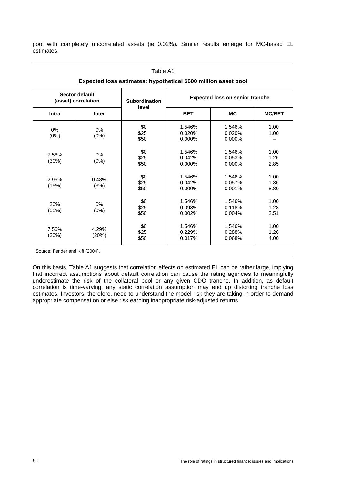pool with completely uncorrelated assets (ie 0.02%). Similar results emerge for MC-based EL estimates.

| Sector default<br>(asset) correlation |                | <b>Subordination</b> | <b>Expected loss on senior tranche</b> |           |               |
|---------------------------------------|----------------|----------------------|----------------------------------------|-----------|---------------|
| Intra                                 | <b>Inter</b>   | level                | <b>BET</b>                             | <b>MC</b> | <b>MC/BET</b> |
| 0%                                    |                | \$0                  | 1.546%                                 | 1.546%    | 1.00          |
|                                       | 0%<br>(0%)     | \$25                 | 0.020%                                 | 0.020%    | 1.00          |
| (0%)                                  |                | \$50                 | 0.000%                                 | 0.000%    |               |
|                                       |                | \$0                  | 1.546%                                 | 1.546%    | 1.00          |
| 7.56%                                 | 0%             | \$25                 | 0.042%                                 | 0.053%    | 1.26          |
| (30%)                                 | (0%)           | \$50                 | 0.000%                                 | 0.000%    | 2.85          |
|                                       | 0.48%<br>(3%)  | \$0                  | 1.546%                                 | 1.546%    | 1.00          |
| 2.96%                                 |                | \$25                 | 0.042%                                 | 0.057%    | 1.36          |
| (15%)                                 |                | \$50                 | 0.000%                                 | 0.001%    | 8.80          |
|                                       |                | \$0                  | 1.546%                                 | 1.546%    | 1.00          |
| 20%                                   | $0\%$          | \$25                 | 0.093%                                 | 0.118%    | 1.28          |
| (55%)                                 | (0%)           | \$50                 | 0.002%                                 | 0.004%    | 2.51          |
|                                       |                | \$0                  | 1.546%                                 | 1.546%    | 1.00          |
| 7.56%                                 | 4.29%<br>(20%) | \$25                 | 0.229%                                 | 0.288%    | 1.26          |
| (30%)                                 |                | \$50                 | 0.017%                                 | 0.068%    | 4.00          |

On this basis, Table A1 suggests that correlation effects on estimated EL can be rather large, implying that incorrect assumptions about default correlation can cause the rating agencies to meaningfully underestimate the risk of the collateral pool or any given CDO tranche. In addition, as default correlation is time-varying, any static correlation assumption may end up distorting tranche loss estimates. Investors, therefore, need to understand the model risk they are taking in order to demand appropriate compensation or else risk earning inappropriate risk-adjusted returns.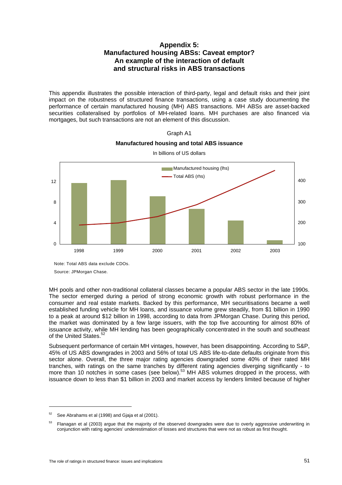# **Appendix 5: Manufactured housing ABSs: Caveat emptor? An example of the interaction of default and structural risks in ABS transactions**

This appendix illustrates the possible interaction of third-party, legal and default risks and their joint impact on the robustness of structured finance transactions, using a case study documenting the performance of certain manufactured housing (MH) ABS transactions. MH ABSs are asset-backed securities collateralised by portfolios of MH-related loans. MH purchases are also financed via mortgages, but such transactions are not an element of this discussion.



**Manufactured housing and total ABS issuance**  In billions of US dollars

Graph A1

Note: Total ABS data exclude CDOs.

Source: JPMorgan Chase.

MH pools and other non-traditional collateral classes became a popular ABS sector in the late 1990s. The sector emerged during a period of strong economic growth with robust performance in the consumer and real estate markets. Backed by this performance, MH securitisations became a well established funding vehicle for MH loans, and issuance volume grew steadily, from \$1 billion in 1990 to a peak at around \$12 billion in 1998, according to data from JPMorgan Chase. During this period, the market was dominated by a few large issuers, with the top five accounting for almost 80% of issuance activity, while MH lending has been geographically concentrated in the south and southeast of the United States.<sup>52</sup>

Subsequent performance of certain MH vintages, however, has been disappointing. According to S&P, 45% of US ABS downgrades in 2003 and 56% of total US ABS life-to-date defaults originate from this sector alone. Overall, the three major rating agencies downgraded some 40% of their rated MH tranches, with ratings on the same tranches by different rating agencies diverging significantly - to more than 10 notches in some cases (see below).<sup>53</sup> MH ABS volumes dropped in the process, with issuance down to less than \$1 billion in 2003 and market access by lenders limited because of higher

 $\overline{a}$ 

 $52$  See Abrahams et al (1998) and Gjaja et al (2001).

<sup>&</sup>lt;sup>53</sup> Flanagan et al (2003) argue that the majority of the observed downgrades were due to overly aggressive underwriting in conjunction with rating agencies' underestimation of losses and structures that were not as robust as first thought.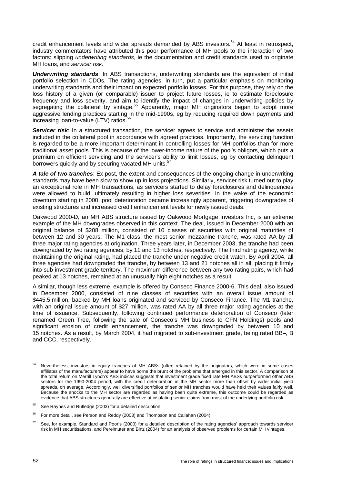credit enhancement levels and wider spreads demanded by ABS investors.<sup>54</sup> At least in retrospect, industry commentators have attributed this poor performance of MH pools to the interaction of two factors: slipping *underwriting standards*, ie the documentation and credit standards used to originate MH loans, and *servicer risk*.

*Underwriting standards*: In ABS transactions, underwriting standards are the equivalent of initial portfolio selection in CDOs. The rating agencies, in turn, put a particular emphasis on monitoring underwriting standards and their impact on expected portfolio losses. For this purpose, they rely on the loss history of a given (or comparable) issuer to project future losses, ie to estimate foreclosure frequency and loss severity, and aim to identify the impact of changes in underwriting policies by segregating the collateral by vintage.<sup>55</sup> Apparently, major MH originators began to adopt more aggressive lending practices starting in the mid-1990s, eg by reducing required down payments and increasing loan-to-value (LTV) ratios.

**Servicer risk**: In a structured transaction, the servicer agrees to service and administer the assets included in the collateral pool in accordance with agreed practices. Importantly, the servicing function is regarded to be a more important determinant in controlling losses for MH portfolios than for more traditional asset pools. This is because of the lower-income nature of the pool's obligors, which puts a premium on efficient servicing and the servicer's ability to limit losses, eg by contacting delinquent borrowers quickly and by securing vacated MH units.<sup>57</sup>

*A tale of two tranches*: Ex post, the extent and consequences of the ongoing change in underwriting standards may have been slow to show up in loss projections. Similarly, servicer risk turned out to play an exceptional role in MH transactions, as servicers started to delay foreclosures and delinquencies were allowed to build, ultimately resulting in higher loss severities. In the wake of the economic downturn starting in 2000, pool deterioration became increasingly apparent, triggering downgrades of existing structures and increased credit enhancement levels for newly issued deals.

Oakwood 2000-D, an MH ABS structure issued by Oakwood Mortgage Investors Inc, is an extreme example of the MH downgrades observed in this context. The deal, issued in December 2000 with an original balance of \$208 million, consisted of 10 classes of securities with original maturities of between 12 and 30 years. The M1 class, the most senior mezzanine tranche, was rated AA by all three major rating agencies at origination. Three years later, in December 2003, the tranche had been downgraded by two rating agencies, by 11 and 13 notches, respectively. The third rating agency, while maintaining the original rating, had placed the tranche under negative credit watch. By April 2004, all three agencies had downgraded the tranche, by between 13 and 21 notches all in all, placing it firmly into sub-investment grade territory. The maximum difference between any two rating pairs, which had peaked at 13 notches, remained at an unusually high eight notches as a result.

A similar, though less extreme, example is offered by Conseco Finance 2000-6. This deal, also issued in December 2000, consisted of nine classes of securities with an overall issue amount of \$445.5 million, backed by MH loans originated and serviced by Conseco Finance. The M1 tranche, with an original issue amount of \$27 million, was rated AA by all three major rating agencies at the time of issuance. Subsequently, following continued performance deterioration of Conseco (later renamed Green Tree, following the sale of Conseco's MH business to CFN Holdings) pools and significant erosion of credit enhancement, the tranche was downgraded by between 10 and 15 notches. As a result, by March 2004, it had migrated to sub-investment grade, being rated BB–, B and CCC, respectively.

<sup>&</sup>lt;sup>54</sup> Nevertheless, investors in equity tranches of MH ABSs (often retained by the originators, which were in some cases affiliates of the manufacturers) appear to have borne the brunt of the problems that emerged in this sector. A comparison of the total return on Merrill Lynch's ABS indices suggests that investment grade fixed rate MH ABSs outperformed other ABS sectors for the 1990-2004 period, with the credit deterioration in the MH sector more than offset by wider initial yield spreads, on average. Accordingly, well diversified portfolios of senior MH tranches would have held their values fairly well. Because the shocks to the MH sector are regarded as having been quite extreme, this outcome could be regarded as evidence that ABS structures generally are effective at insulating senior claims from most of the underlying portfolio risk.

<sup>&</sup>lt;sup>55</sup> See Raynes and Rutledge (2003) for a detailed description.

<sup>56</sup> For more detail, see Person and Reddy (2003) and Thompson and Callahan (2004).

See, for example, Standard and Poor's (2000) for a detailed description of the rating agencies' approach towards servicer risk in MH securitisations, and Perelmuter and Binz (2004) for an analysis of observed problems for certain MH vintages.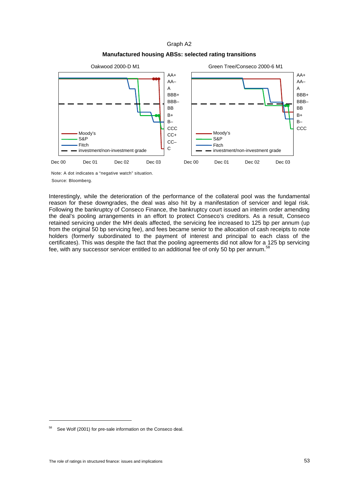Graph A2

# **Manufactured housing ABSs: selected rating transitions**



Note: A dot indicates a "negative watch" situation. Source: Bloomberg.

Interestingly, while the deterioration of the performance of the collateral pool was the fundamental reason for these downgrades, the deal was also hit by a manifestation of servicer and legal risk. Following the bankruptcy of Conseco Finance, the bankruptcy court issued an interim order amending the deal's pooling arrangements in an effort to protect Conseco's creditors. As a result, Conseco retained servicing under the MH deals affected, the servicing fee increased to 125 bp per annum (up from the original 50 bp servicing fee), and fees became senior to the allocation of cash receipts to note holders (formerly subordinated to the payment of interest and principal to each class of the certificates). This was despite the fact that the pooling agreements did not allow for a 125 bp servicing fee, with any successor servicer entitled to an additional fee of only 50 bp per annum.<sup>58</sup>

 $\overline{a}$ 

<sup>58</sup> See Wolf (2001) for pre-sale information on the Conseco deal.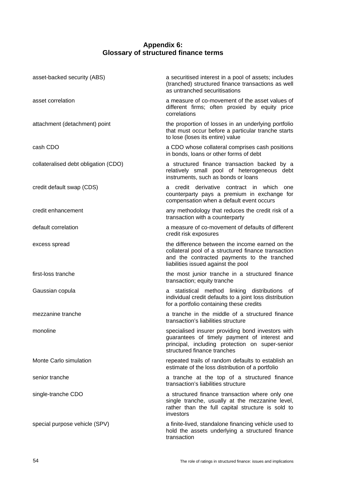# **Appendix 6: Glossary of structured finance terms**

| asset-backed security (ABS)          | a securitised interest in a pool of assets; includes<br>(tranched) structured finance transactions as well<br>as untranched securitisations                                                  |
|--------------------------------------|----------------------------------------------------------------------------------------------------------------------------------------------------------------------------------------------|
| asset correlation                    | a measure of co-movement of the asset values of<br>different firms; often proxied by equity price<br>correlations                                                                            |
| attachment (detachment) point        | the proportion of losses in an underlying portfolio<br>that must occur before a particular tranche starts<br>to lose (loses its entire) value                                                |
| cash CDO                             | a CDO whose collateral comprises cash positions<br>in bonds, loans or other forms of debt                                                                                                    |
| collateralised debt obligation (CDO) | a structured finance transaction backed by a<br>relatively small pool of heterogeneous debt<br>instruments, such as bonds or loans                                                           |
| credit default swap (CDS)            | credit derivative contract in which<br>one<br>а<br>counterparty pays a premium in exchange for<br>compensation when a default event occurs                                                   |
| credit enhancement                   | any methodology that reduces the credit risk of a<br>transaction with a counterparty                                                                                                         |
| default correlation                  | a measure of co-movement of defaults of different<br>credit risk exposures                                                                                                                   |
| excess spread                        | the difference between the income earned on the<br>collateral pool of a structured finance transaction<br>and the contracted payments to the tranched<br>liabilities issued against the pool |
| first-loss tranche                   | the most junior tranche in a structured finance<br>transaction; equity tranche                                                                                                               |
| Gaussian copula                      | statistical method linking distributions of<br>a<br>individual credit defaults to a joint loss distribution<br>for a portfolio containing these credits                                      |
| mezzanine tranche                    | a tranche in the middle of a structured finance<br>transaction's liabilities structure                                                                                                       |
| monoline                             | specialised insurer providing bond investors with<br>guarantees of timely payment of interest and<br>principal, including protection on super-senior<br>structured finance tranches          |
| Monte Carlo simulation               | repeated trails of random defaults to establish an<br>estimate of the loss distribution of a portfolio                                                                                       |
| senior tranche                       | a tranche at the top of a structured finance<br>transaction's liabilities structure                                                                                                          |
| single-tranche CDO                   | a structured finance transaction where only one<br>single tranche, usually at the mezzanine level,<br>rather than the full capital structure is sold to<br>investors                         |
| special purpose vehicle (SPV)        | a finite-lived, standalone financing vehicle used to<br>hold the assets underlying a structured finance<br>transaction                                                                       |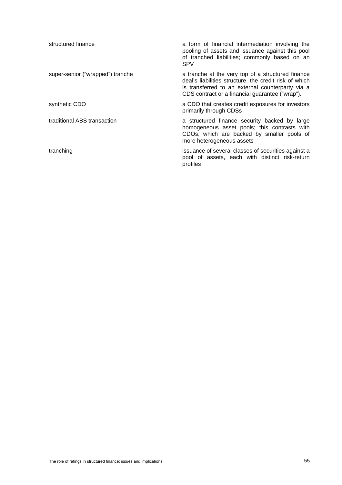| structured finance               | a form of financial intermediation involving the<br>pooling of assets and issuance against this pool<br>of tranched liabilities; commonly based on an<br><b>SPV</b>                                                |
|----------------------------------|--------------------------------------------------------------------------------------------------------------------------------------------------------------------------------------------------------------------|
| super-senior ("wrapped") tranche | a tranche at the very top of a structured finance<br>deal's liabilities structure, the credit risk of which<br>is transferred to an external counterparty via a<br>CDS contract or a financial guarantee ("wrap"). |
| synthetic CDO                    | a CDO that creates credit exposures for investors<br>primarily through CDSs                                                                                                                                        |
| traditional ABS transaction      | a structured finance security backed by large<br>homogeneous asset pools; this contrasts with<br>CDOs, which are backed by smaller pools of<br>more heterogeneous assets                                           |
| tranching                        | issuance of several classes of securities against a<br>pool of assets, each with distinct risk-return<br>profiles                                                                                                  |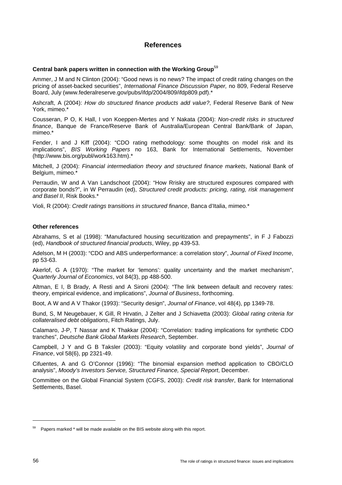# **References**

### **Central bank papers written in connection with the Working Group**<sup>59</sup>

Ammer, J M and N Clinton (2004): "Good news is no news? The impact of credit rating changes on the pricing of asset-backed securities", *International Finance Discussion Paper,* no 809, Federal Reserve Board, July (www.federalreserve.gov/pubs/ifdp/2004/809/ifdp809.pdf).\*

Ashcraft, A (2004): *How do structured finance products add value?*, Federal Reserve Bank of New York, mimeo.\*

Cousseran, P O, K Hall, I von Koeppen-Mertes and Y Nakata (2004): *Non-credit risks in structured finance*, Banque de France/Reserve Bank of Australia/European Central Bank/Bank of Japan, mimeo.<sup>\*</sup>

Fender, I and J Kiff (2004): "CDO rating methodology: some thoughts on model risk and its implications", *BIS Working Papers* no 163, Bank for International Settlements, November (http://www.bis.org/publ/work163.htm).\*

Mitchell, J (2004): *Financial intermediation theory and structured finance markets*, National Bank of Belgium, mimeo.\*

Perraudin, W and A Van Landschoot (2004): "How Rrisky are structured exposures compared with corporate bonds?", in W Perraudin (ed), *Structured credit products: pricing, rating, risk management and Basel II*, Risk Books.\*

Violi, R (2004): *Credit ratings transitions in structured finance*, Banca d'Italia, mimeo.\*

#### **Other references**

Abrahams, S et al (1998): "Manufactured housing securitization and prepayments", in F J Fabozzi (ed), *Handbook of structured financial products*, Wiley, pp 439-53.

Adelson, M H (2003): "CDO and ABS underperformance: a correlation story", *Journal of Fixed Income*, pp 53-63.

Akerlof, G A (1970): "The market for 'lemons': quality uncertainty and the market mechanism", *[Quarterly Journal of Economics](http://web35.epnet.com/searchpost.asp?tb=1&_ug=sid+6CA9730F%2D8BAF%2D48E4%2D9FDC%2DFB581B8213E8%40sessionmgr6+dbs+ecn+cp+1+4FE2&_us=hd+False+hs+False+or+Date+fh+False+ss+SO+sm+ES+sl+%2D1+dstb+ES+ri+KAAACB6C00030299+933C&_uso=hd+False+tg%5B2+%2D+tg%5B1+%2D+tg%5B0+%2DAU+st%5B2+%2D+st%5B1+%2D+st%5B0+%2DAkerlof+db%5B0+%2Decn+op%5B2+%2DAnd+op%5B1+%2DAnd+op%5B0+%2D+492B&ss=JN%20%22Quarterly%20Journal%20of%20Economics%22&fscan=Sub&lfr=Lateral)*, vol 84(3), pp 488-500.

Altman, E I, B Brady, A Resti and A Sironi (2004): "The link between default and recovery rates: theory, empirical evidence, and implications", *Journal of Business*, forthcoming.

Boot, A W and A V Thakor (1993): "Security design", *Journal of Finance*, vol 48(4), pp 1349-78.

Bund, S, M Neugebauer, K Gill, R Hrvatin, J Zelter and J Schiavetta (2003): *Global rating criteria for collateralised debt obligations*, Fitch Ratings, July.

Calamaro, J-P, T Nassar and K Thakkar (2004): "Correlation: trading implications for synthetic CDO tranches", *Deutsche Bank Global Markets Research*, September.

Campbell, J Y and G B Taksler (2003): "Equity volatility and corporate bond yields", *Journal of Finance*, vol 58(6), pp 2321-49.

Cifuentes, A and G O'Connor (1996): "The binomial expansion method application to CBO/CLO analysis", *Moody's Investors Service, Structured Finance, Special Report*, December.

Committee on the Global Financial System (CGFS, 2003): *Credit risk transfer*, Bank for International Settlements, Basel.

 $59$  Papers marked  $*$  will be made available on the BIS website along with this report.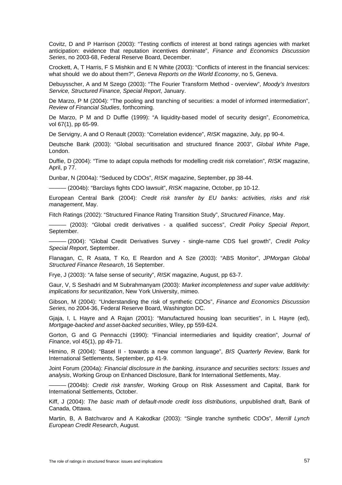Covitz, D and P Harrison (2003): "Testing conflicts of interest at bond ratings agencies with market anticipation: evidence that reputation incentives dominate", *Finance and Economics Discussion Series*, no 2003-68, Federal Reserve Board, December.

Crockett, A, T Harris, F S Mishkin and E N White (2003): "Conflicts of interest in the financial services: what should we do about them?", *Geneva Reports on the World Economy*, no 5, Geneva.

Debuysscher, A and M Szego (2003): "The Fourier Transform Method - overview", *Moody's Investors Service, Structured Finance, Special Report*, January.

De Marzo, P M (2004): "The pooling and tranching of securities: a model of informed intermediation", *Review of Financial Studies*, forthcoming.

De Marzo, P M and D Duffie (1999): "A liquidity-based model of security design", *Econometrica*, vol 67(1), pp 65-99.

De Servigny, A and O Renault (2003): "Correlation evidence", *RISK* magazine, July, pp 90-4.

Deutsche Bank (2003): "Global securitisation and structured finance 2003", *Global White Page*, London.

Duffie, D (2004): "Time to adapt copula methods for modelling credit risk correlation", *RISK* magazine, April, p 77.

Dunbar, N (2004a): "Seduced by CDOs", *RISK* magazine, September, pp 38-44.

——— (2004b): "Barclays fights CDO lawsuit", *RISK* magazine, October, pp 10-12.

European Central Bank (2004): *Credit risk transfer by EU banks: activities, risks and risk management*, May.

Fitch Ratings (2002): "Structured Finance Rating Transition Study", *Structured Finance*, May.

——— (2003): "Global credit derivatives - a qualified success", *Credit Policy Special Report*, September.

——— (2004): "Global Credit Derivatives Survey - single-name CDS fuel growth", *Credit Policy Special Report*, September.

Flanagan, C, R Asata, T Ko, E Reardon and A Sze (2003): "ABS Monitor", *JPMorgan Global Structured Finance Research*, 16 September.

Frye, J (2003): "A false sense of security", *RISK* magazine, August, pp 63-7.

Gaur, V, S Seshadri and M Subrahmanyam (2003): *Market incompleteness and super value additivity: implications for securitization*, New York University, mimeo.

Gibson, M (2004): "Understanding the risk of synthetic CDOs", *Finance and Economics Discussion Series,* no 2004-36, Federal Reserve Board, Washington DC.

Gjaja, I, L Hayre and A Rajan (2001): "Manufactured housing loan securities", in L Hayre (ed), *Mortgage-backed and asset-backed securities*, Wiley, pp 559-624.

Gorton, G and G Pennacchi (1990): "Financial intermediaries and liquidity creation", *Journal of Finance*, vol 45(1), pp 49-71.

Himino, R (2004): "Basel II - towards a new common language", *BIS Quarterly Review*, Bank for International Settlements, September, pp 41-9.

Joint Forum (2004a): *Financial disclosure in the banking, insurance and securities sectors: Issues and analysis*, Working Group on Enhanced Disclosure, Bank for International Settlements, May.

——— (2004b): *Credit risk transfer*, Working Group on Risk Assessment and Capital, Bank for International Settlements, October.

Kiff, J (2004): *The basic math of default-mode credit loss distributions*, unpublished draft, Bank of Canada, Ottawa.

Martin, B, A Batchvarov and A Kakodkar (2003): "Single tranche synthetic CDOs", *Merrill Lynch European Credit Research*, August.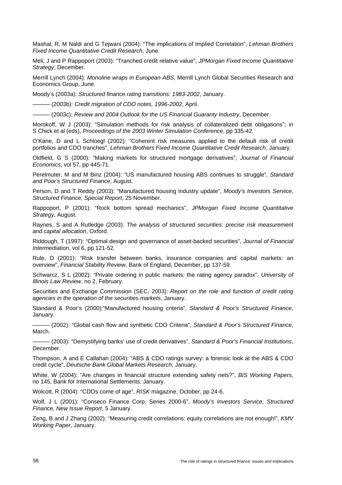Mashal, R, M Naldi and G Tejwani (2004): "The implications of Implied Correlation", *Lehman Brothers Fixed Income Quantitative Credit Research*, June.

Meli, J and P Rappoport (2003): "Tranched credit relative value", *JPMorgan Fixed Income Quantitative Strategy*, December.

Merrill Lynch (2004): *Monoline wraps in European ABS*, Merrill Lynch Global Securities Research and Economics Group, June.

Moody's (2003a): *Structured finance rating transitions: 1983-2002*, January.

——— (2003b): *Credit migration of CDO notes, 1996-2002*, April.

——— (2003c): *Review and 2004 Outlook for the US Financial Guaranty Industry*, December.

Morokoff, W J (2003): "Simulation methods for risk analysis of collateralized debt obligations"; in S Chick et al (eds), *Proceedings of the 2003 Winter Simulation Conference*, pp 335-42.

O'Kane, D and L Schloegl (2002): "Coherent risk measures applied to the default risk of credit portfolios and CDO tranches", *Lehman Brothers Fixed Income Quantitative Credit Research*, January.

Oldfield, G S (2000): "Making markets for structured mortgage derivatives", *Journal of Financial Economics*, vol 57, pp 445-71.

Perelmuter, M and M Binz (2004): "US manufactured housing ABS continues to struggle", *Standard and Poor's Structured Finance*, August.

Person, D and T Reddy (2003): "Manufactured housing industry update", *Moody's Investors Service, Structured Finance, Special Report*, 25 November.

Rappoport, P (2001): "Rock bottom spread mechanics", *JPMorgan Fixed Income Quantitative Strategy*, August.

Raynes, S and A Rutledge (2003): *The analysis of structured securities: precise risk measurement and capital allocation*, Oxford.

Riddough, T (1997): "Optimal design and governance of asset-backed securities", *Journal of Financial Intermediation*, vol 6, pp 121-52.

Rule, D (2001): "Risk transfer between banks, insurance companies and capital markets: an overview", *Financial Stability Review*, Bank of England, December, pp 137-59.

Schwarcz, S L (2002): "Private ordering in public markets: the rating agency paradox", *University of Illinois Law Review*, no 2, February.

Securities and Exchange Commission (SEC, 2003): *Report on the role and function of credit rating agencies in the operation of the securities markets*, January.

Standard & Poor's (2000):"Manufactured housing criteria", *Standard & Poor's Structured Finance*, January.

——— (2002): "Global cash flow and synthetic CDO Criteria", *Standard & Poor's Structured Finance*, March.

——— (2003): "Demystifying banks' use of credit derivatives", *Standard & Poor's Financial Institutions*, December.

Thompson, A and E Callahan (2004): "ABS & CDO ratings survey: a forensic look at the ABS & CDO credit cycle", *Deutsche Bank Global Markets Research*, January.

White, W (2004): "Are changes in financial structure extending safety nets?", *BIS Working Papers,*  no 145, Bank for International Settlements, January.

Wolcott, R (2004): "CDOs come of age", *RISK* magazine, October, pp 24-6.

Wolf, J L (2001): "Conseco Finance Corp, Series 2000-6", *Moody's Investors Service, Structured Finance, New Issue Report*, 5 January.

Zeng, B and J Zhang (2002): "Measuring credit correlations: equity correlations are not enough!", *KMV Working Paper*, January.